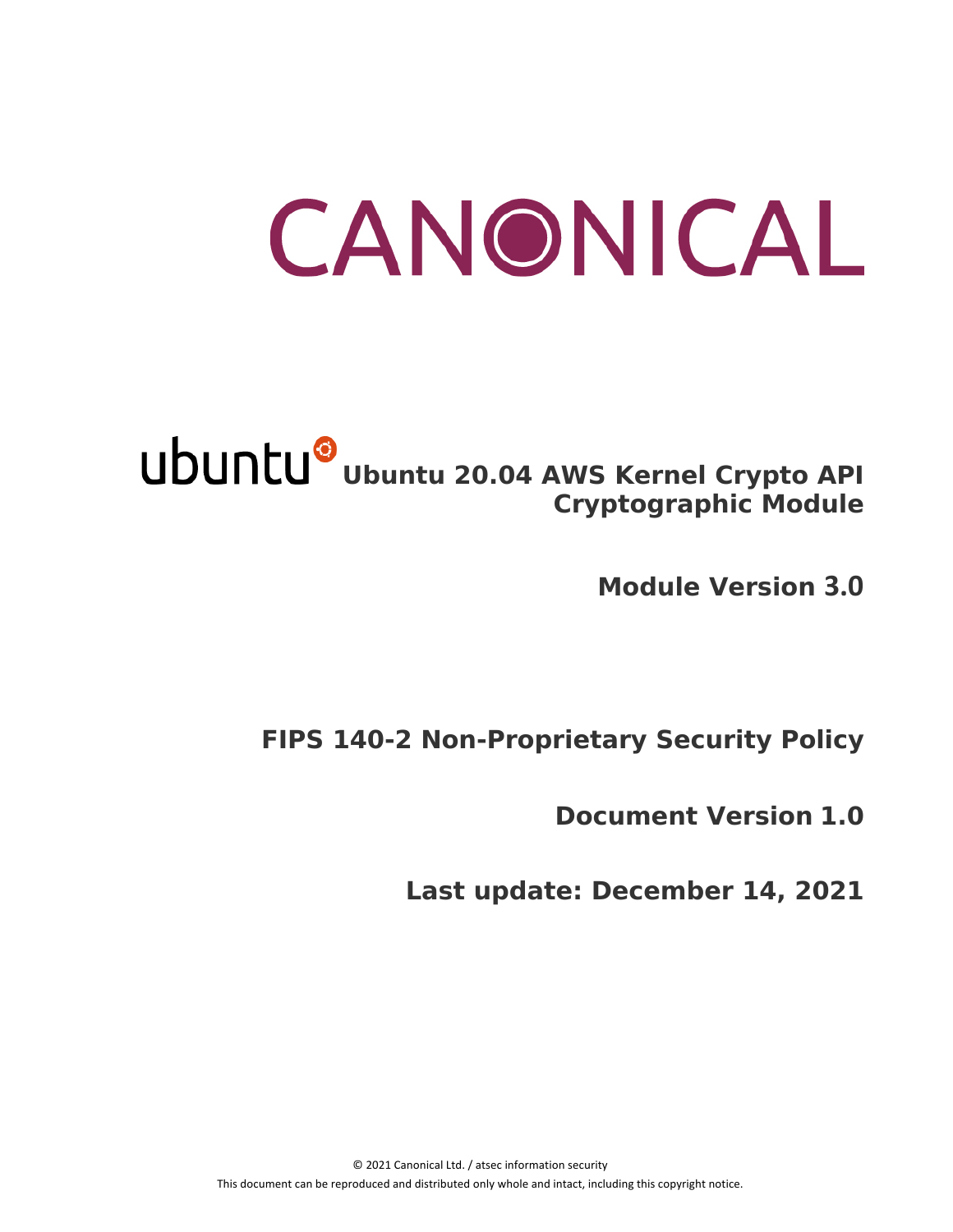# CANONICAL

# **Ubuntu 20.04 AWS Kernel Crypto API Cryptographic Module**

**Module Version 3.0**

# **FIPS 140-2 Non-Proprietary Security Policy**

**Document Version 1.0**

**Last update: December 14, 2021**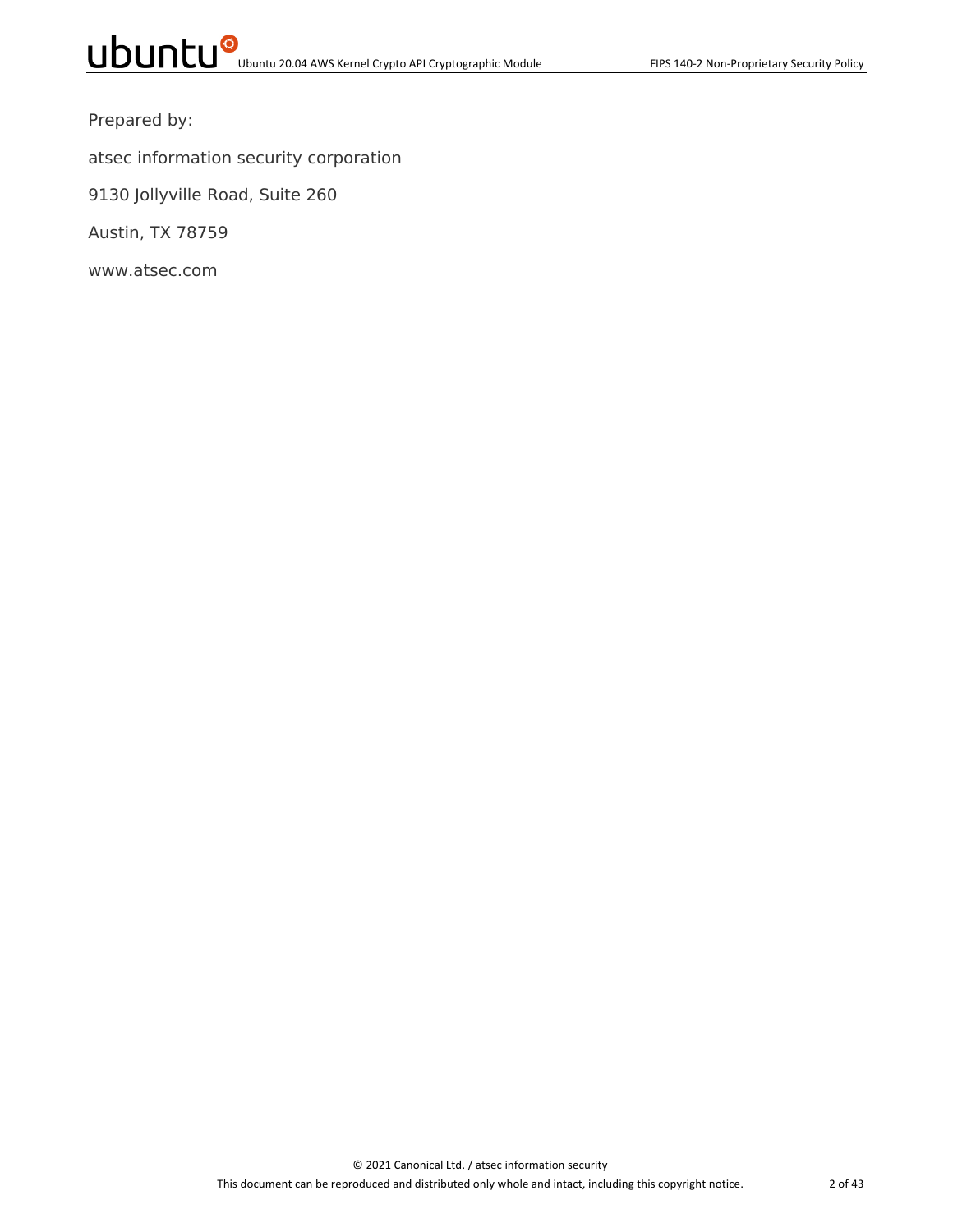Prepared by:

atsec information security corporation

9130 Jollyville Road, Suite 260

Austin, TX 78759

www.atsec.com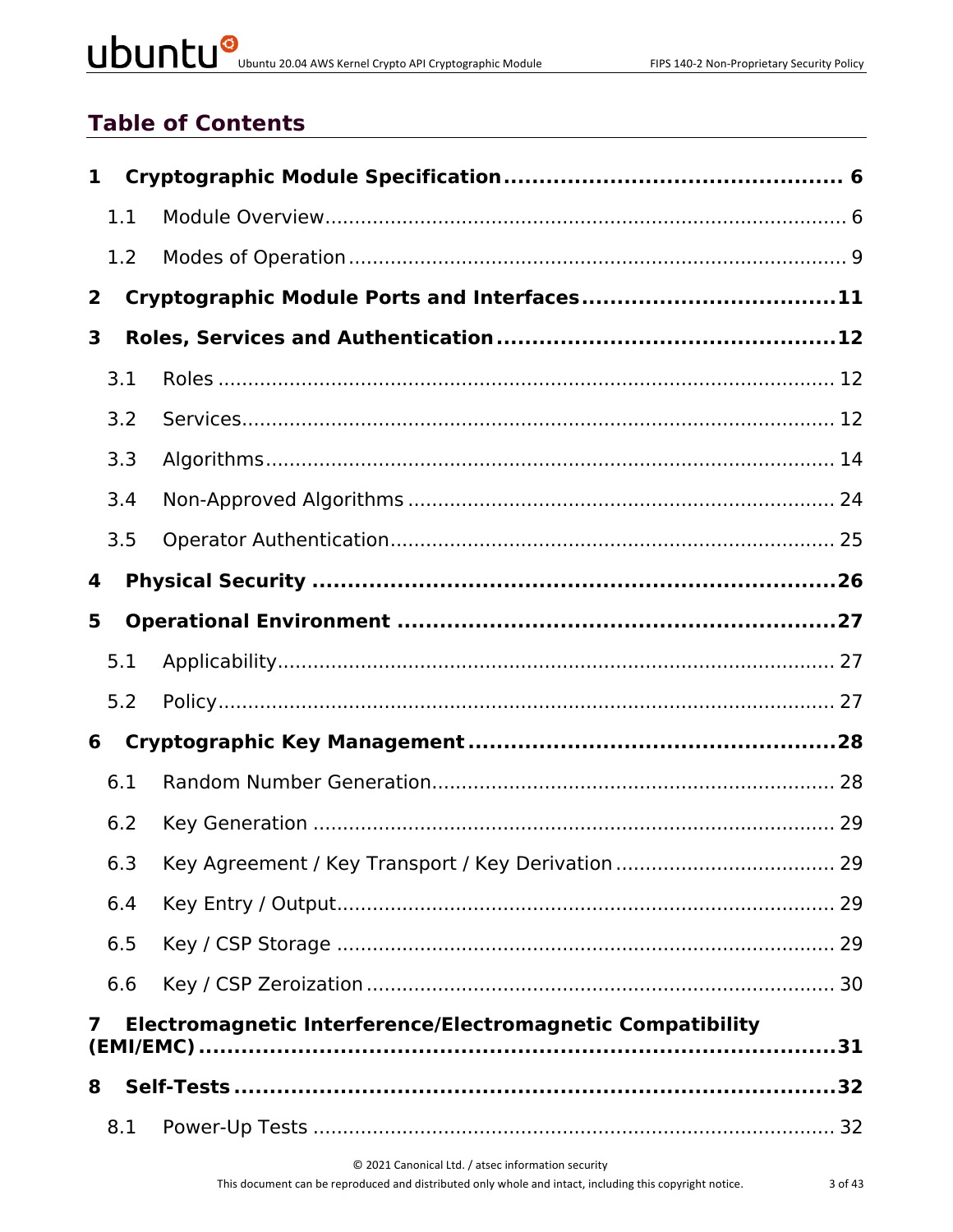# UDUNCU<sup>@</sup>Ubuntu 20.04 AWS Kernel Crypto API Cryptographic Module

# **Table of Contents**

| 1              |     |                                                            |  |
|----------------|-----|------------------------------------------------------------|--|
|                | 1.1 |                                                            |  |
|                | 1.2 |                                                            |  |
| $\overline{2}$ |     | Cryptographic Module Ports and Interfaces11                |  |
| 3              |     |                                                            |  |
|                | 3.1 |                                                            |  |
|                | 3.2 |                                                            |  |
|                | 3.3 |                                                            |  |
|                | 3.4 |                                                            |  |
|                | 3.5 |                                                            |  |
| 4              |     |                                                            |  |
| 5              |     |                                                            |  |
|                | 5.1 |                                                            |  |
|                | 5.2 |                                                            |  |
| 6              |     |                                                            |  |
|                | 6.1 |                                                            |  |
|                | 6.2 |                                                            |  |
|                | 6.3 |                                                            |  |
|                | 6.4 |                                                            |  |
|                | 6.5 |                                                            |  |
|                | 6.6 |                                                            |  |
| 7              |     | Electromagnetic Interference/Electromagnetic Compatibility |  |
| 8              |     |                                                            |  |
|                | 8.1 |                                                            |  |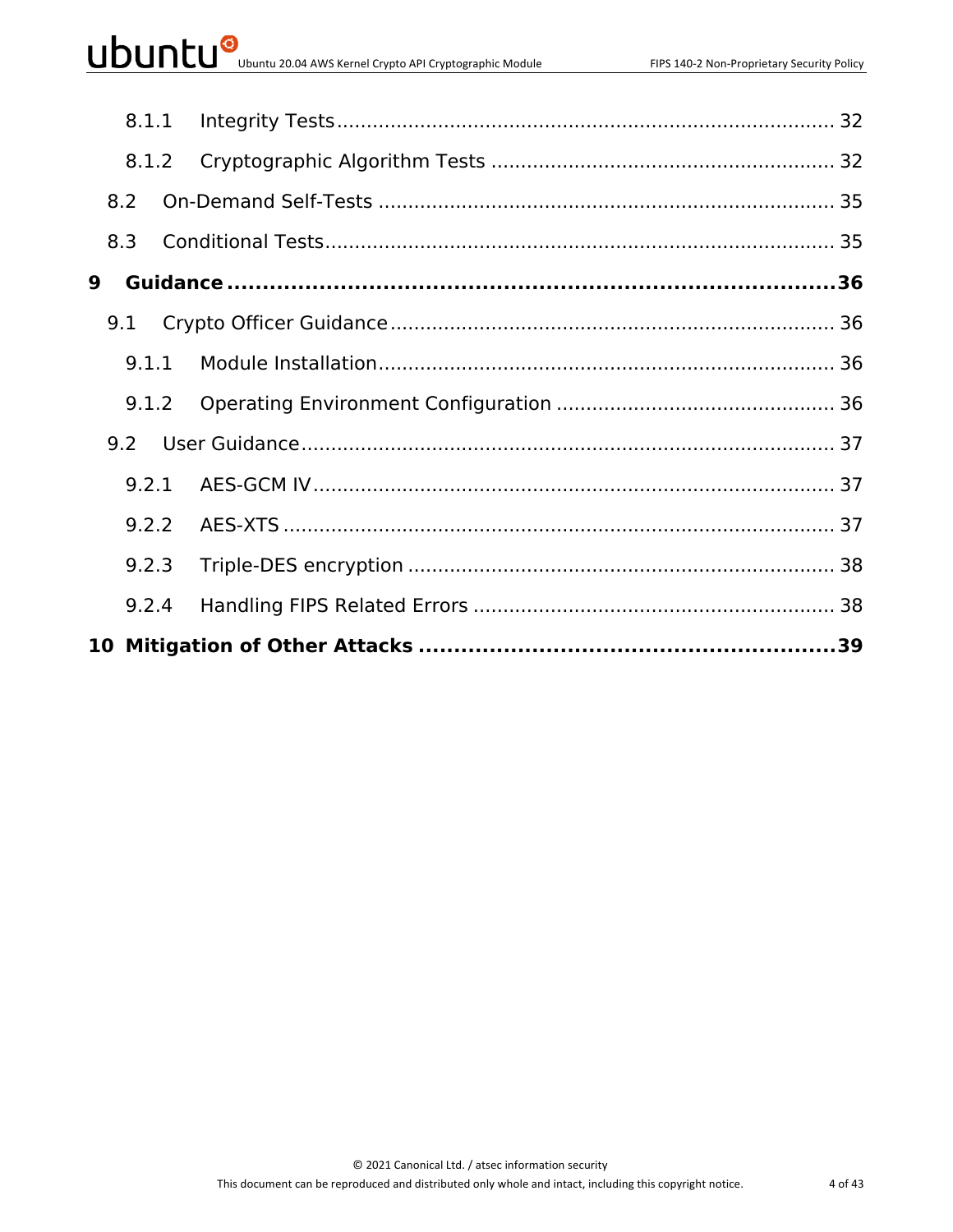| 8.1.1 |  |  |
|-------|--|--|
| 8.1.2 |  |  |
| 8.2   |  |  |
| 8.3   |  |  |
| 9     |  |  |
| 9.1   |  |  |
| 9.1.1 |  |  |
| 9.1.2 |  |  |
|       |  |  |
| 9.2.1 |  |  |
| 9.2.2 |  |  |
| 9.2.3 |  |  |
| 9.2.4 |  |  |
|       |  |  |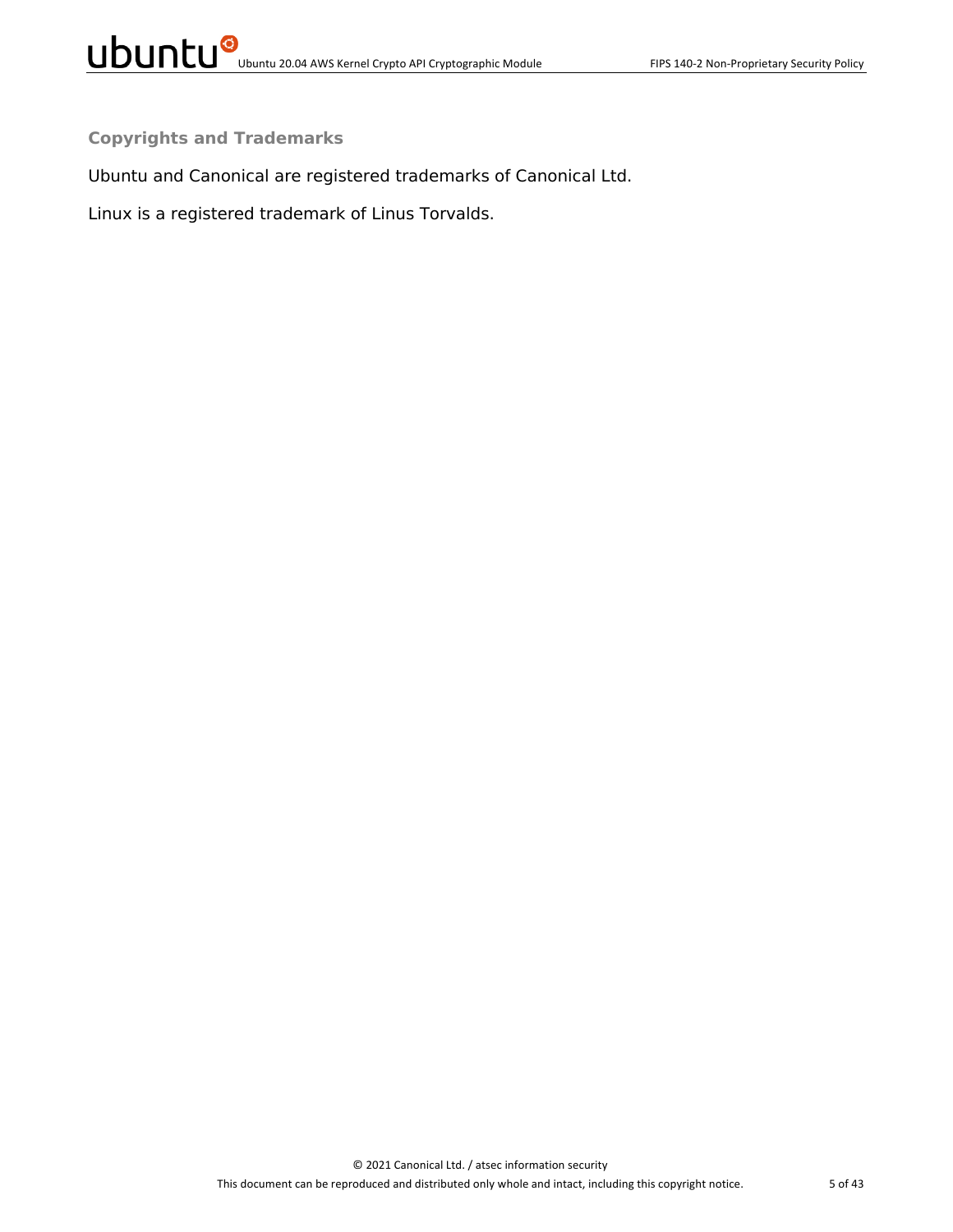**Copyrights and Trademarks**

Ubuntu and Canonical are registered trademarks of Canonical Ltd.

Linux is a registered trademark of Linus Torvalds.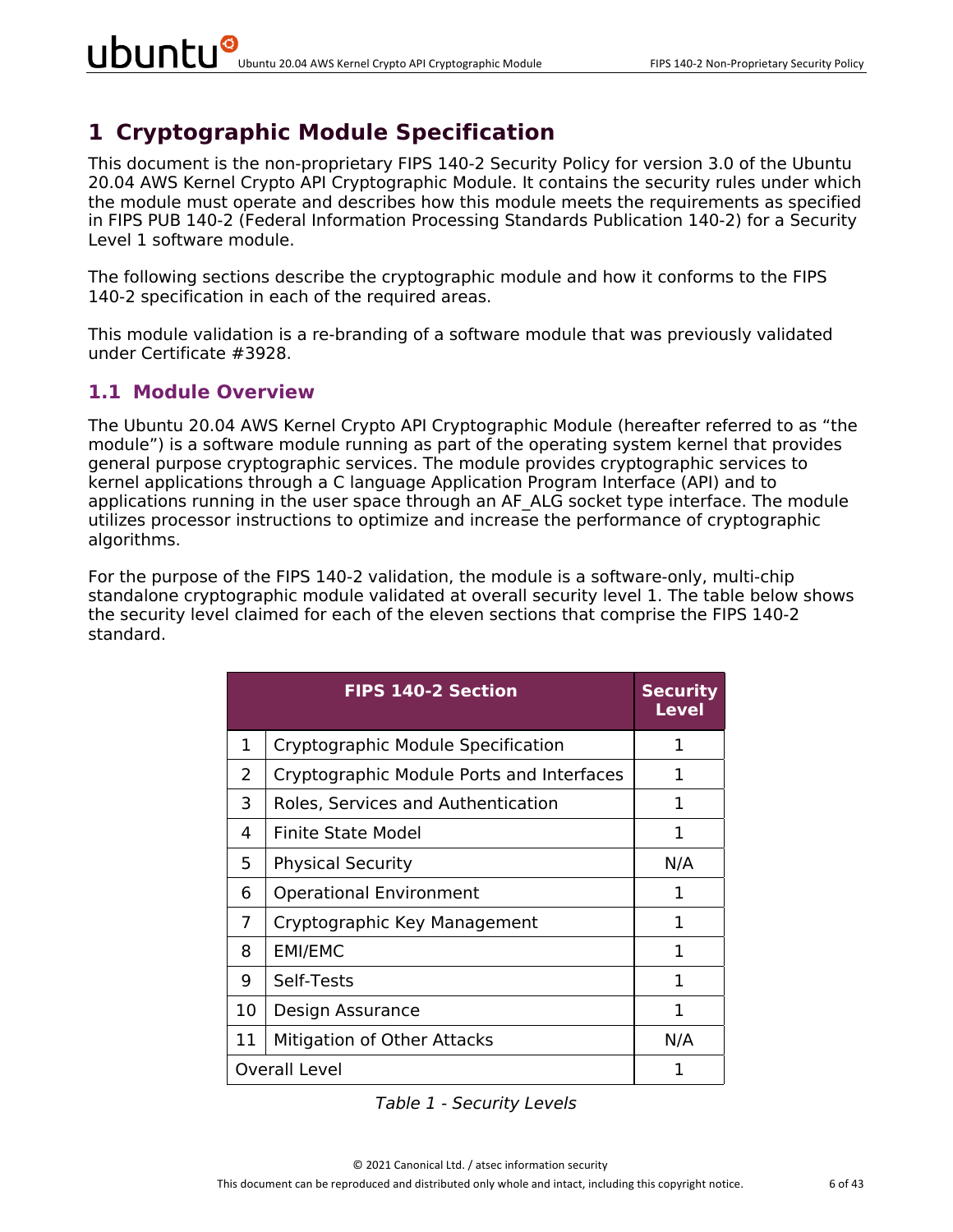# **1 Cryptographic Module Specification**

This document is the non-proprietary FIPS 140-2 Security Policy for version 3.0 of the Ubuntu 20.04 AWS Kernel Crypto API Cryptographic Module. It contains the security rules under which the module must operate and describes how this module meets the requirements as specified in FIPS PUB 140-2 (Federal Information Processing Standards Publication 140-2) for a Security Level 1 software module.

The following sections describe the cryptographic module and how it conforms to the FIPS 140-2 specification in each of the required areas.

This module validation is a re-branding of a software module that was previously validated under Certificate #3928.

#### **1.1 Module Overview**

The Ubuntu 20.04 AWS Kernel Crypto API Cryptographic Module (hereafter referred to as "the module") is a software module running as part of the operating system kernel that provides general purpose cryptographic services. The module provides cryptographic services to kernel applications through a C language Application Program Interface (API) and to applications running in the user space through an AF ALG socket type interface. The module utilizes processor instructions to optimize and increase the performance of cryptographic algorithms.

For the purpose of the FIPS 140-2 validation, the module is a software-only, multi-chip standalone cryptographic module validated at overall security level 1. The table below shows the security level claimed for each of the eleven sections that comprise the FIPS 140-2 standard.

|    | <b>FIPS 140-2 Section</b>                 | <b>Security</b><br>Level |
|----|-------------------------------------------|--------------------------|
| 1  | Cryptographic Module Specification        | 1                        |
| 2  | Cryptographic Module Ports and Interfaces | 1                        |
| 3  | Roles, Services and Authentication        | 1                        |
| 4  | Finite State Model                        | 1                        |
| 5  | <b>Physical Security</b>                  | N/A                      |
| 6  | <b>Operational Environment</b>            | 1                        |
| 7  | Cryptographic Key Management              | 1                        |
| 8  | <b>EMI/EMC</b>                            | 1                        |
| 9  | Self-Tests                                | 1                        |
| 10 | Design Assurance                          | 1                        |
| 11 | Mitigation of Other Attacks               | N/A                      |
|    | <b>Overall Level</b>                      | 1                        |

*Table 1 - Security Levels*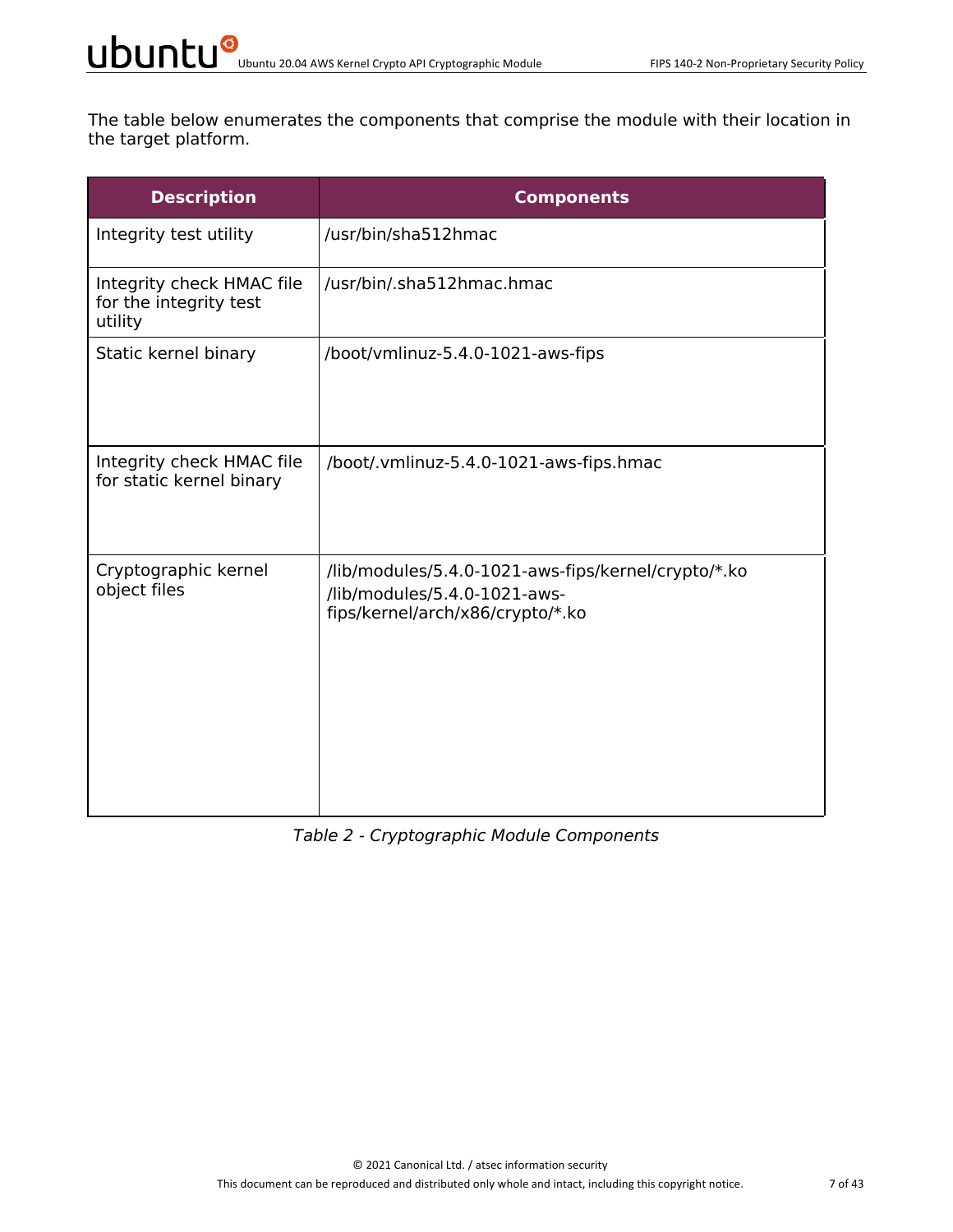The table below enumerates the components that comprise the module with their location in the target platform.

| <b>Description</b>                                             | <b>Components</b>                                                                                                       |
|----------------------------------------------------------------|-------------------------------------------------------------------------------------------------------------------------|
| Integrity test utility                                         | /usr/bin/sha512hmac                                                                                                     |
| Integrity check HMAC file<br>for the integrity test<br>utility | /usr/bin/.sha512hmac.hmac                                                                                               |
| Static kernel binary                                           | /boot/vmlinuz-5.4.0-1021-aws-fips                                                                                       |
| Integrity check HMAC file<br>for static kernel binary          | /boot/.vmlinuz-5.4.0-1021-aws-fips.hmac                                                                                 |
| Cryptographic kernel<br>object files                           | /lib/modules/5.4.0-1021-aws-fips/kernel/crypto/*.ko<br>/lib/modules/5.4.0-1021-aws-<br>fips/kernel/arch/x86/crypto/*.ko |

#### *Table 2 - Cryptographic Module Components*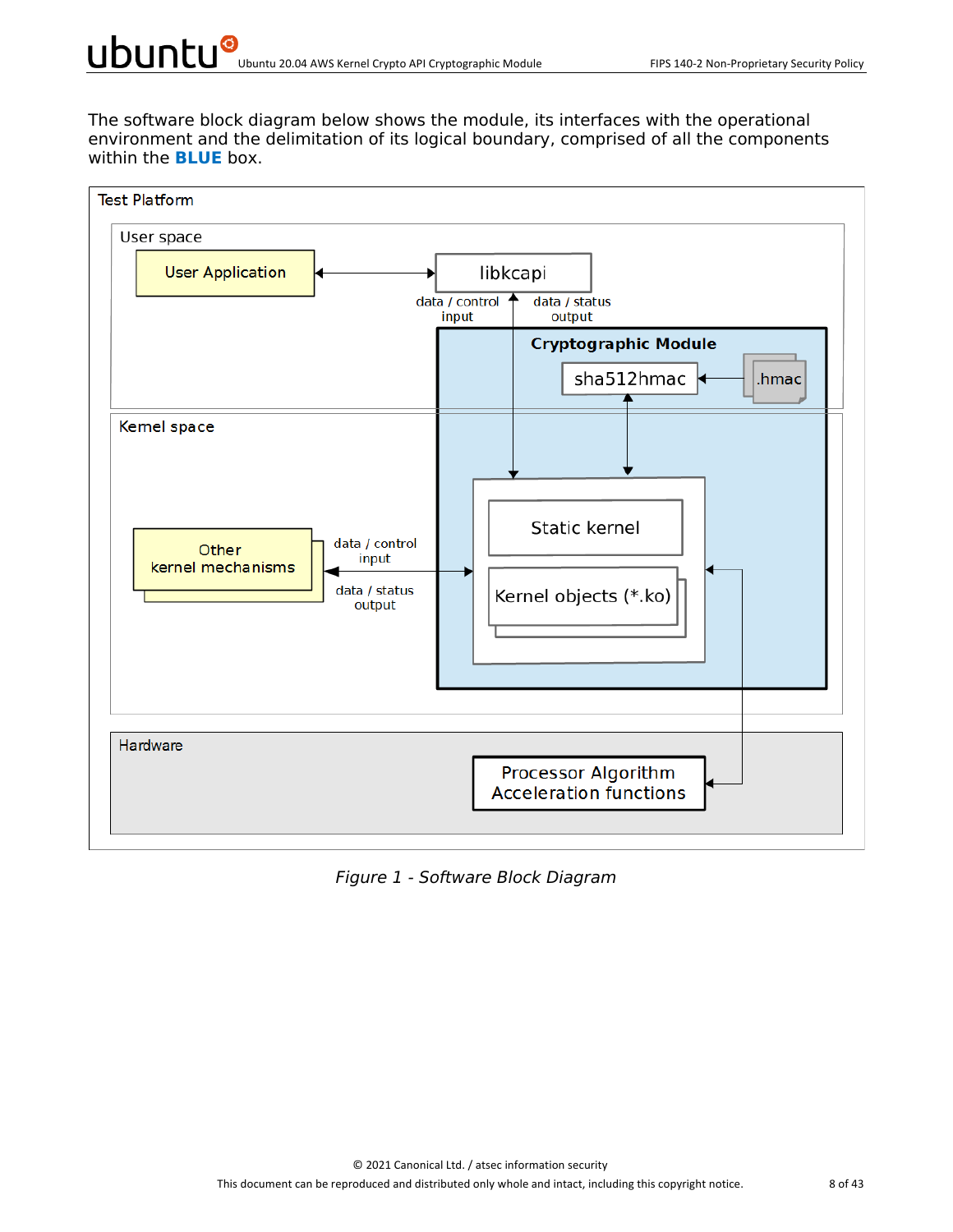The software block diagram below shows the module, its interfaces with the operational environment and the delimitation of its logical boundary, comprised of all the components within the **BLUE** box.



*Figure 1 - Software Block Diagram*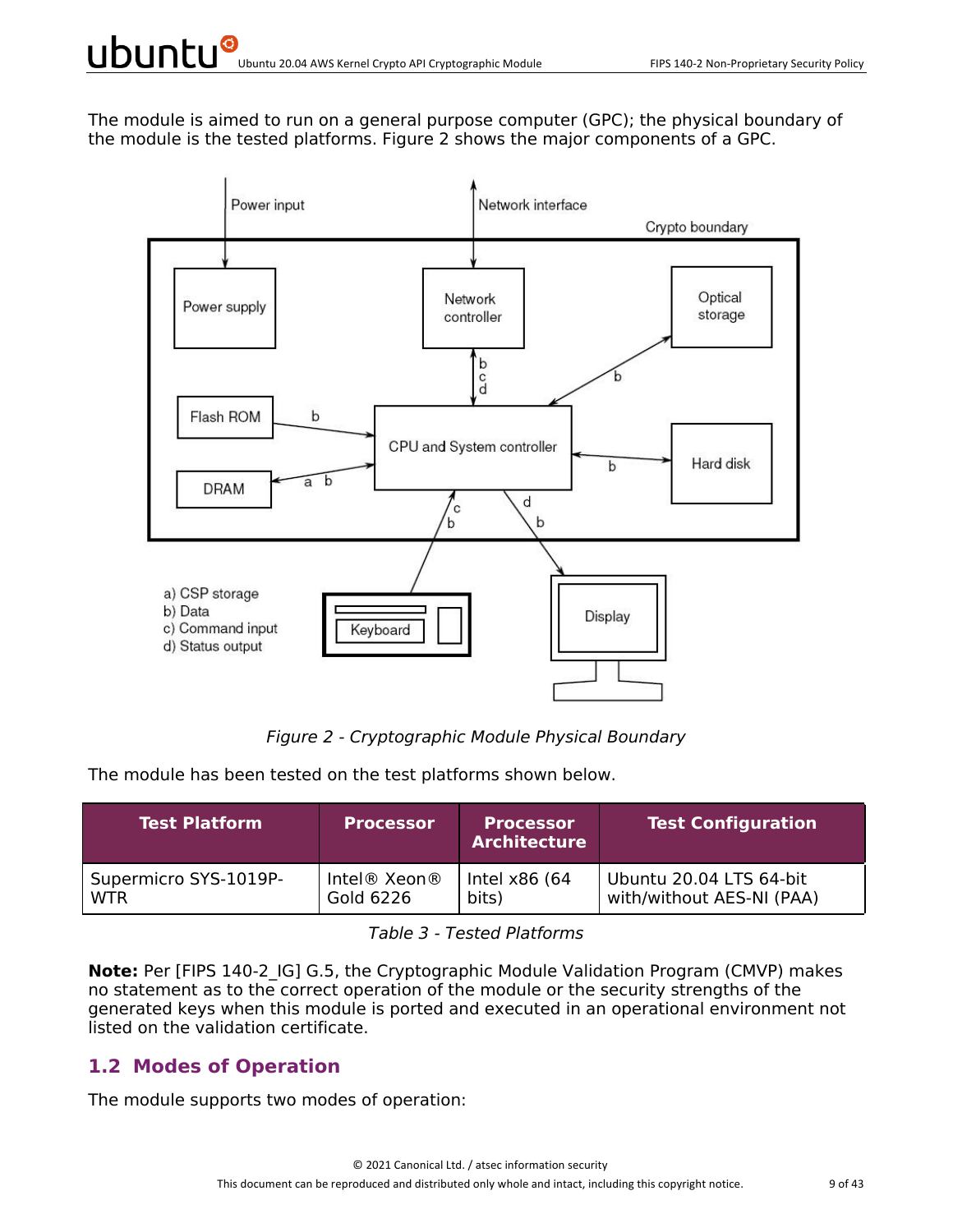The module is aimed to run on a general purpose computer (GPC); the physical boundary of the module is the tested platforms. Figure 2 shows the major components of a GPC.



*Figure 2 - Cryptographic Module Physical Boundary*

The module has been tested on the test platforms shown below.

| <b>Test Platform</b>  | <b>Processor</b> | <b>Processor</b><br><b>Architecture</b> | <b>Test Configuration</b> |
|-----------------------|------------------|-----------------------------------------|---------------------------|
| Supermicro SYS-1019P- | Intel® Xeon®     | Intel x86 (64                           | Ubuntu 20.04 LTS 64-bit   |
| <b>WTR</b>            | Gold 6226        | bits)                                   | with/without AES-NI (PAA) |

*Table 3 - Tested Platforms*

**Note:** Per [FIPS 140-2 IG] G.5, the Cryptographic Module Validation Program (CMVP) makes no statement as to the correct operation of the module or the security strengths of the generated keys when this module is ported and executed in an operational environment not listed on the validation certificate.

#### **1.2 Modes of Operation**

The module supports two modes of operation: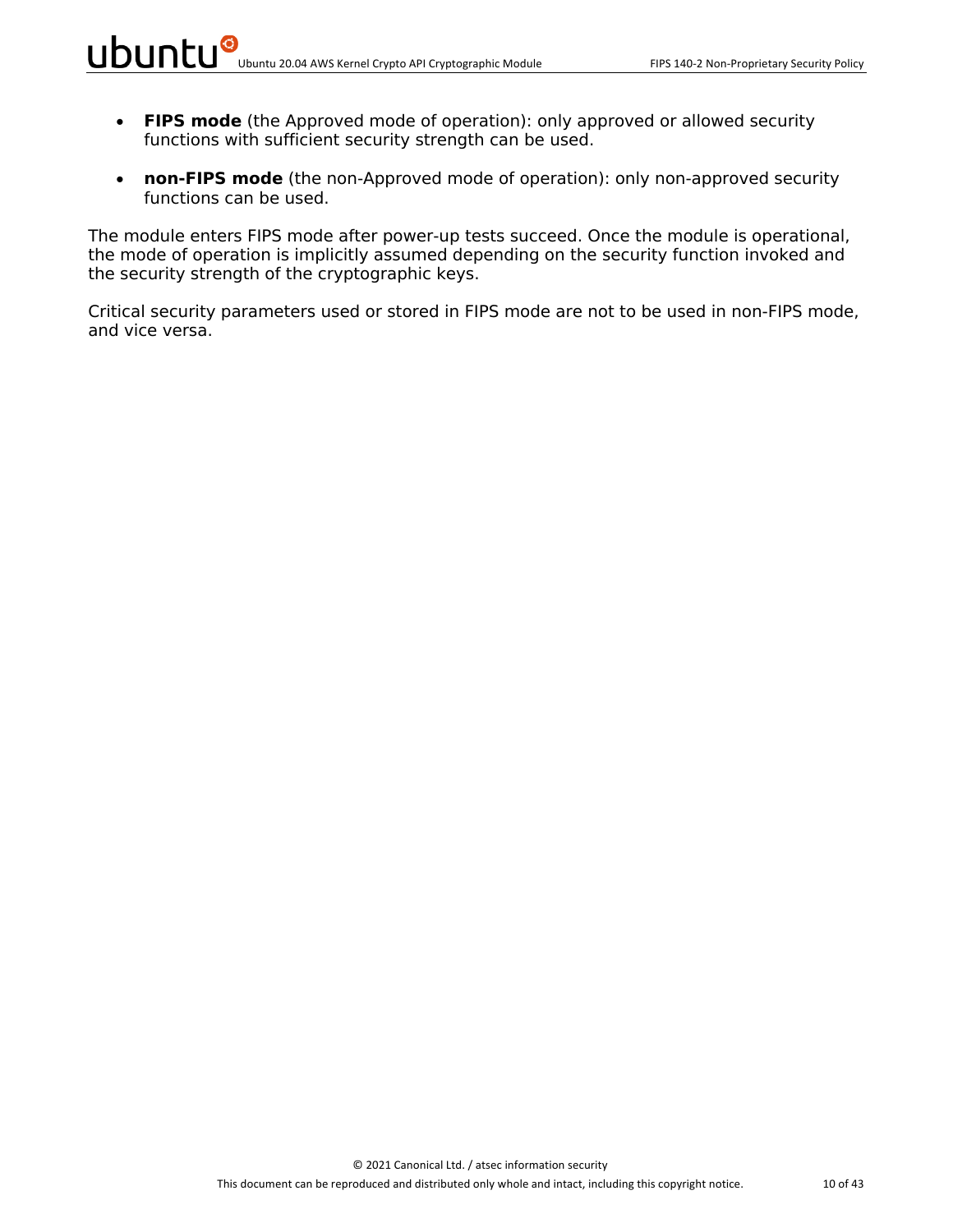- **FIPS mode** (the Approved mode of operation): only approved or allowed security functions with sufficient security strength can be used.
- **non-FIPS mode** (the non-Approved mode of operation): only non-approved security functions can be used.

The module enters FIPS mode after power-up tests succeed. Once the module is operational, the mode of operation is implicitly assumed depending on the security function invoked and the security strength of the cryptographic keys.

Critical security parameters used or stored in FIPS mode are not to be used in non-FIPS mode, and vice versa.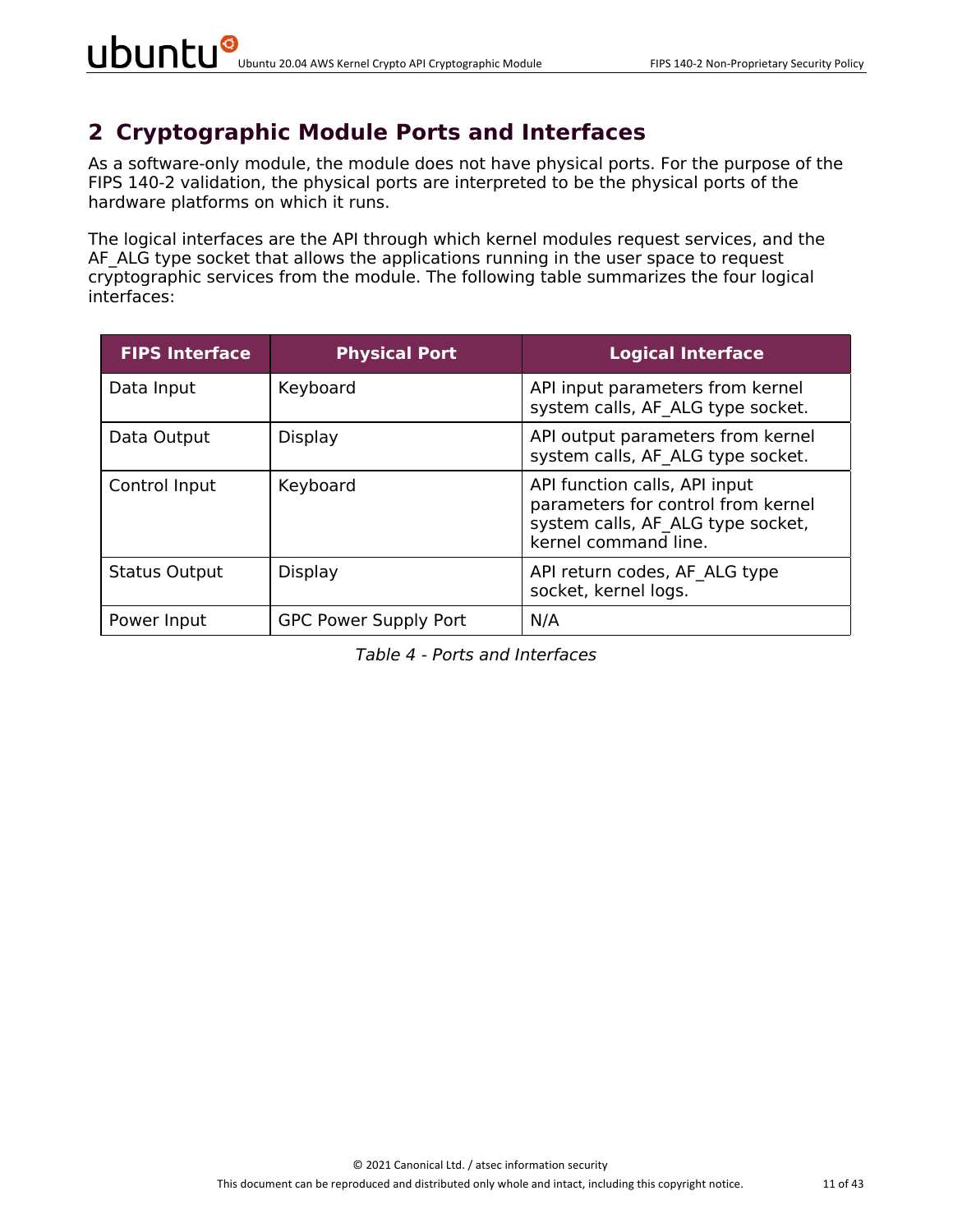## **2 Cryptographic Module Ports and Interfaces**

As a software-only module, the module does not have physical ports. For the purpose of the FIPS 140-2 validation, the physical ports are interpreted to be the physical ports of the hardware platforms on which it runs.

The logical interfaces are the API through which kernel modules request services, and the AF ALG type socket that allows the applications running in the user space to request cryptographic services from the module. The following table summarizes the four logical interfaces:

| <b>FIPS Interface</b> | <b>Physical Port</b>         | <b>Logical Interface</b>                                                                                                         |
|-----------------------|------------------------------|----------------------------------------------------------------------------------------------------------------------------------|
| Data Input            | Keyboard                     | API input parameters from kernel<br>system calls, AF ALG type socket.                                                            |
| Data Output           | Display                      | API output parameters from kernel<br>system calls, AF ALG type socket.                                                           |
| Control Input         | Keyboard                     | API function calls, API input<br>parameters for control from kernel<br>system calls, AF ALG type socket,<br>kernel command line. |
| <b>Status Output</b>  | Display                      | API return codes, AF ALG type<br>socket, kernel logs.                                                                            |
| Power Input           | <b>GPC Power Supply Port</b> | N/A                                                                                                                              |

*Table 4 - Ports and Interfaces*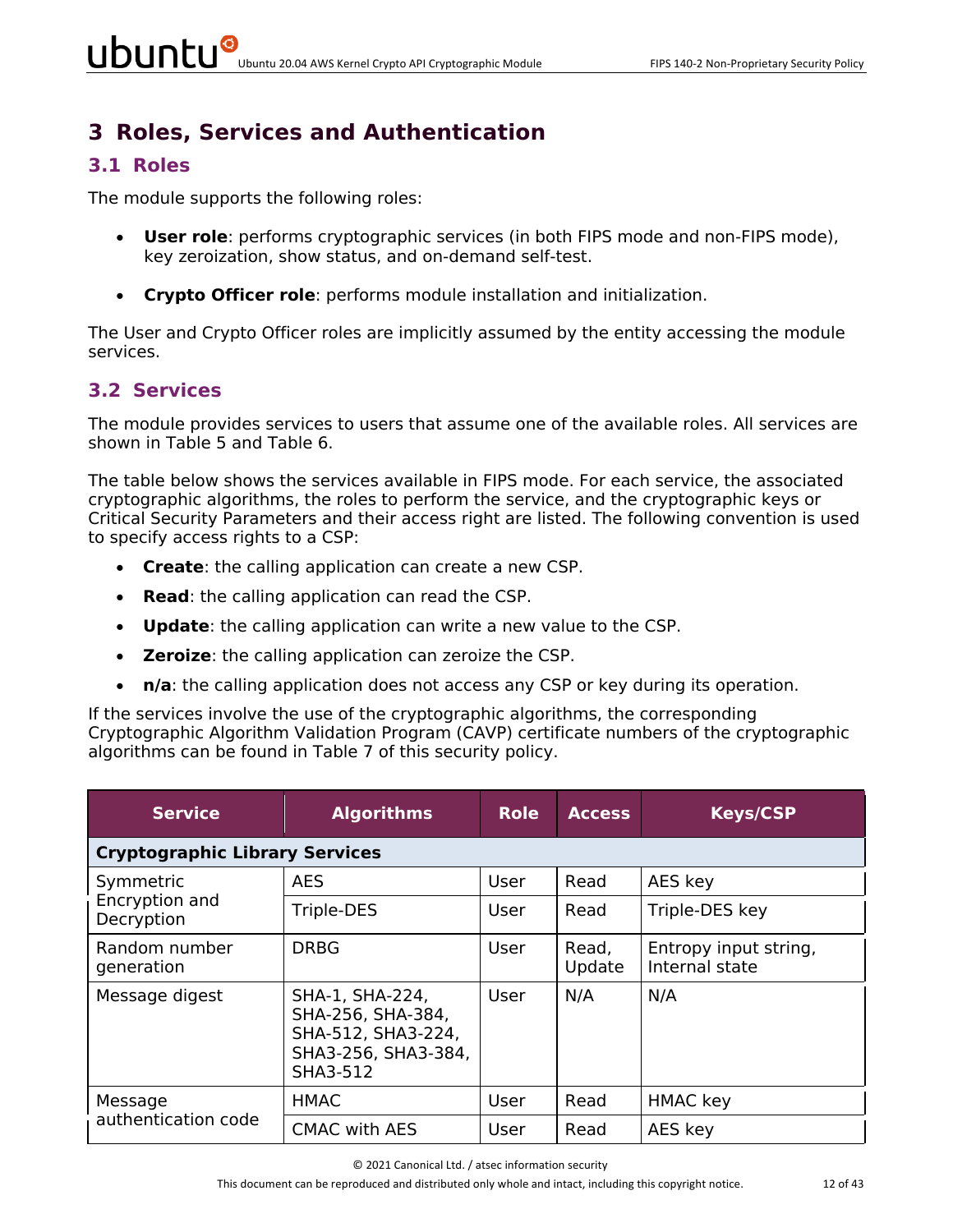# **3 Roles, Services and Authentication**

#### **3.1 Roles**

The module supports the following roles:

- **User role**: performs cryptographic services (in both FIPS mode and non-FIPS mode), key zeroization, show status, and on-demand self-test.
- **Crypto Officer role**: performs module installation and initialization.

The User and Crypto Officer roles are implicitly assumed by the entity accessing the module services.

#### **3.2 Services**

The module provides services to users that assume one of the available roles. All services are shown in Table 5 and Table 6.

The table below shows the services available in FIPS mode. For each service, the associated cryptographic algorithms, the roles to perform the service, and the cryptographic keys or Critical Security Parameters and their access right are listed. The following convention is used to specify access rights to a CSP:

- **Create**: the calling application can create a new CSP.
- **Read**: the calling application can read the CSP.
- **Update**: the calling application can write a new value to the CSP.
- **Zeroize**: the calling application can zeroize the CSP.
- **n/a**: the calling application does not access any CSP or key during its operation.

If the services involve the use of the cryptographic algorithms, the corresponding Cryptographic Algorithm Validation Program (CAVP) certificate numbers of the cryptographic algorithms can be found in Table 7 of this security policy.

| <b>Service</b>                        | <b>Algorithms</b>                                                                             | <b>Role</b> | <b>Access</b>   | <b>Keys/CSP</b>                         |  |  |  |
|---------------------------------------|-----------------------------------------------------------------------------------------------|-------------|-----------------|-----------------------------------------|--|--|--|
| <b>Cryptographic Library Services</b> |                                                                                               |             |                 |                                         |  |  |  |
| Symmetric                             | <b>AES</b>                                                                                    | User        | Read            | AES key                                 |  |  |  |
| Encryption and<br>Decryption          | Triple-DES                                                                                    | <b>User</b> | Read            | Triple-DES key                          |  |  |  |
| Random number<br>generation           | <b>DRBG</b>                                                                                   | User        | Read,<br>Update | Entropy input string,<br>Internal state |  |  |  |
| Message digest                        | SHA-1, SHA-224,<br>SHA-256, SHA-384,<br>SHA-512, SHA3-224,<br>SHA3-256, SHA3-384,<br>SHA3-512 | <b>User</b> | N/A             | N/A                                     |  |  |  |
| Message                               | HMAC                                                                                          | User        | Read            | <b>HMAC</b> key                         |  |  |  |
| authentication code                   | <b>CMAC with AES</b>                                                                          | User        | Read            | AES key                                 |  |  |  |

© 2021 Canonical Ltd. / atsec information security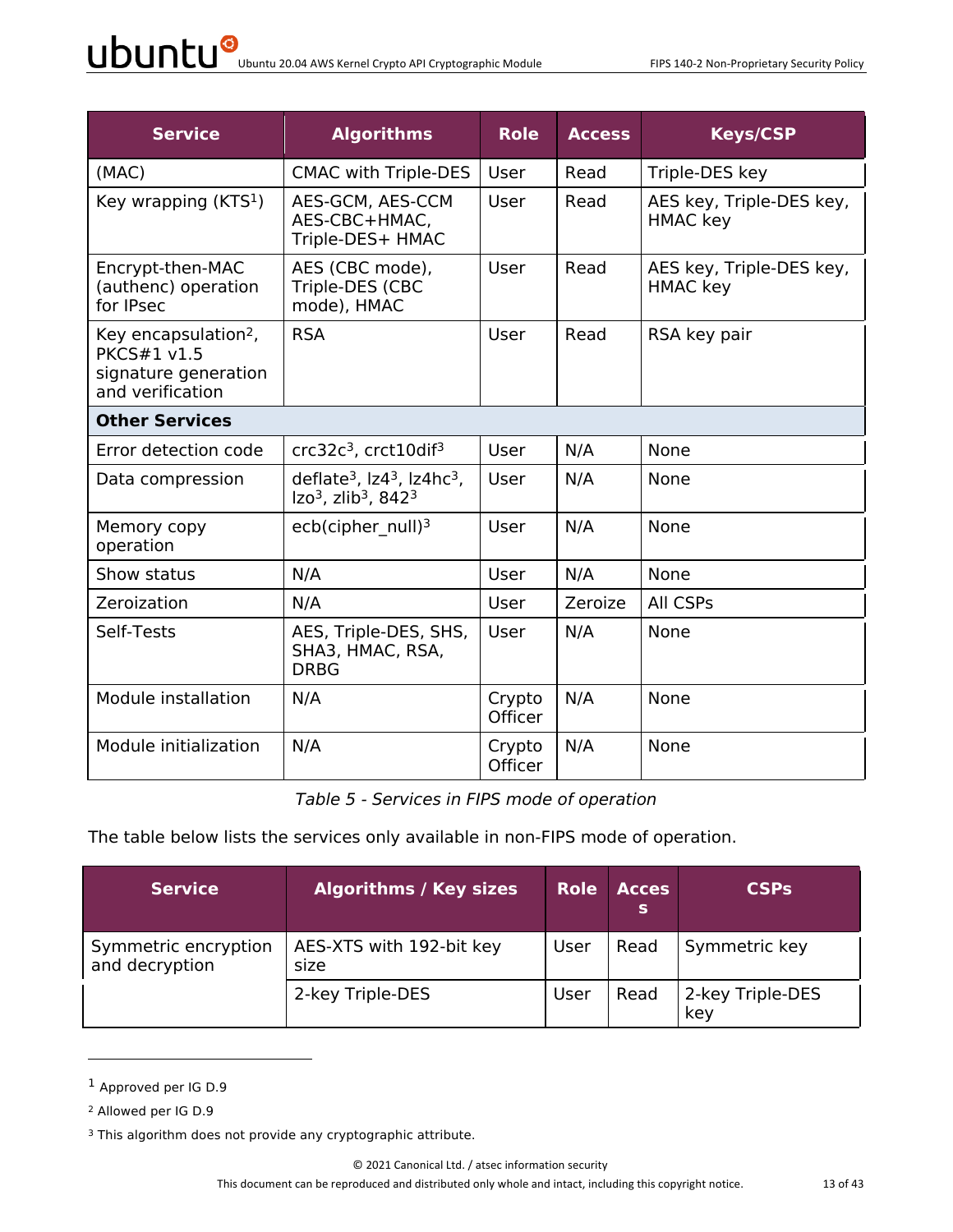| <b>Service</b>                                                                                     | <b>Algorithms</b>                                                                                         | <b>Role</b>              | <b>Access</b> | <b>Keys/CSP</b>                             |  |  |
|----------------------------------------------------------------------------------------------------|-----------------------------------------------------------------------------------------------------------|--------------------------|---------------|---------------------------------------------|--|--|
| (MAC)                                                                                              | <b>CMAC with Triple-DES</b>                                                                               | <b>User</b>              | Read          | Triple-DES key                              |  |  |
| Key wrapping $(KTS1)$                                                                              | AES-GCM, AES-CCM<br>AES-CBC+HMAC,<br>Triple-DES+ HMAC                                                     | User                     | Read          | AES key, Triple-DES key,<br><b>HMAC</b> key |  |  |
| Encrypt-then-MAC<br>(authenc) operation<br>for IPsec                                               | AES (CBC mode),<br>Triple-DES (CBC<br>mode), HMAC                                                         | User                     | Read          | AES key, Triple-DES key,<br><b>HMAC</b> key |  |  |
| Key encapsulation <sup>2</sup> ,<br><b>PKCS#1 v1.5</b><br>signature generation<br>and verification | <b>RSA</b>                                                                                                | User                     | Read          | RSA key pair                                |  |  |
| <b>Other Services</b>                                                                              |                                                                                                           |                          |               |                                             |  |  |
| Error detection code                                                                               | crc32c <sup>3</sup> , crct10dif <sup>3</sup>                                                              | <b>User</b>              | N/A           | None                                        |  |  |
| Data compression                                                                                   | deflate <sup>3</sup> , $ z4^3 $ , $ z4hc^3 $ ,<br>Izo <sup>3</sup> , zlib <sup>3</sup> , 842 <sup>3</sup> | User                     | N/A           | None                                        |  |  |
| Memory copy<br>operation                                                                           | ecb(cipher null) <sup>3</sup>                                                                             | User                     | N/A           | None                                        |  |  |
| Show status                                                                                        | N/A                                                                                                       | User                     | N/A           | None                                        |  |  |
| Zeroization                                                                                        | N/A                                                                                                       | User                     | Zeroize       | All CSPs                                    |  |  |
| Self-Tests                                                                                         | AES, Triple-DES, SHS,<br>SHA3, HMAC, RSA,<br><b>DRBG</b>                                                  | User                     | N/A           | None                                        |  |  |
| Module installation                                                                                | N/A                                                                                                       | Crypto<br>Officer        | N/A           | None                                        |  |  |
| Module initialization                                                                              | N/A                                                                                                       | Crypto<br><b>Officer</b> | N/A           | None                                        |  |  |

*Table 5 - Services in FIPS mode of operation*

The table below lists the services only available in non-FIPS mode of operation.

| Service <sup>1</sup>                   | <b>Algorithms / Key sizes</b>    | <b>Role</b> | <b>Acces</b><br>s | <b>CSPs</b>             |
|----------------------------------------|----------------------------------|-------------|-------------------|-------------------------|
| Symmetric encryption<br>and decryption | AES-XTS with 192-bit key<br>size | User        | Read              | Symmetric key           |
|                                        | 2-key Triple-DES                 | User        | Read              | 2-key Triple-DES<br>key |

<sup>1</sup> Approved per IG D.9

<sup>2</sup> Allowed per IG D.9

<sup>&</sup>lt;sup>3</sup> This algorithm does not provide any cryptographic attribute.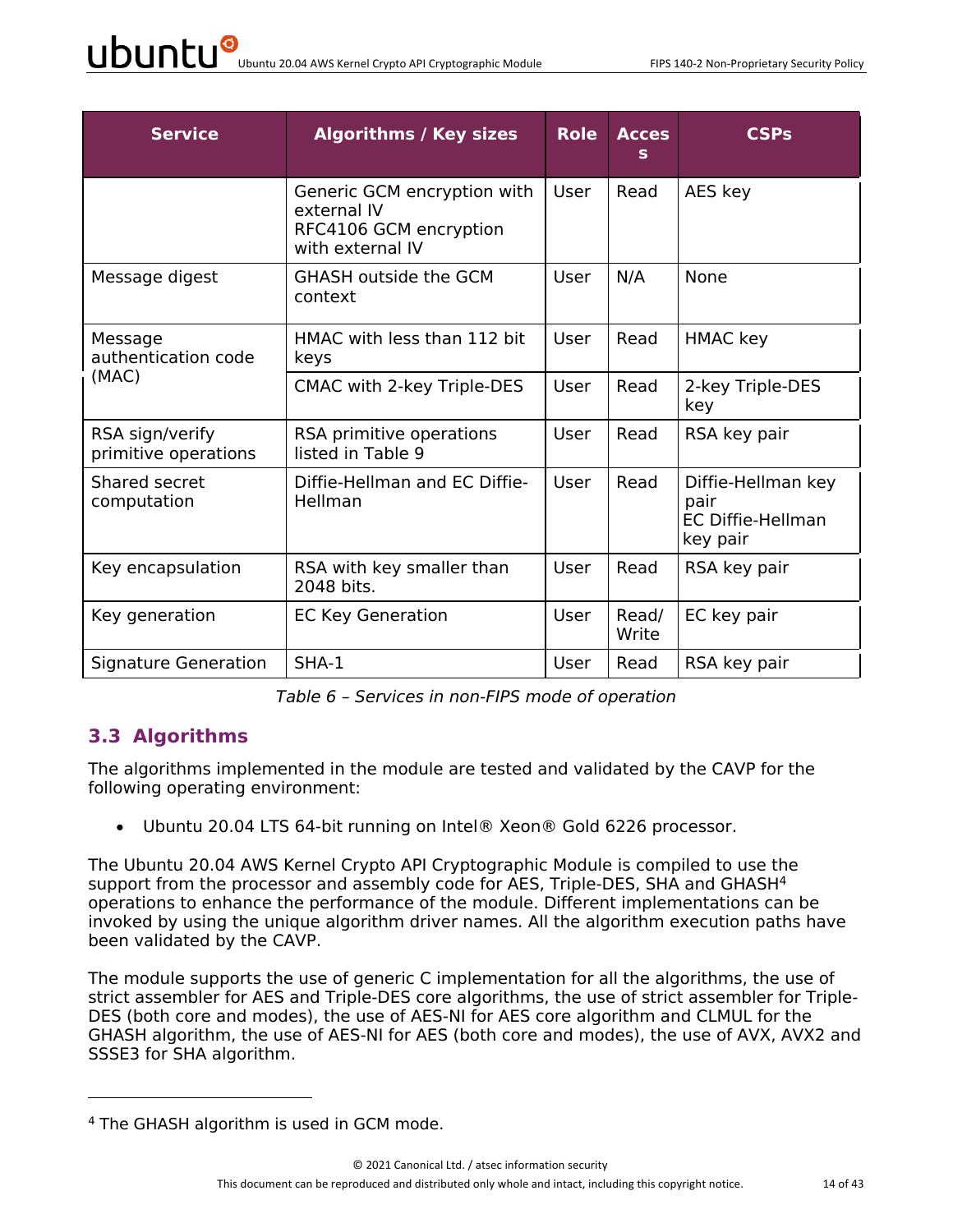| <b>Service</b>                          | <b>Algorithms / Key sizes</b>                                                            | <b>Role</b> | <b>Acces</b><br>s | <b>CSPs</b>                                                        |
|-----------------------------------------|------------------------------------------------------------------------------------------|-------------|-------------------|--------------------------------------------------------------------|
|                                         | Generic GCM encryption with<br>external IV<br>RFC4106 GCM encryption<br>with external IV | User        | Read              | AES key                                                            |
| Message digest                          | <b>GHASH outside the GCM</b><br>context                                                  | User        | N/A               | <b>None</b>                                                        |
| Message<br>authentication code          | HMAC with less than 112 bit<br>keys                                                      | User        | Read              | <b>HMAC</b> key                                                    |
| (MAC)                                   | CMAC with 2-key Triple-DES                                                               | User        | Read              | 2-key Triple-DES<br>key                                            |
| RSA sign/verify<br>primitive operations | RSA primitive operations<br>listed in Table 9                                            | User        | Read              | RSA key pair                                                       |
| Shared secret<br>computation            | Diffie-Hellman and EC Diffie-<br>Hellman                                                 | User        | Read              | Diffie-Hellman key<br>pair<br><b>EC Diffie-Hellman</b><br>key pair |
| Key encapsulation                       | RSA with key smaller than<br>2048 bits.                                                  | User        | Read              | RSA key pair                                                       |
| Key generation                          | <b>EC Key Generation</b>                                                                 | User        | Read/<br>Write    | EC key pair                                                        |
| Signature Generation                    | $SHA-1$                                                                                  | User        | Read              | RSA key pair                                                       |

*Table 6 – Services in non-FIPS mode of operation*

#### **3.3 Algorithms**

The algorithms implemented in the module are tested and validated by the CAVP for the following operating environment:

• Ubuntu 20.04 LTS 64-bit running on Intel® Xeon® Gold 6226 processor.

The Ubuntu 20.04 AWS Kernel Crypto API Cryptographic Module is compiled to use the support from the processor and assembly code for AES, Triple-DES, SHA and GHASH<sup>4</sup> operations to enhance the performance of the module. Different implementations can be invoked by using the unique algorithm driver names. All the algorithm execution paths have been validated by the CAVP.

The module supports the use of generic C implementation for all the algorithms, the use of strict assembler for AES and Triple-DES core algorithms, the use of strict assembler for Triple-DES (both core and modes), the use of AES-NI for AES core algorithm and CLMUL for the GHASH algorithm, the use of AES-NI for AES (both core and modes), the use of AVX, AVX2 and SSSE3 for SHA algorithm.

<sup>4</sup> The GHASH algorithm is used in GCM mode.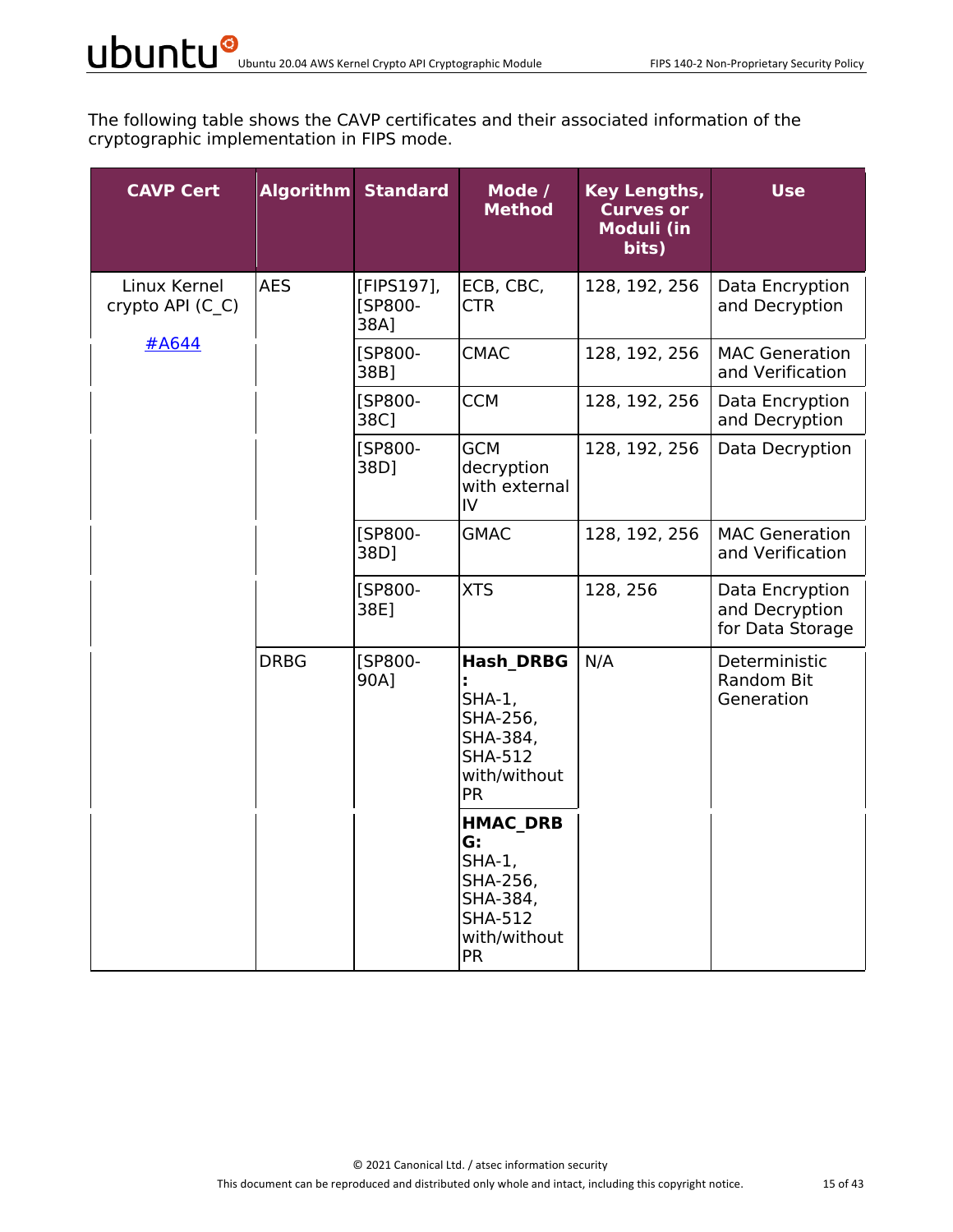The following table shows the CAVP certificates and their associated information of the cryptographic implementation in FIPS mode.

| <b>CAVP Cert</b>                 |             | <b>Algorithm Standard</b>     | Mode /<br><b>Method</b>                                                                                   | Key Lengths,<br><b>Curves or</b><br><b>Moduli (in</b><br>bits) | <b>Use</b>                                            |
|----------------------------------|-------------|-------------------------------|-----------------------------------------------------------------------------------------------------------|----------------------------------------------------------------|-------------------------------------------------------|
| Linux Kernel<br>crypto API (C C) | <b>AES</b>  | [FIPS197],<br>[SP800-<br>38A] | ECB, CBC,<br><b>CTR</b>                                                                                   | 128, 192, 256                                                  | Data Encryption<br>and Decryption                     |
| #A644                            |             | [SP800-<br>38B]               | <b>CMAC</b>                                                                                               | 128, 192, 256                                                  | <b>MAC Generation</b><br>and Verification             |
|                                  |             | [SP800-<br>38C]               | <b>CCM</b>                                                                                                | 128, 192, 256                                                  | Data Encryption<br>and Decryption                     |
|                                  |             | [SP800-<br>38D]               | <b>GCM</b><br>decryption<br>with external<br>IV                                                           | 128, 192, 256                                                  | Data Decryption                                       |
|                                  |             | [SP800-<br>38D]               | <b>GMAC</b>                                                                                               | 128, 192, 256                                                  | <b>MAC Generation</b><br>and Verification             |
|                                  |             | [SP800-<br>38E]               | <b>XTS</b>                                                                                                | 128, 256                                                       | Data Encryption<br>and Decryption<br>for Data Storage |
|                                  | <b>DRBG</b> | [SP800-<br>90A]               | <b>Hash DRBG</b><br>$SHA-1$ ,<br>SHA-256,<br>SHA-384,<br><b>SHA-512</b><br>with/without<br><b>PR</b>      | N/A                                                            | Deterministic<br>Random Bit<br>Generation             |
|                                  |             |                               | <b>HMAC DRB</b><br>G:<br>$SHA-1$ ,<br>SHA-256,<br>SHA-384,<br><b>SHA-512</b><br>with/without<br><b>PR</b> |                                                                |                                                       |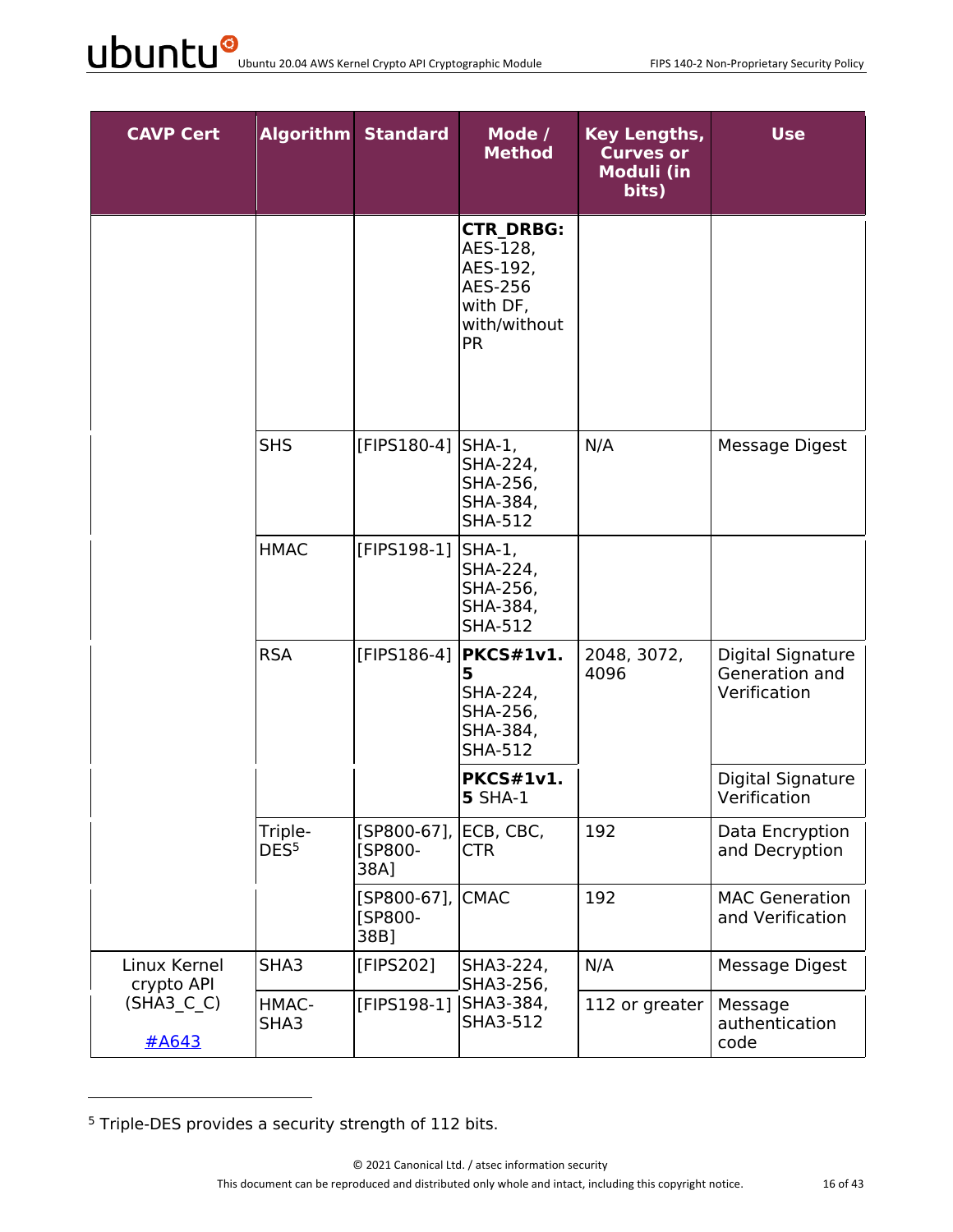| <b>CAVP Cert</b>           |                             | <b>Algorithm Standard</b>                | Mode /<br><b>Method</b>                                                                      | <b>Key Lengths,</b><br><b>Curves or</b><br><b>Moduli (in</b><br>bits) | <b>Use</b>                                          |
|----------------------------|-----------------------------|------------------------------------------|----------------------------------------------------------------------------------------------|-----------------------------------------------------------------------|-----------------------------------------------------|
|                            |                             |                                          | <b>CTR DRBG:</b><br>AES-128,<br>AES-192,<br>AES-256<br>with DF,<br>with/without<br><b>PR</b> |                                                                       |                                                     |
|                            | <b>SHS</b>                  | [FIPS180-4] SHA-1,                       | SHA-224,<br>SHA-256,<br>SHA-384,<br><b>SHA-512</b>                                           | N/A                                                                   | Message Digest                                      |
|                            | <b>HMAC</b>                 | [FIPS198-1]                              | SHA-1,<br>SHA-224,<br>SHA-256,<br>SHA-384,<br><b>SHA-512</b>                                 |                                                                       |                                                     |
|                            | <b>RSA</b>                  | [FIPS186-4]                              | PKCS#1v1.<br>5<br>SHA-224,<br>SHA-256,<br>SHA-384,<br><b>SHA-512</b>                         | 2048, 3072,<br>4096                                                   | Digital Signature<br>Generation and<br>Verification |
|                            |                             |                                          | <b>PKCS#1v1.</b><br><b>5 SHA-1</b>                                                           |                                                                       | Digital Signature<br>Verification                   |
|                            | Triple-<br>DES <sup>5</sup> | [SP800-67], ECB, CBC,<br>[SP800-<br>38A] | <b>CTR</b>                                                                                   | 192                                                                   | Data Encryption<br>and Decryption                   |
|                            |                             | [SP800-67],<br>[SP800-<br>38B]           | <b>CMAC</b>                                                                                  | 192                                                                   | <b>MAC Generation</b><br>and Verification           |
| Linux Kernel<br>crypto API | SHA3                        | [FIPS202]                                | SHA3-224,<br>SHA3-256,                                                                       | N/A                                                                   | Message Digest                                      |
| $(SHA3_C C)$<br>#A643      | HMAC-<br>SHA3               | [FIPS198-1]                              | SHA3-384,<br>SHA3-512                                                                        | 112 or greater                                                        | Message<br>authentication<br>code                   |

<sup>5</sup> Triple-DES provides a security strength of 112 bits.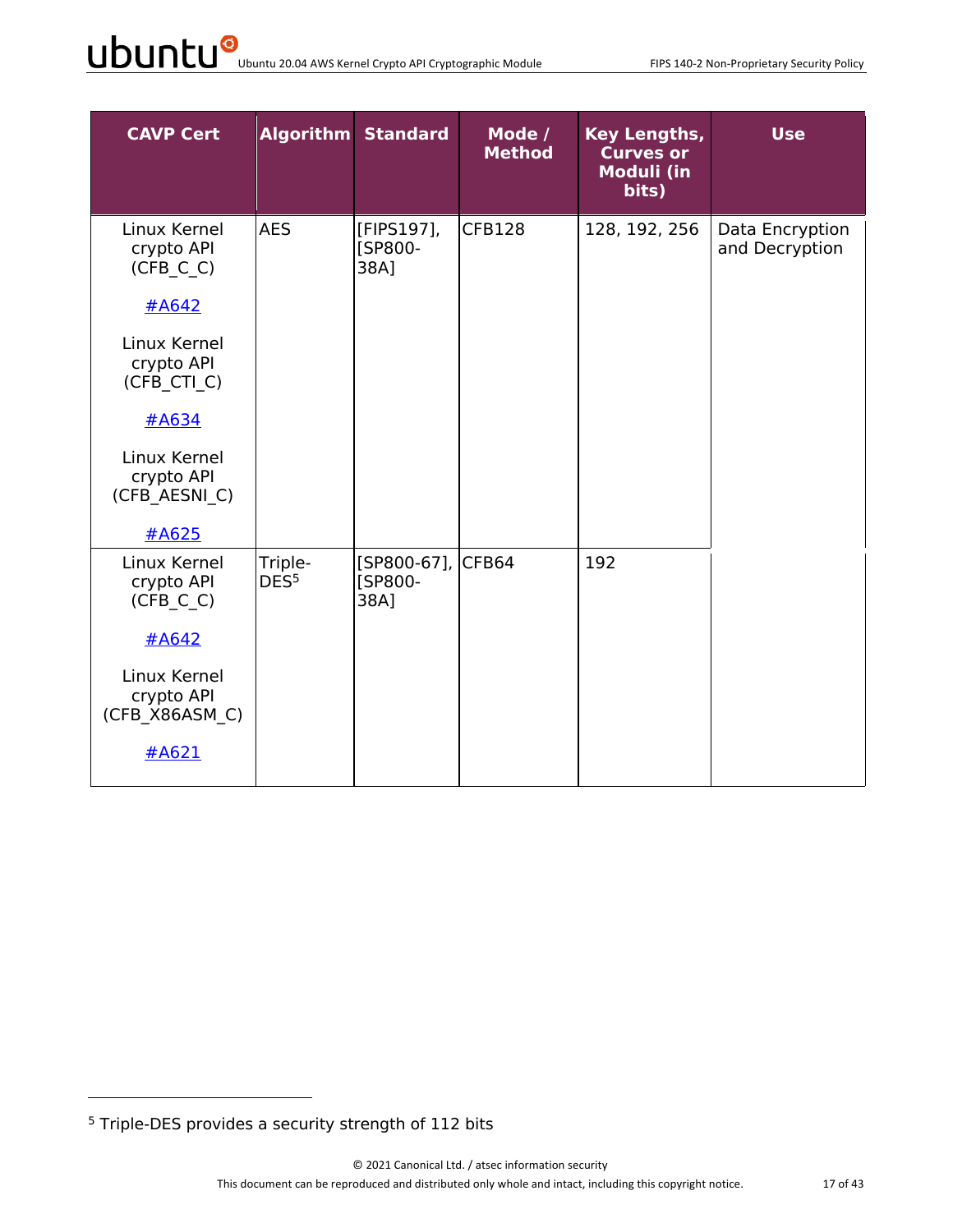| <b>CAVP Cert</b>                                                                                                                                             |                             | <b>Algorithm Standard</b>            | Mode /<br><b>Method</b> | Key Lengths,<br><b>Curves or</b><br><b>Moduli (in</b><br>bits) | <b>Use</b>                        |
|--------------------------------------------------------------------------------------------------------------------------------------------------------------|-----------------------------|--------------------------------------|-------------------------|----------------------------------------------------------------|-----------------------------------|
| Linux Kernel<br>crypto API<br>(CFB C C)<br>#A642<br>Linux Kernel<br>crypto API<br>(CFB CTI C)<br><u>#A634</u><br>Linux Kernel<br>crypto API<br>(CFB_AESNI_C) | <b>AES</b>                  | [FIPS197],<br>[SP800-<br>38A]        | <b>CFB128</b>           | 128, 192, 256                                                  | Data Encryption<br>and Decryption |
| #A625                                                                                                                                                        |                             |                                      |                         |                                                                |                                   |
| Linux Kernel<br>crypto API<br>(CFB C C)<br>#A642<br>Linux Kernel<br>crypto API<br>(CFB X86ASM C)<br>#A621                                                    | Triple-<br>DES <sup>5</sup> | [SP800-67], CFB64<br>[SP800-<br>38A] |                         | 192                                                            |                                   |

<sup>5</sup> Triple-DES provides a security strength of 112 bits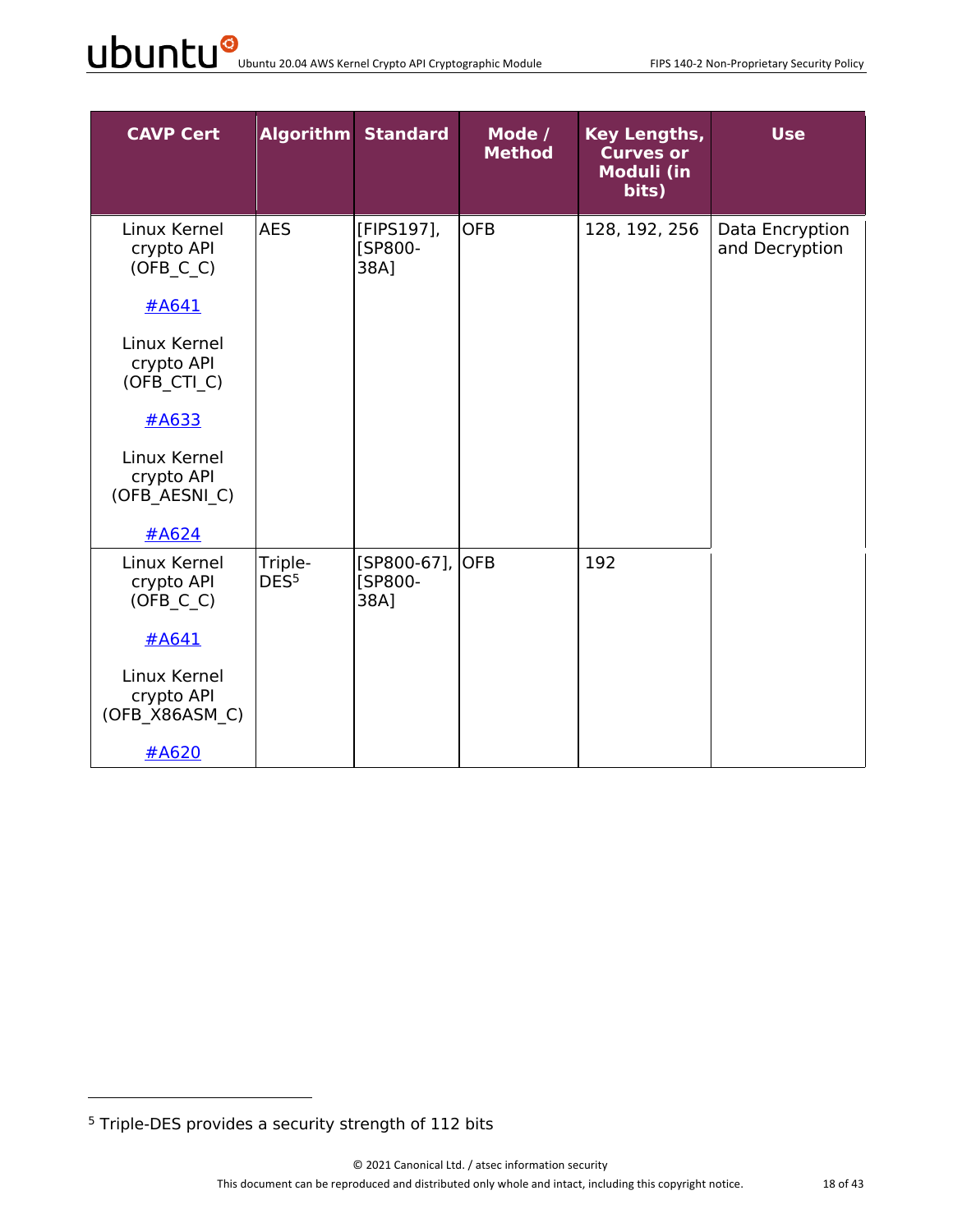| <b>CAVP Cert</b>                             |                             | <b>Algorithm Standard</b>            | Mode /<br><b>Method</b> | <b>Key Lengths,</b><br><b>Curves or</b><br><b>Moduli (in</b><br>bits) | <b>Use</b>                        |
|----------------------------------------------|-----------------------------|--------------------------------------|-------------------------|-----------------------------------------------------------------------|-----------------------------------|
| Linux Kernel<br>crypto API<br>(OFB C C)      | <b>AES</b>                  | [FIPS197],<br><b>ISP800-</b><br>38A1 | <b>OFB</b>              | 128, 192, 256                                                         | Data Encryption<br>and Decryption |
| #A641                                        |                             |                                      |                         |                                                                       |                                   |
| Linux Kernel<br>crypto API<br>(OFB_CTI_C)    |                             |                                      |                         |                                                                       |                                   |
| #A633                                        |                             |                                      |                         |                                                                       |                                   |
| Linux Kernel<br>crypto API<br>(OFB AESNI C)  |                             |                                      |                         |                                                                       |                                   |
| #A624                                        |                             |                                      |                         |                                                                       |                                   |
| Linux Kernel<br>crypto API<br>(OFB C C)      | Triple-<br>DES <sup>5</sup> | [SP800-67],<br>[SP800-<br>38A]       | <b>OFB</b>              | 192                                                                   |                                   |
| #A641                                        |                             |                                      |                         |                                                                       |                                   |
| Linux Kernel<br>crypto API<br>(OFB X86ASM C) |                             |                                      |                         |                                                                       |                                   |
| #A620                                        |                             |                                      |                         |                                                                       |                                   |

<sup>5</sup> Triple-DES provides a security strength of 112 bits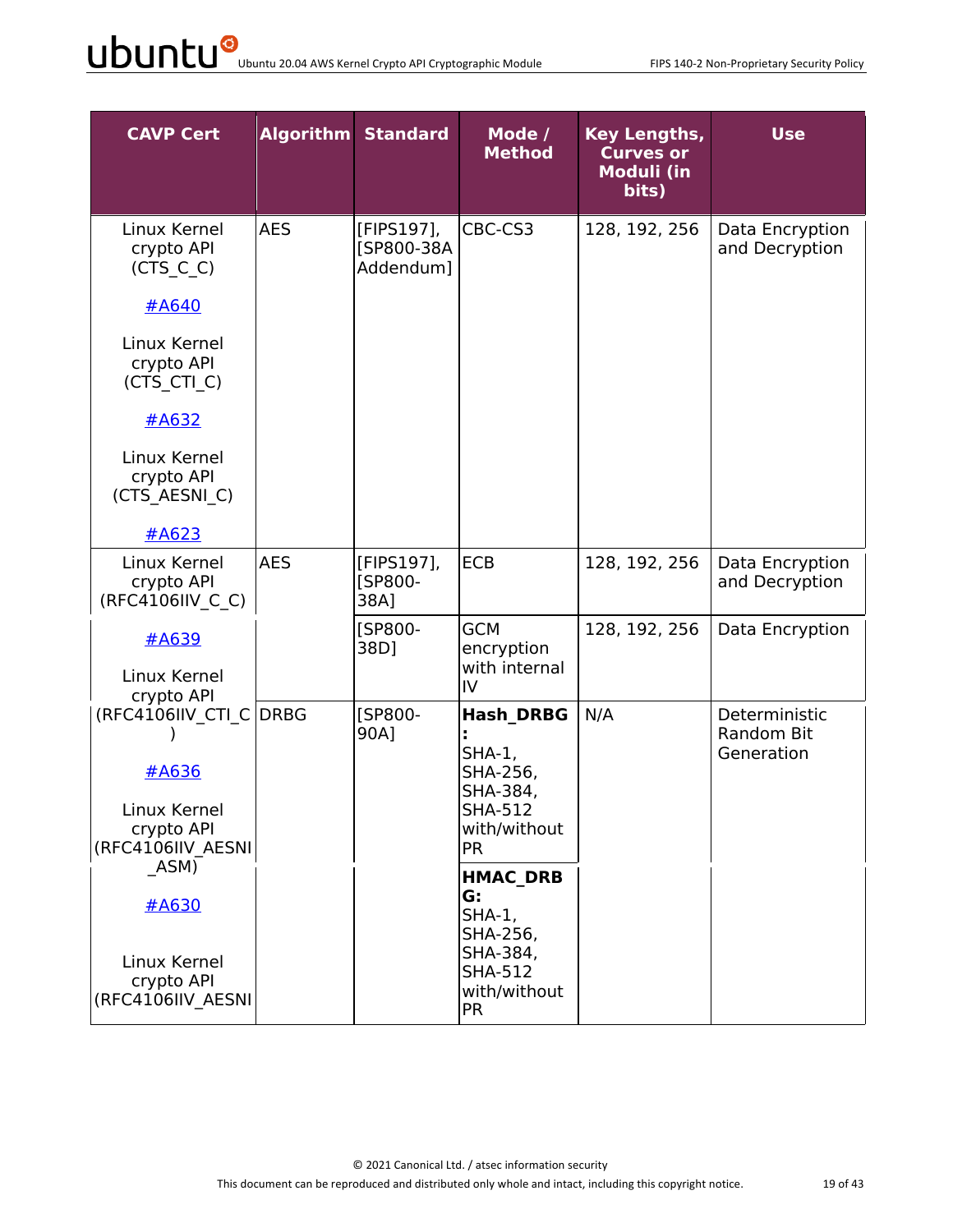| <b>CAVP Cert</b>                                                                   |            | <b>Algorithm Standard</b>             | Mode /<br><b>Method</b>                                                                                   | <b>Key Lengths,</b><br><b>Curves or</b><br><b>Moduli (in</b><br>bits) | <b>Use</b>                                |
|------------------------------------------------------------------------------------|------------|---------------------------------------|-----------------------------------------------------------------------------------------------------------|-----------------------------------------------------------------------|-------------------------------------------|
| Linux Kernel<br>crypto API<br>$(CTS_C_C)$<br>#A640                                 | <b>AES</b> | [FIPS197],<br>[SP800-38A<br>Addendum] | CBC-CS3                                                                                                   | 128, 192, 256                                                         | Data Encryption<br>and Decryption         |
| Linux Kernel<br>crypto API<br>(CTS_CTI_C)                                          |            |                                       |                                                                                                           |                                                                       |                                           |
| $\#A632$<br>Linux Kernel<br>crypto API<br>(CTS AESNI C)                            |            |                                       |                                                                                                           |                                                                       |                                           |
| #A623                                                                              |            |                                       |                                                                                                           |                                                                       |                                           |
| Linux Kernel<br>crypto API<br>(RFC4106IIV C C)                                     | <b>AES</b> | [FIPS197],<br>[SP800-<br>38A]         | <b>ECB</b>                                                                                                | 128, 192, 256                                                         | Data Encryption<br>and Decryption         |
| #A639<br>Linux Kernel<br>crypto API                                                |            | <b>[SP800-</b><br>38D]                | <b>GCM</b><br>encryption<br>with internal<br>IV                                                           | 128, 192, 256                                                         | Data Encryption                           |
| (RFC4106IIV CTI C DRBG<br>#A636<br>Linux Kernel<br>crypto API<br>(RFC4106IIV AESNI |            | [SP800-<br>90A]                       | <b>Hash DRBG</b><br><b>SHA-1,</b><br>SHA-256,<br>SHA-384,<br>SHA-512<br>with/without<br><b>PR</b>         | N/A                                                                   | Deterministic<br>Random Bit<br>Generation |
| ASM)<br>#A630<br>Linux Kernel<br>crypto API<br>(RFC4106IIV AESNI                   |            |                                       | <b>HMAC DRB</b><br>G:<br>$SHA-1$ ,<br>SHA-256,<br>SHA-384,<br><b>SHA-512</b><br>with/without<br><b>PR</b> |                                                                       |                                           |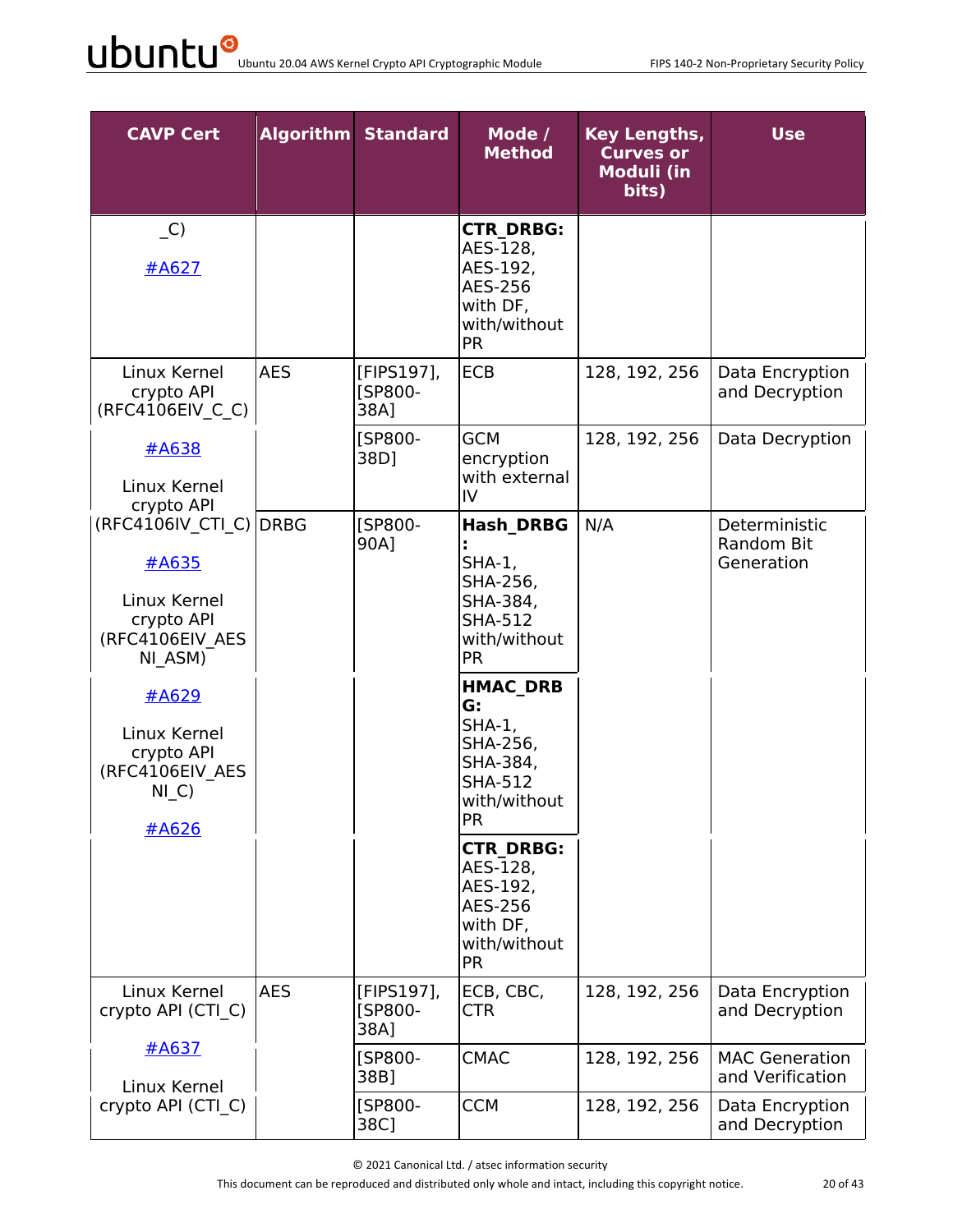| <b>CAVP Cert</b>                                                                                                                                                         |            | <b>Algorithm Standard</b>            | Mode /<br><b>Method</b>                                                                                                                                                                                                                                                                                           | <b>Key Lengths,</b><br><b>Curves or</b><br><b>Moduli (in</b><br>bits) | <b>Use</b>                                       |
|--------------------------------------------------------------------------------------------------------------------------------------------------------------------------|------------|--------------------------------------|-------------------------------------------------------------------------------------------------------------------------------------------------------------------------------------------------------------------------------------------------------------------------------------------------------------------|-----------------------------------------------------------------------|--------------------------------------------------|
| $\overline{C}$<br>#A627                                                                                                                                                  |            |                                      | <b>CTR DRBG:</b><br>AES-128,<br>AES-192,<br>AES-256<br>with DF,<br>with/without<br><b>PR</b>                                                                                                                                                                                                                      |                                                                       |                                                  |
| Linux Kernel<br>crypto API<br>(RFC4106EIV C C)                                                                                                                           | <b>AES</b> | [FIPS197],<br><b>ISP800-</b><br>38A] | <b>ECB</b>                                                                                                                                                                                                                                                                                                        | 128, 192, 256                                                         | Data Encryption<br>and Decryption                |
| #A638<br>Linux Kernel<br>crypto API                                                                                                                                      |            | [SP800-<br>38D]                      | <b>GCM</b><br>encryption<br>with external<br>IV                                                                                                                                                                                                                                                                   | 128, 192, 256                                                         | Data Decryption                                  |
| (RFC4106IV CTI C) DRBG<br>#A635<br>Linux Kernel<br>crypto API<br>(RFC4106EIV AES<br>NI ASM)<br>#A629<br>Linux Kernel<br>crypto API<br>(RFC4106EIV AES<br>$NI_C$<br>#A626 |            | <b>ISP800-</b><br>90A]               | <b>Hash DRBG</b><br>$SHA-1$ ,<br>SHA-256,<br>SHA-384,<br><b>SHA-512</b><br>with/without<br><b>PR</b><br><b>HMAC DRB</b><br>G:<br>$SHA-1$ ,<br>SHA-256,<br>SHA-384,<br><b>SHA-512</b><br>with/without<br><b>PR</b><br><b>CTR DRBG:</b><br>AES-128,<br>AES-192,<br>AES-256<br>with DF,<br>with/without<br><b>PR</b> | N/A                                                                   | Deterministic<br><b>Random Bit</b><br>Generation |
| Linux Kernel<br>crypto API (CTI C)                                                                                                                                       | <b>AES</b> | [FIPS197],<br>[SP800-<br>38A]        | ECB, CBC,<br><b>CTR</b>                                                                                                                                                                                                                                                                                           | 128, 192, 256                                                         | Data Encryption<br>and Decryption                |
| #A637<br>Linux Kernel                                                                                                                                                    |            | [SP800-<br>38B]                      | <b>CMAC</b>                                                                                                                                                                                                                                                                                                       | 128, 192, 256                                                         | <b>MAC Generation</b><br>and Verification        |
| crypto API (CTI C)                                                                                                                                                       |            | [SP800-<br>38C]                      | <b>CCM</b>                                                                                                                                                                                                                                                                                                        | 128, 192, 256                                                         | Data Encryption<br>and Decryption                |

© 2021 Canonical Ltd. / atsec information security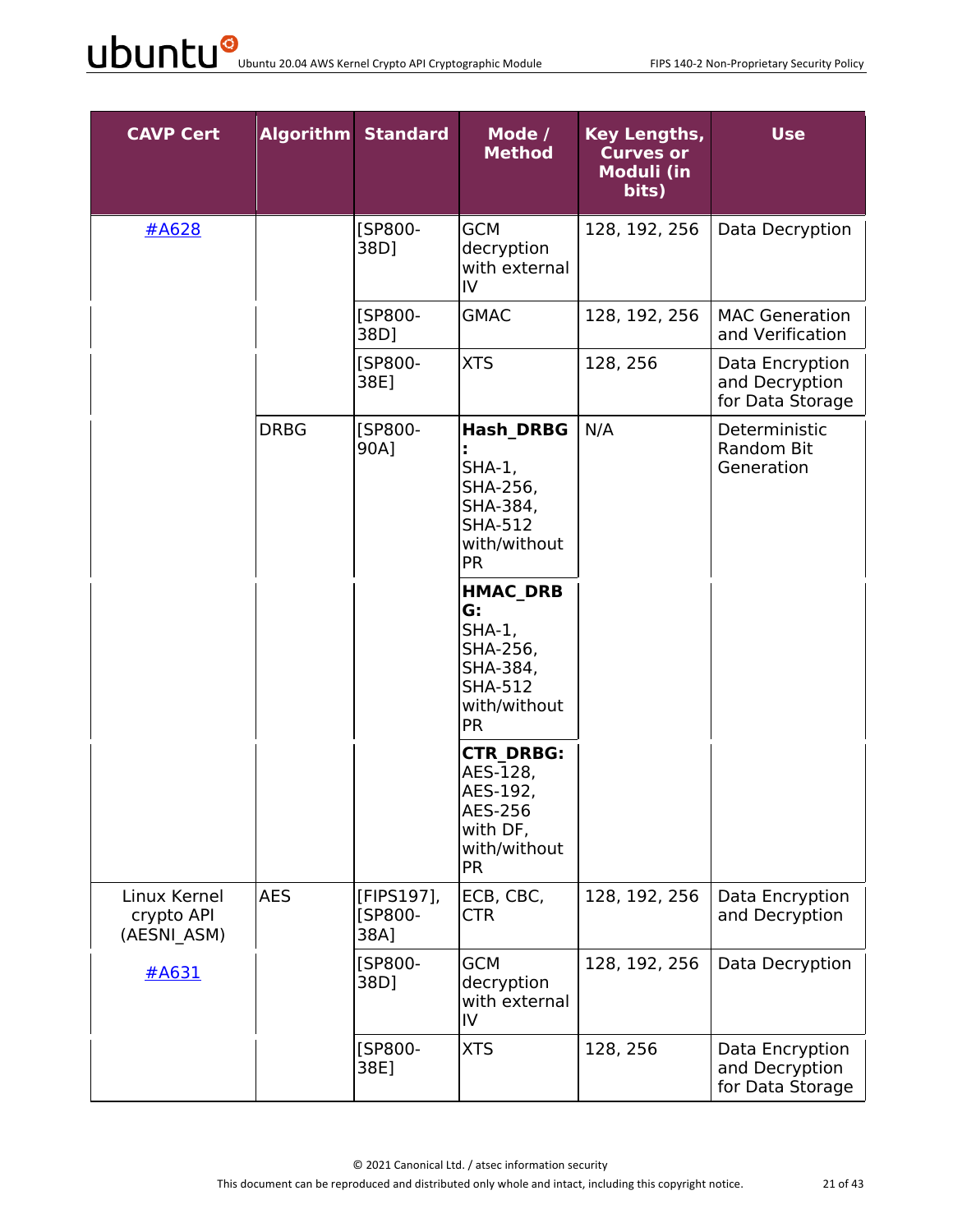| <b>CAVP Cert</b>                          |             | <b>Algorithm Standard</b>     | Mode /<br><b>Method</b>                                                                                  | Key Lengths,<br><b>Curves or</b><br>Moduli (in<br>bits) | <b>Use</b>                                            |
|-------------------------------------------|-------------|-------------------------------|----------------------------------------------------------------------------------------------------------|---------------------------------------------------------|-------------------------------------------------------|
| #A628                                     |             | [SP800-<br>38D]               | <b>GCM</b><br>decryption<br>with external<br>IV                                                          | 128, 192, 256                                           | Data Decryption                                       |
|                                           |             | [SP800-<br>38D1               | <b>GMAC</b>                                                                                              | 128, 192, 256                                           | <b>MAC Generation</b><br>and Verification             |
|                                           |             | [SP800-<br>38E]               | <b>XTS</b>                                                                                               | 128, 256                                                | Data Encryption<br>and Decryption<br>for Data Storage |
|                                           | <b>DRBG</b> | <b>[SP800-</b><br>90A]        | <b>Hash DRBG</b><br>$SHA-1$ ,<br>SHA-256,<br>SHA-384,<br><b>SHA-512</b><br>with/without<br><b>PR</b>     | N/A                                                     | Deterministic<br>Random Bit<br>Generation             |
|                                           |             |                               | <b>HMAC DRB</b><br>G:<br>$SHA-1,$<br>SHA-256,<br>SHA-384,<br><b>SHA-512</b><br>with/without<br><b>PR</b> |                                                         |                                                       |
|                                           |             |                               | <b>CTR DRBG:</b><br>AES-128,<br>AES-192,<br>AES-256<br>with DF,<br>with/without<br><b>PR</b>             |                                                         |                                                       |
| Linux Kernel<br>crypto API<br>(AESNI ASM) | <b>AES</b>  | [FIPS197],<br>[SP800-<br>38A] | ECB, CBC,<br><b>CTR</b>                                                                                  | 128, 192, 256                                           | Data Encryption<br>and Decryption                     |
| #A631                                     |             | [SP800-<br>38D]               | <b>GCM</b><br>decryption<br>with external<br>IV                                                          | 128, 192, 256                                           | Data Decryption                                       |
|                                           |             | [SP800-<br>38E]               | <b>XTS</b>                                                                                               | 128, 256                                                | Data Encryption<br>and Decryption<br>for Data Storage |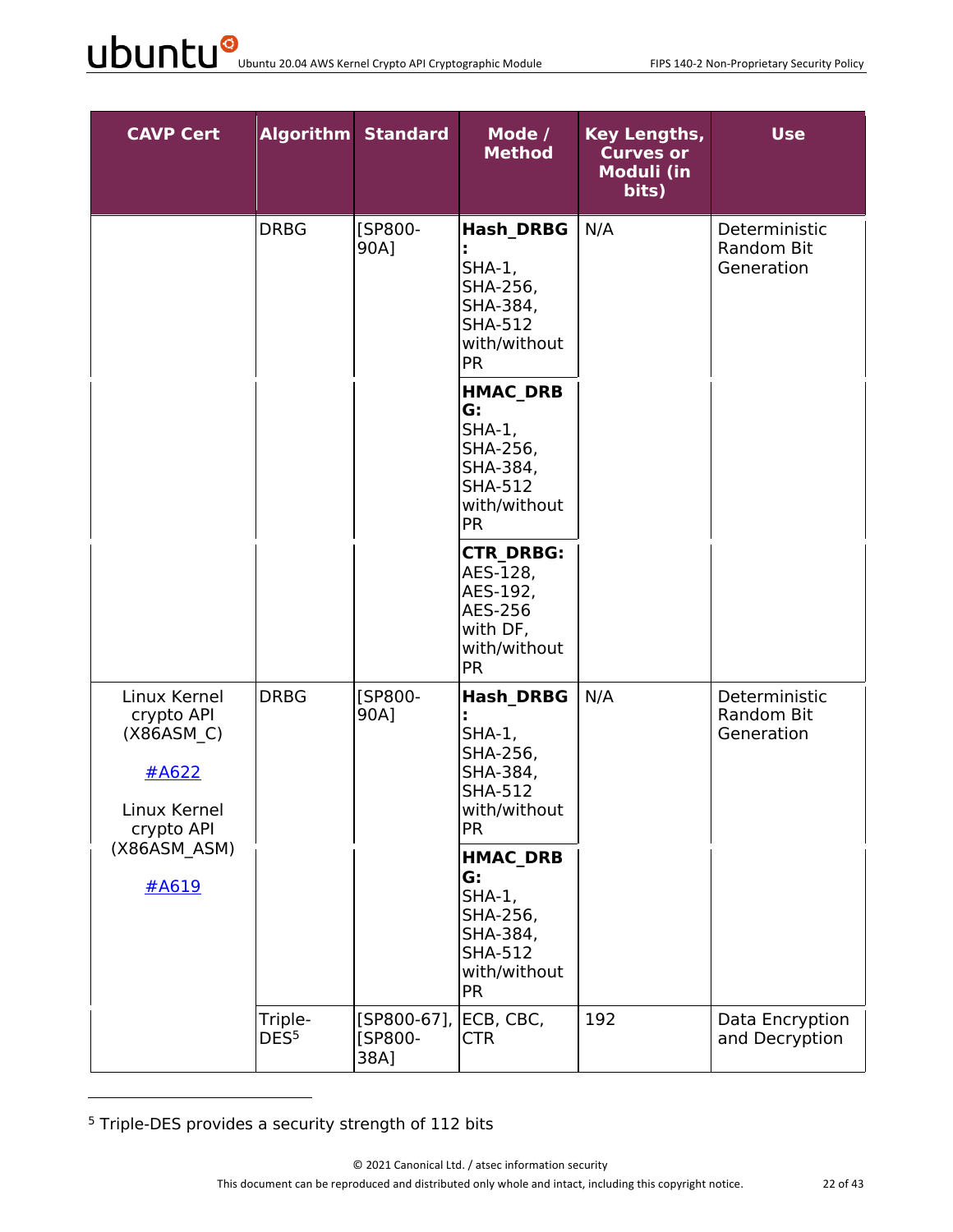| <b>CAVP Cert</b>                                                                |                             | <b>Algorithm Standard</b>      | Mode /<br><b>Method</b>                                                                                   | <b>Key Lengths,</b><br><b>Curves or</b><br><b>Moduli (in</b><br>bits) | <b>Use</b>                                |
|---------------------------------------------------------------------------------|-----------------------------|--------------------------------|-----------------------------------------------------------------------------------------------------------|-----------------------------------------------------------------------|-------------------------------------------|
|                                                                                 | <b>DRBG</b>                 | [SP800-<br>90A]                | <b>Hash DRBG</b><br>$SHA-1$ ,<br>SHA-256,<br>SHA-384,<br><b>SHA-512</b><br>with/without<br><b>PR</b>      | N/A                                                                   | Deterministic<br>Random Bit<br>Generation |
|                                                                                 |                             |                                | <b>HMAC DRB</b><br>G:<br>$SHA-1$ ,<br>SHA-256,<br>SHA-384,<br><b>SHA-512</b><br>with/without<br><b>PR</b> |                                                                       |                                           |
|                                                                                 |                             |                                | <b>CTR DRBG:</b><br>AES-128,<br>AES-192,<br>AES-256<br>with DF,<br>with/without<br><b>PR</b>              |                                                                       |                                           |
| Linux Kernel<br>crypto API<br>(X86ASM C)<br>#A622<br>Linux Kernel<br>crypto API | <b>DRBG</b>                 | [SP800-<br>90A]                | <b>Hash DRBG</b><br>$SHA-1$ ,<br>SHA-256,<br>SHA-384,<br><b>SHA-512</b><br>with/without<br><b>PR</b>      | N/A                                                                   | Deterministic<br>Random Bit<br>Generation |
| (X86ASM_ASM)<br>#A619                                                           |                             |                                | <b>HMAC DRB</b><br>G:<br>$SHA-1,$<br>SHA-256,<br>SHA-384,<br><b>SHA-512</b><br>with/without<br><b>PR</b>  |                                                                       |                                           |
|                                                                                 | Triple-<br>DES <sup>5</sup> | [SP800-67],<br>[SP800-<br>38A] | ECB, CBC,<br><b>CTR</b>                                                                                   | 192                                                                   | Data Encryption<br>and Decryption         |

<sup>5</sup> Triple-DES provides a security strength of 112 bits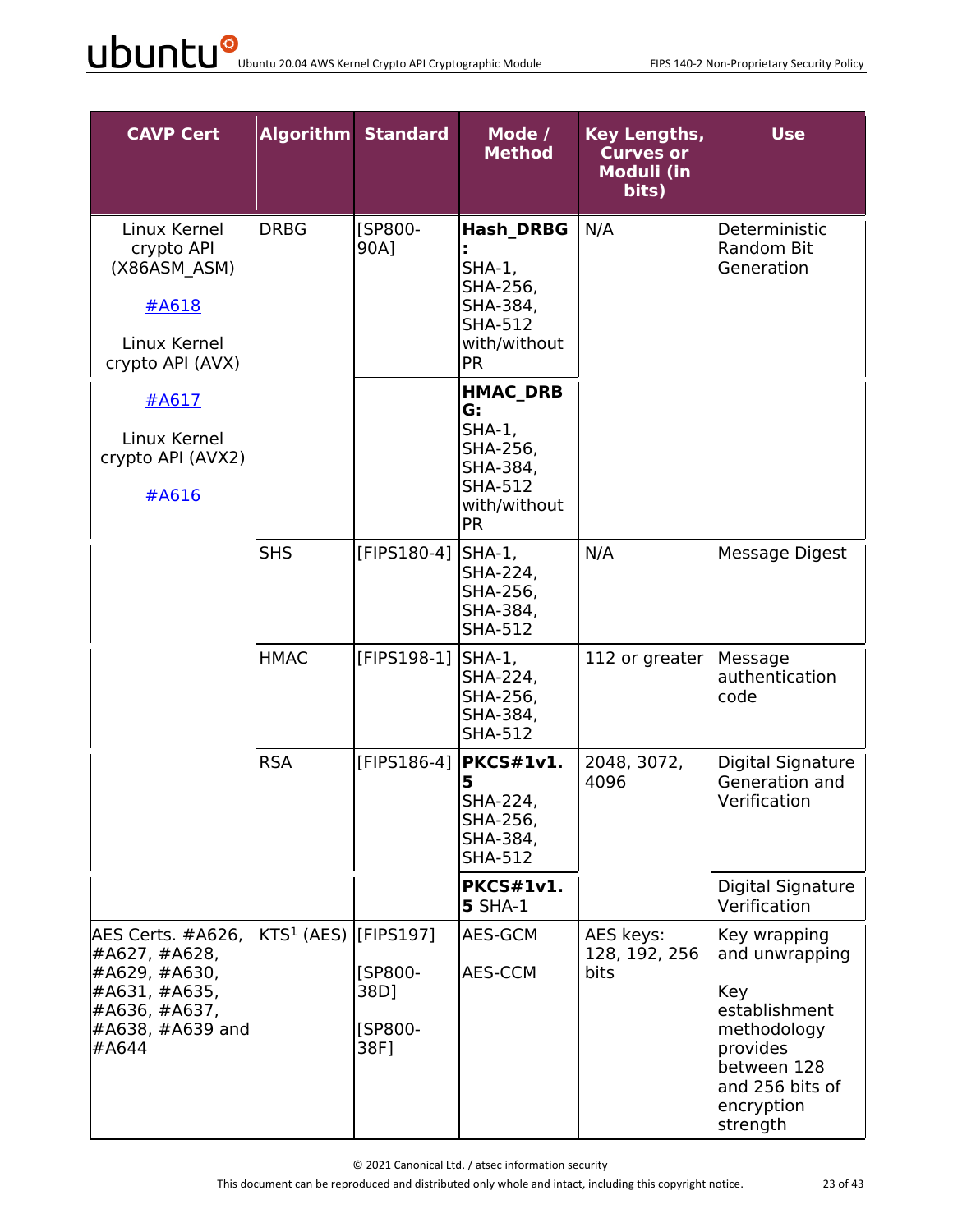| <b>CAVP Cert</b>                                                                                                     |                                     | <b>Algorithm Standard</b>          | Mode /<br><b>Method</b>                                                                                   | <b>Key Lengths,</b><br><b>Curves or</b><br><b>Moduli (in</b><br>bits) | <b>Use</b>                                                                                                                                    |
|----------------------------------------------------------------------------------------------------------------------|-------------------------------------|------------------------------------|-----------------------------------------------------------------------------------------------------------|-----------------------------------------------------------------------|-----------------------------------------------------------------------------------------------------------------------------------------------|
| Linux Kernel<br>crypto API<br>(X86ASM ASM)<br>#A618<br>Linux Kernel<br>crypto API (AVX)                              | <b>DRBG</b>                         | [SP800-<br>90A]                    | <b>Hash DRBG</b><br>$SHA-1$ ,<br>SHA-256,<br>SHA-384,<br><b>SHA-512</b><br>with/without<br><b>PR</b>      | N/A                                                                   | Deterministic<br>Random Bit<br>Generation                                                                                                     |
| #A617<br>Linux Kernel<br>crypto API (AVX2)<br>#A616                                                                  |                                     |                                    | <b>HMAC DRB</b><br>G:<br>$SHA-1$ ,<br>SHA-256,<br>SHA-384,<br><b>SHA-512</b><br>with/without<br><b>PR</b> |                                                                       |                                                                                                                                               |
|                                                                                                                      | <b>SHS</b>                          | [FIPS180-4]  SHA-1,                | SHA-224,<br>SHA-256,<br>SHA-384,<br><b>SHA-512</b>                                                        | N/A                                                                   | Message Digest                                                                                                                                |
|                                                                                                                      | <b>HMAC</b>                         | [FIPS198-1] SHA-1,                 | SHA-224,<br>SHA-256,<br>SHA-384,<br><b>SHA-512</b>                                                        | 112 or greater                                                        | Message<br>authentication<br>code                                                                                                             |
|                                                                                                                      | <b>RSA</b>                          |                                    | [FIPS186-4] $ PKCS#1v1.$<br>5<br>SHA-224,<br>SHA-256,<br>SHA-384,<br><b>SHA-512</b>                       | 2048, 3072,<br>4096                                                   | Digital Signature<br>Generation and<br>Verification                                                                                           |
|                                                                                                                      |                                     |                                    | <b>PKCS#1v1.</b><br><b>5 SHA-1</b>                                                                        |                                                                       | Digital Signature<br>Verification                                                                                                             |
| AES Certs. #A626,<br>#A627, #A628,<br>#A629, #A630,<br>#A631, #A635,<br>#A636, #A637,<br>$#A638, #A639$ and<br>#A644 | KTS <sup>1</sup> (AES) $[$ FIPS197] | [SP800-<br>38D]<br>[SP800-<br>38F] | AES-GCM<br>AES-CCM                                                                                        | AES keys:<br>128, 192, 256<br><b>bits</b>                             | Key wrapping<br>and unwrapping<br>Key<br>establishment<br>methodology<br>provides<br>between 128<br>and 256 bits of<br>encryption<br>strength |

© 2021 Canonical Ltd. / atsec information security

This document can be reproduced and distributed only whole and intact, including this copyright notice. 23 of 43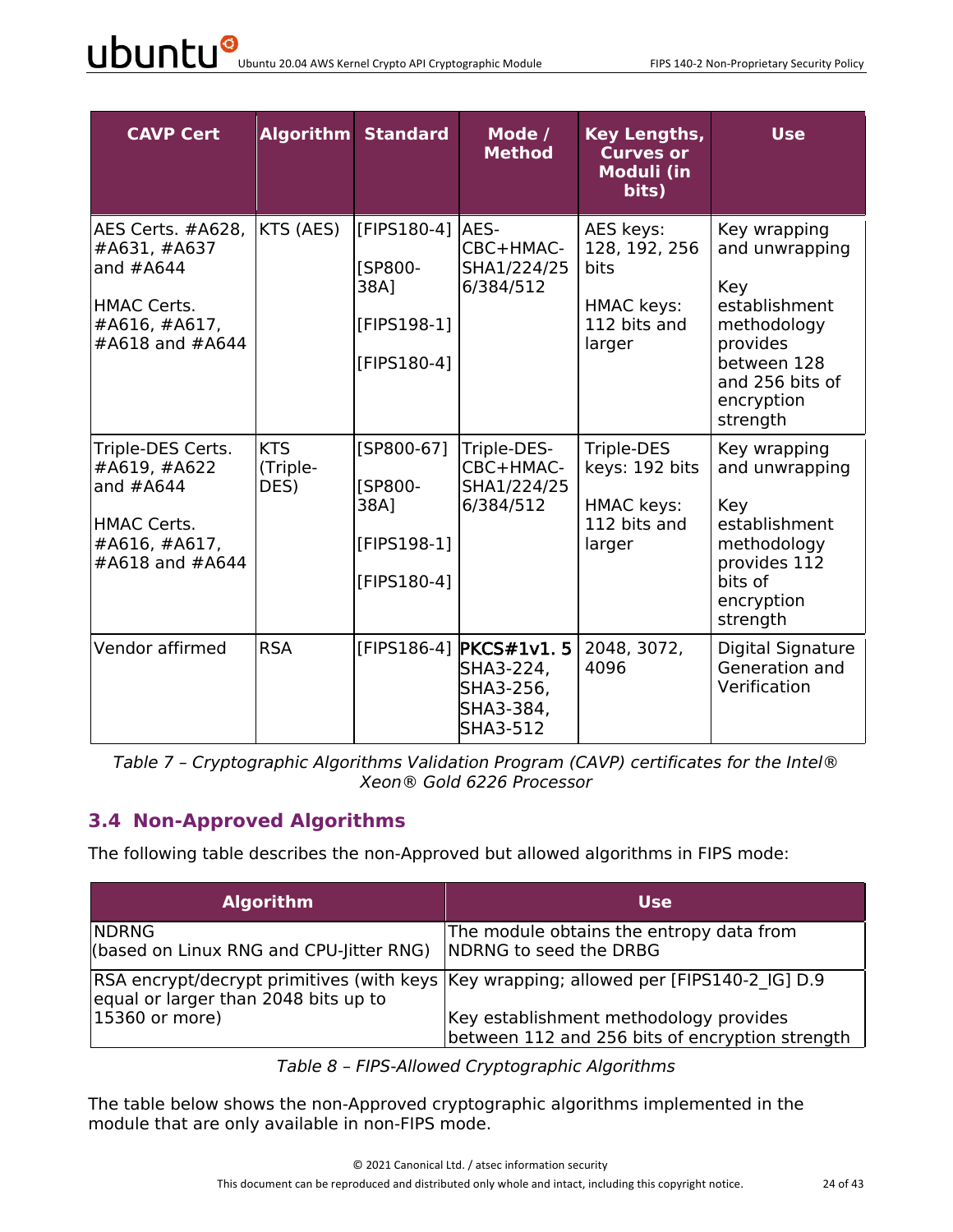| <b>CAVP Cert</b>                                                                                           |                                | <b>Algorithm Standard</b>                                           | Mode /<br><b>Method</b>                                                          | Key Lengths,<br><b>Curves or</b><br><b>Moduli (in</b><br>bits)              | <b>Use</b>                                                                                                                                    |
|------------------------------------------------------------------------------------------------------------|--------------------------------|---------------------------------------------------------------------|----------------------------------------------------------------------------------|-----------------------------------------------------------------------------|-----------------------------------------------------------------------------------------------------------------------------------------------|
| AES Certs. #A628,<br>#A631, #A637<br>and $#A644$<br><b>HMAC Certs.</b><br>#A616, #A617,<br>#A618 and #A644 | KTS (AES)                      | [FIPS180-4]<br><b>[SP800-</b><br>38A]<br>[FIPS198-1]<br>[FIPS180-4] | AES-<br>CBC+HMAC-<br>SHA1/224/25<br>6/384/512                                    | AES keys:<br>128, 192, 256<br>bits<br>HMAC keys:<br>112 bits and<br>larger  | Key wrapping<br>and unwrapping<br>Key<br>establishment<br>methodology<br>provides<br>between 128<br>and 256 bits of<br>encryption<br>strength |
| Triple-DES Certs.<br>#A619, #A622<br>and $#A644$<br><b>HMAC Certs.</b><br>#A616, #A617,<br>#A618 and #A644 | <b>KTS</b><br>(Triple-<br>DES) | [SP800-67]<br><b>ISP800-</b><br>38A]<br>[FIPS198-1]<br>[FIPS180-4]  | Triple-DES-<br>CBC+HMAC-<br>SHA1/224/25<br>6/384/512                             | Triple-DES<br>keys: 192 bits<br><b>HMAC keys:</b><br>112 bits and<br>larger | Key wrapping<br>and unwrapping<br>Key<br>establishment<br>methodology<br>provides 112<br>bits of<br>encryption<br>strength                    |
| Vendor affirmed                                                                                            | <b>RSA</b>                     |                                                                     | [FIPS186-4] <b>PKCS#1v1.5</b><br>SHA3-224,<br>SHA3-256,<br>SHA3-384,<br>SHA3-512 | 2048, 3072,<br>4096                                                         | Digital Signature<br>Generation and<br>Verification                                                                                           |

*Table 7 – Cryptographic Algorithms Validation Program (CAVP) certificates for the Intel® Xeon® Gold 6226 Processor*

#### **3.4 Non-Approved Algorithms**

The following table describes the non-Approved but allowed algorithms in FIPS mode:

| <b>Algorithm</b>                                        | <b>Use</b>                                                                                |
|---------------------------------------------------------|-------------------------------------------------------------------------------------------|
| <b>NDRNG</b><br>(based on Linux RNG and CPU-Jitter RNG) | The module obtains the entropy data from<br>NDRNG to seed the DRBG                        |
| equal or larger than 2048 bits up to                    | RSA encrypt/decrypt primitives (with keys  Key wrapping; allowed per [FIPS140-2 IG] D.9   |
| 15360 or more)                                          | Key establishment methodology provides<br>between 112 and 256 bits of encryption strength |

*Table 8 – FIPS-Allowed Cryptographic Algorithms*

The table below shows the non-Approved cryptographic algorithms implemented in the module that are only available in non-FIPS mode.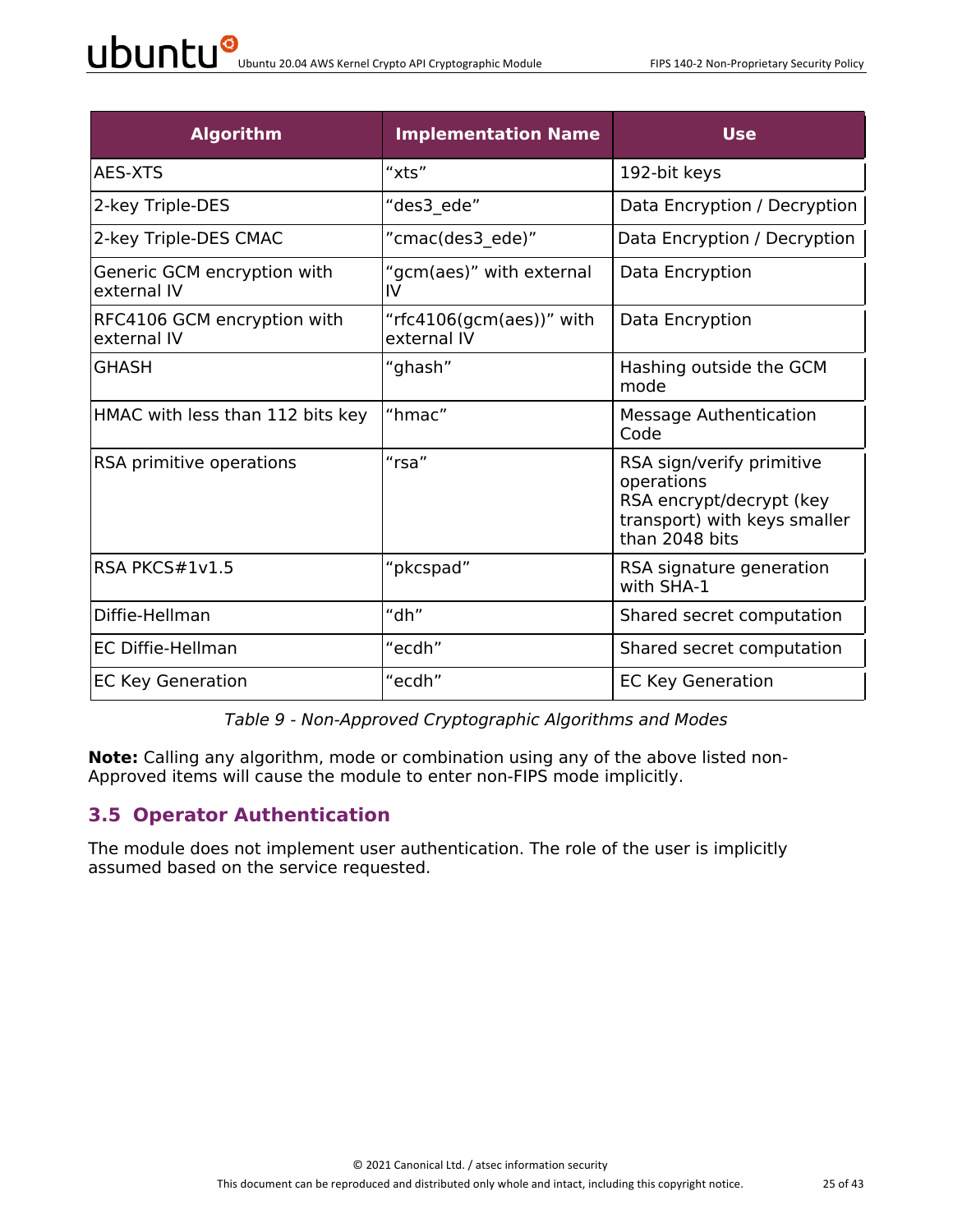| <b>Algorithm</b>                           | <b>Implementation Name</b>              | <b>Use</b>                                                                                                            |
|--------------------------------------------|-----------------------------------------|-----------------------------------------------------------------------------------------------------------------------|
| <b>AES-XTS</b>                             | "xts"                                   | 192-bit keys                                                                                                          |
| 2-key Triple-DES                           | "des3 ede"                              | Data Encryption / Decryption                                                                                          |
| 2-key Triple-DES CMAC                      | "cmac(des3_ede)"                        | Data Encryption / Decryption                                                                                          |
| Generic GCM encryption with<br>external IV | "gcm(aes)" with external<br>IV          | Data Encryption                                                                                                       |
| RFC4106 GCM encryption with<br>external IV | "rfc4106(gcm(aes))" with<br>external IV | Data Encryption                                                                                                       |
| <b>GHASH</b>                               | "ghash"                                 | Hashing outside the GCM<br>mode                                                                                       |
| HMAC with less than 112 bits key           | "hmac"                                  | <b>Message Authentication</b><br>Code                                                                                 |
| RSA primitive operations                   | "rsa"                                   | RSA sign/verify primitive<br>operations<br>RSA encrypt/decrypt (key<br>transport) with keys smaller<br>than 2048 bits |
| RSA PKCS#1v1.5                             | "pkcspad"                               | RSA signature generation<br>with SHA-1                                                                                |
| Diffie-Hellman                             | "dh"                                    | Shared secret computation                                                                                             |
| <b>EC Diffie-Hellman</b>                   | "ecdh"                                  | Shared secret computation                                                                                             |
| <b>EC Key Generation</b>                   | "ecdh"                                  | <b>EC Key Generation</b>                                                                                              |

*Table 9 - Non-Approved Cryptographic Algorithms and Modes*

**Note:** Calling any algorithm, mode or combination using any of the above listed non-Approved items will cause the module to enter non-FIPS mode implicitly.

#### **3.5 Operator Authentication**

The module does not implement user authentication. The role of the user is implicitly assumed based on the service requested.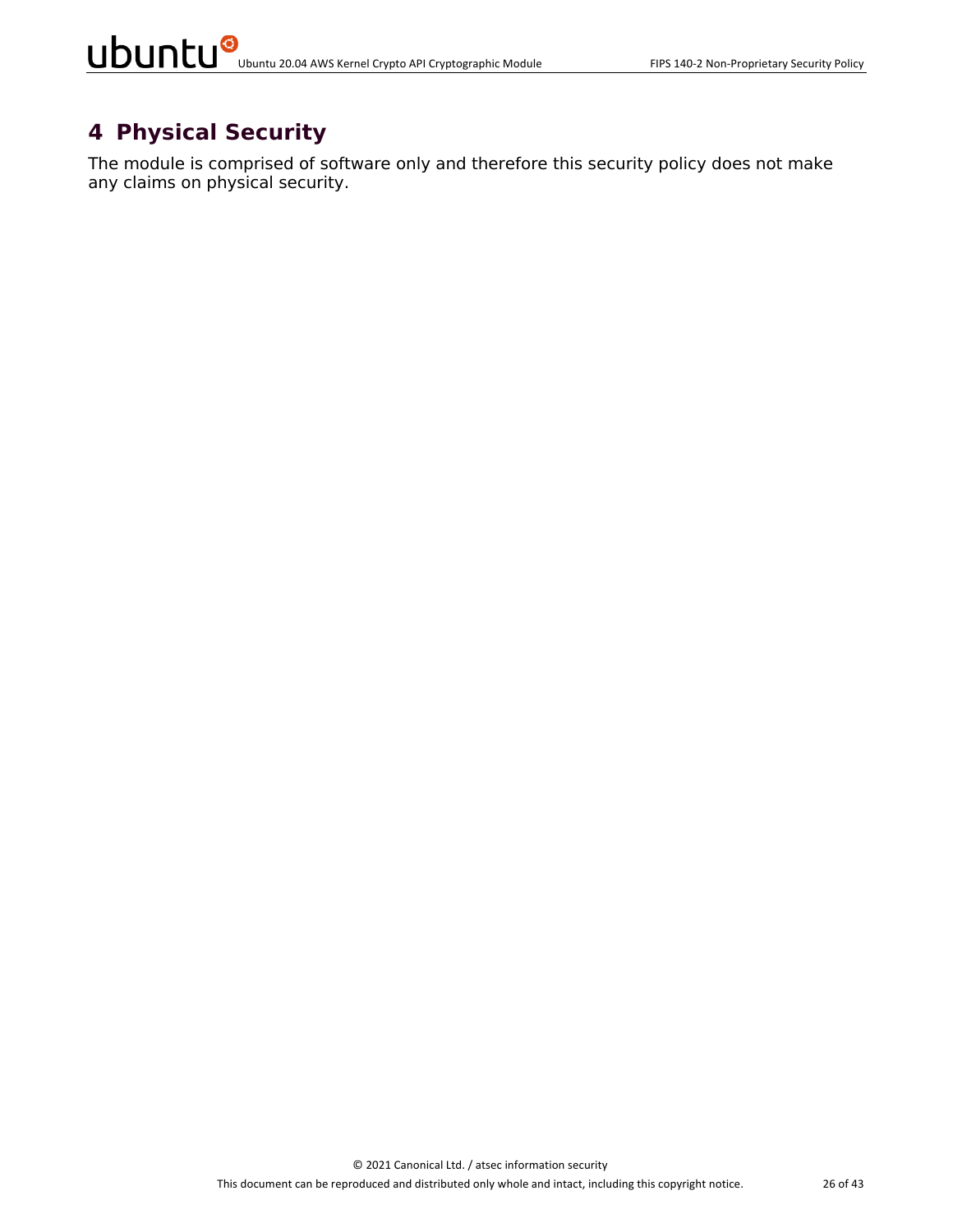### **4 Physical Security**

The module is comprised of software only and therefore this security policy does not make any claims on physical security.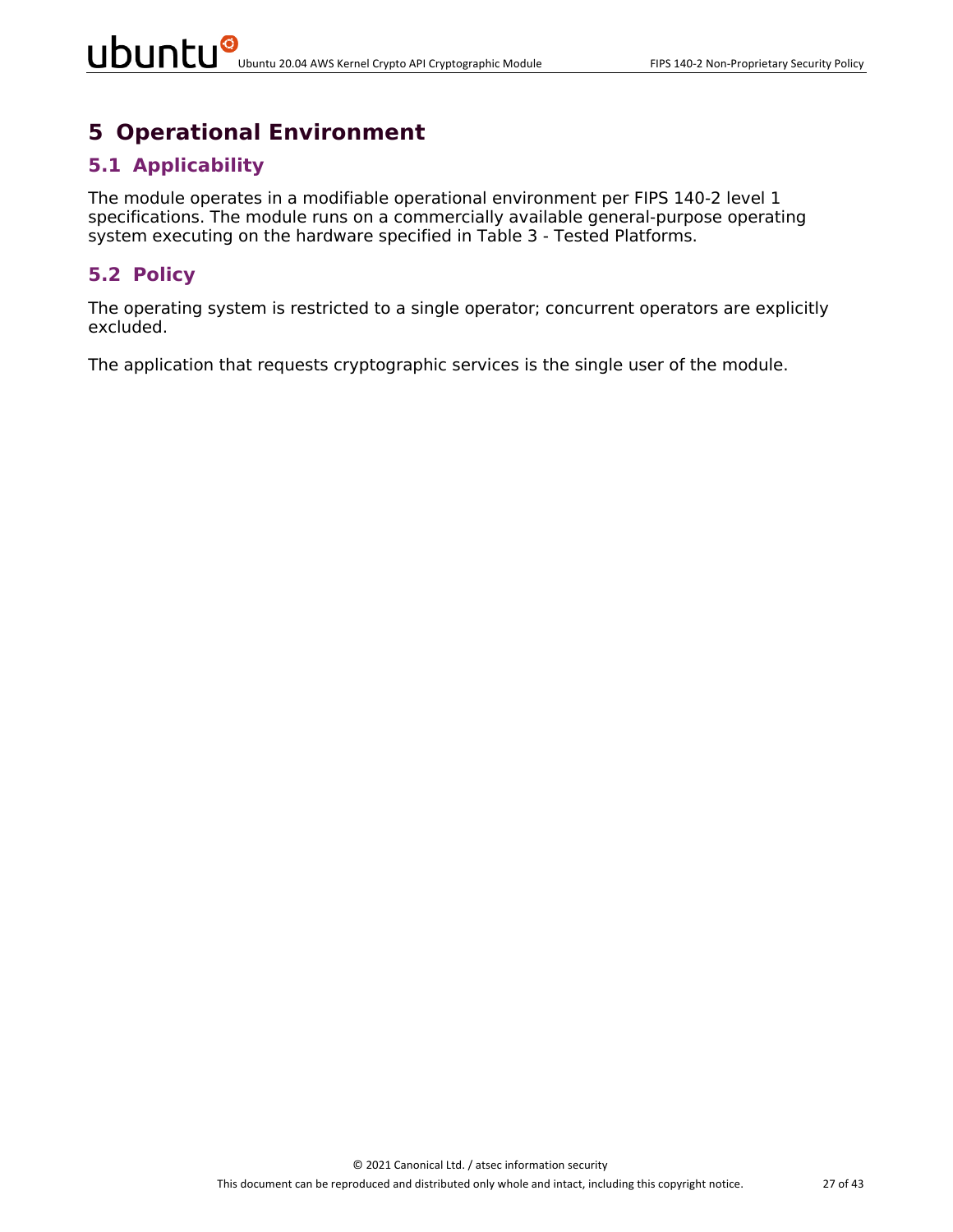### **5 Operational Environment**

#### **5.1 Applicability**

The module operates in a modifiable operational environment per FIPS 140-2 level 1 specifications. The module runs on a commercially available general-purpose operating system executing on the hardware specified in Table 3 - Tested Platforms.

#### **5.2 Policy**

The operating system is restricted to a single operator; concurrent operators are explicitly excluded.

The application that requests cryptographic services is the single user of the module.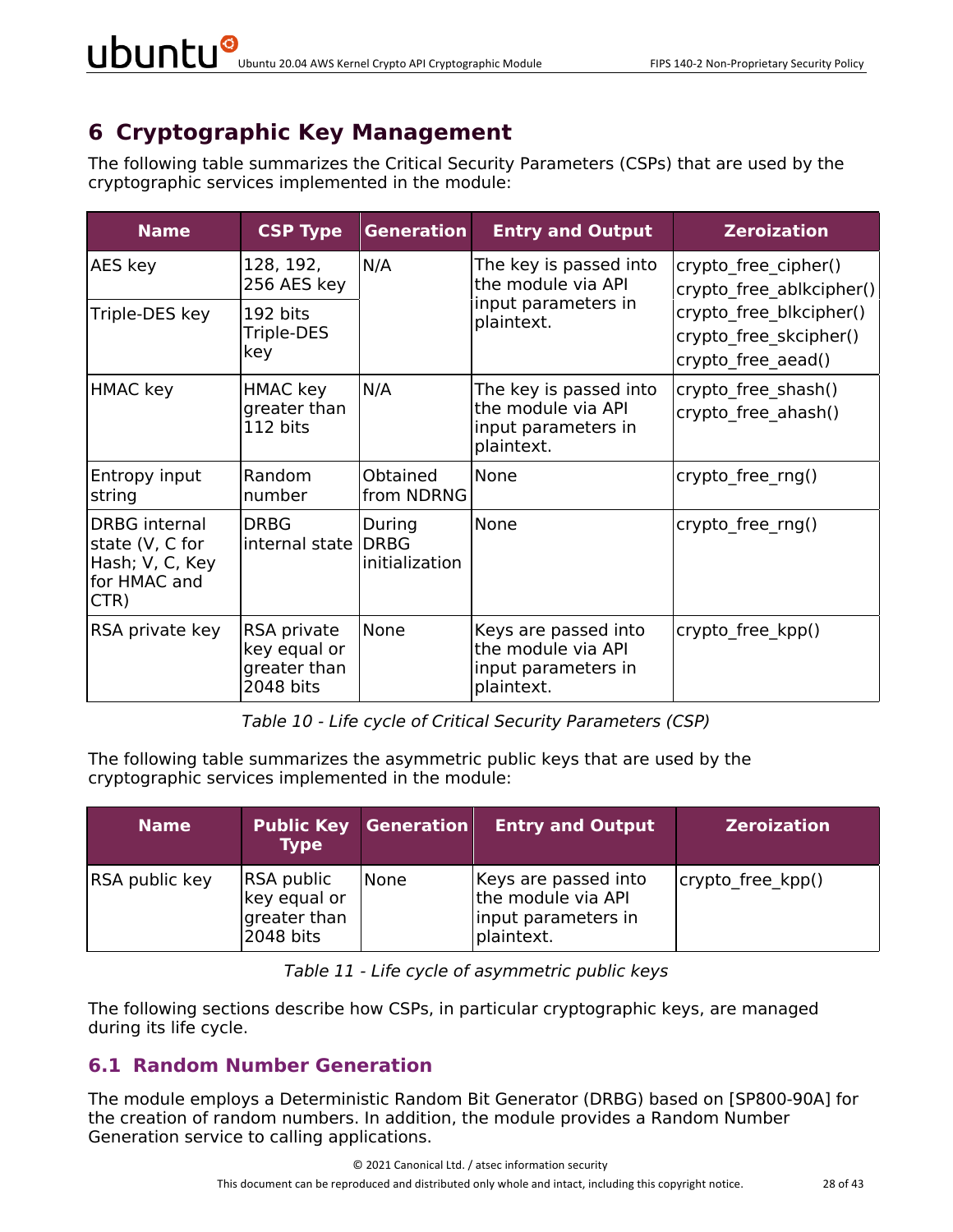# **6 Cryptographic Key Management**

The following table summarizes the Critical Security Parameters (CSPs) that are used by the cryptographic services implemented in the module:

| <b>Name</b>                                                                        | <b>CSP Type</b>                                          | <b>Generation</b>        | <b>Entry and Output</b>                                                           | <b>Zeroization</b>                                                      |
|------------------------------------------------------------------------------------|----------------------------------------------------------|--------------------------|-----------------------------------------------------------------------------------|-------------------------------------------------------------------------|
| AES key                                                                            | 128, 192,<br>256 AES key                                 | N/A                      | The key is passed into<br>the module via API                                      | crypto free cipher()<br>crypto free ablkcipher()                        |
| Triple-DES key                                                                     | 192 bits<br>Triple-DES<br>key                            |                          | input parameters in<br>plaintext.                                                 | crypto free blkcipher()<br>crypto free skcipher()<br>crypto free aead() |
| HMAC key                                                                           | HMAC key<br>greater than<br>112 bits                     | N/A                      | The key is passed into<br>the module via API<br>input parameters in<br>plaintext. | crypto_free_shash()<br>crypto free ahash()                              |
| Entropy input<br>string                                                            | Random<br>number                                         | Obtained<br>from NDRNG   | None                                                                              | crypto_free_rng()                                                       |
| <b>DRBG</b> internal<br>state (V, C for<br>Hash; V, C, Key<br>for HMAC and<br>CTR) | <b>DRBG</b><br>internal state DRBG                       | During<br>initialization | None                                                                              | crypto free rng()                                                       |
| RSA private key                                                                    | RSA private<br>key equal or<br>greater than<br>2048 bits | None                     | Keys are passed into<br>the module via API<br>input parameters in<br>plaintext.   | crypto free kpp()                                                       |

*Table 10 - Life cycle of Critical Security Parameters (CSP)*

The following table summarizes the asymmetric public keys that are used by the cryptographic services implemented in the module:

| <b>Name</b>    | <b>Type</b>                                                    | <b>Public Key Generation</b> | <b>Entry and Output</b>                                                         | <b>Zeroization</b> |
|----------------|----------------------------------------------------------------|------------------------------|---------------------------------------------------------------------------------|--------------------|
| RSA public key | <b>RSA public</b><br>key equal or<br>greater than<br>2048 bits | <b>None</b>                  | Keys are passed into<br>the module via API<br>input parameters in<br>plaintext. | crypto free kpp()  |

|  |  | Table 11 - Life cycle of asymmetric public keys |  |
|--|--|-------------------------------------------------|--|
|--|--|-------------------------------------------------|--|

The following sections describe how CSPs, in particular cryptographic keys, are managed during its life cycle.

#### **6.1 Random Number Generation**

The module employs a Deterministic Random Bit Generator (DRBG) based on [SP800-90A] for the creation of random numbers. In addition, the module provides a Random Number Generation service to calling applications.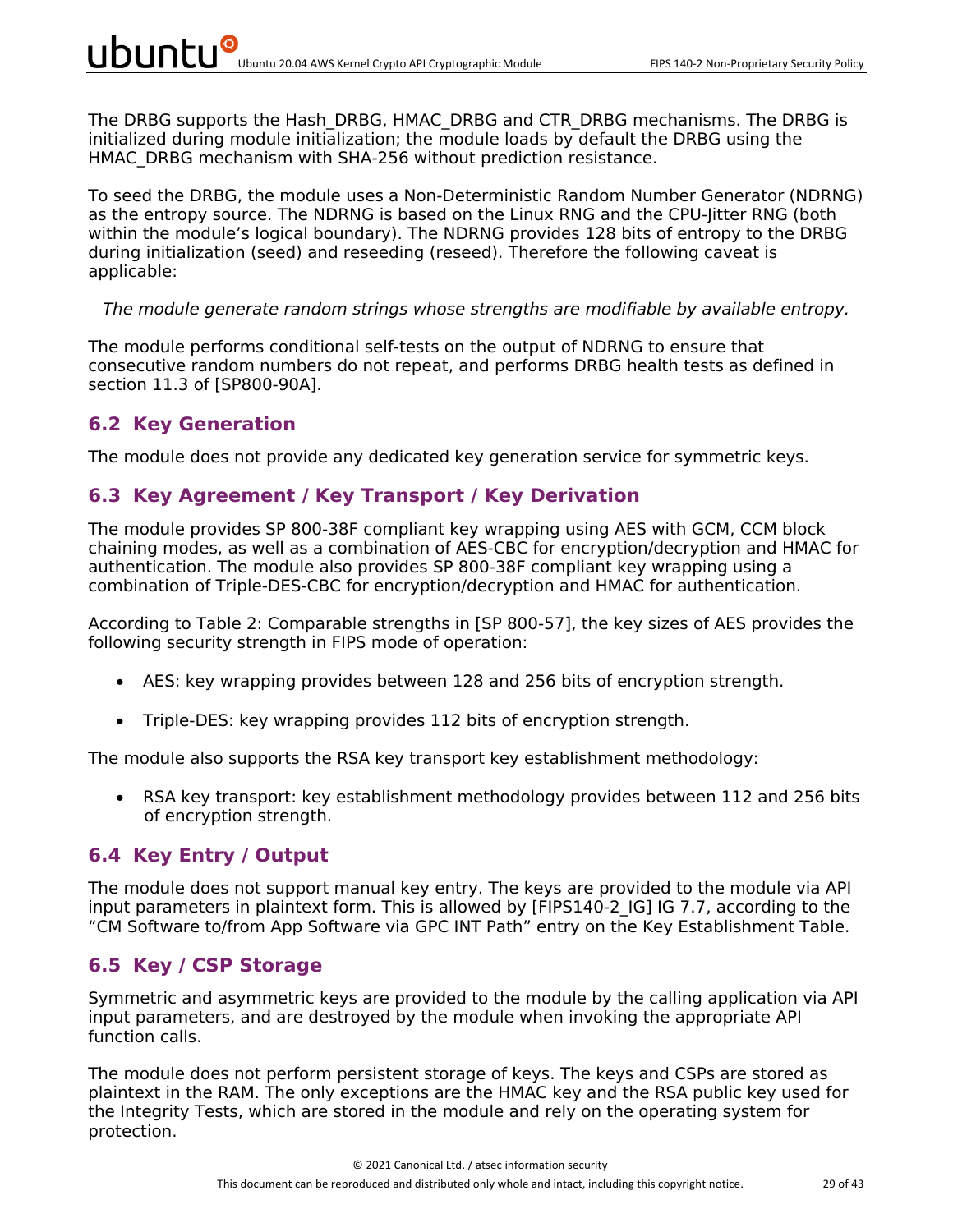The DRBG supports the Hash DRBG, HMAC DRBG and CTR DRBG mechanisms. The DRBG is initialized during module initialization; the module loads by default the DRBG using the HMAC\_DRBG mechanism with SHA-256 without prediction resistance.

To seed the DRBG, the module uses a Non-Deterministic Random Number Generator (NDRNG) as the entropy source. The NDRNG is based on the Linux RNG and the CPU-Jitter RNG (both within the module's logical boundary). The NDRNG provides 128 bits of entropy to the DRBG during initialization (seed) and reseeding (reseed). Therefore the following caveat is applicable:

#### *The module generate random strings whose strengths are modifiable by available entropy.*

The module performs conditional self-tests on the output of NDRNG to ensure that consecutive random numbers do not repeat, and performs DRBG health tests as defined in section 11.3 of [SP800-90A].

#### **6.2 Key Generation**

The module does not provide any dedicated key generation service for symmetric keys.

#### **6.3 Key Agreement / Key Transport / Key Derivation**

The module provides SP 800-38F compliant key wrapping using AES with GCM, CCM block chaining modes, as well as a combination of AES-CBC for encryption/decryption and HMAC for authentication. The module also provides SP 800-38F compliant key wrapping using a combination of Triple-DES-CBC for encryption/decryption and HMAC for authentication.

According to Table 2: Comparable strengths in [SP 800-57], the key sizes of AES provides the following security strength in FIPS mode of operation:

- AES: key wrapping provides between 128 and 256 bits of encryption strength.
- Triple-DES: key wrapping provides 112 bits of encryption strength.

The module also supports the RSA key transport key establishment methodology:

• RSA key transport: key establishment methodology provides between 112 and 256 bits of encryption strength.

#### **6.4 Key Entry / Output**

The module does not support manual key entry. The keys are provided to the module via API input parameters in plaintext form. This is allowed by [FIPS140-2 IG] IG 7.7, according to the "CM Software to/from App Software via GPC INT Path" entry on the Key Establishment Table.

#### **6.5 Key / CSP Storage**

Symmetric and asymmetric keys are provided to the module by the calling application via API input parameters, and are destroyed by the module when invoking the appropriate API function calls.

The module does not perform persistent storage of keys. The keys and CSPs are stored as plaintext in the RAM. The only exceptions are the HMAC key and the RSA public key used for the Integrity Tests, which are stored in the module and rely on the operating system for protection.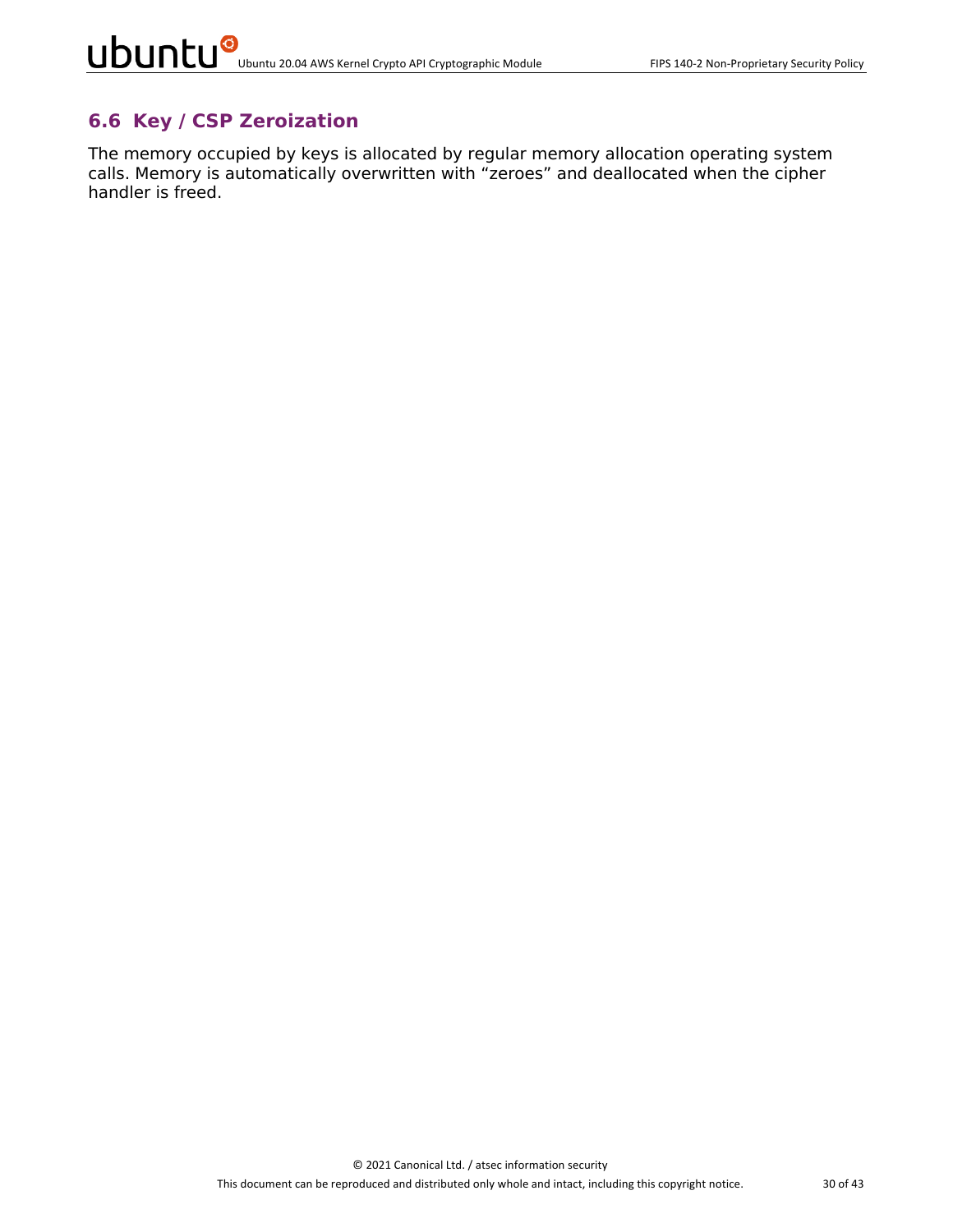### **6.6 Key / CSP Zeroization**

The memory occupied by keys is allocated by regular memory allocation operating system calls. Memory is automatically overwritten with "zeroes" and deallocated when the cipher handler is freed.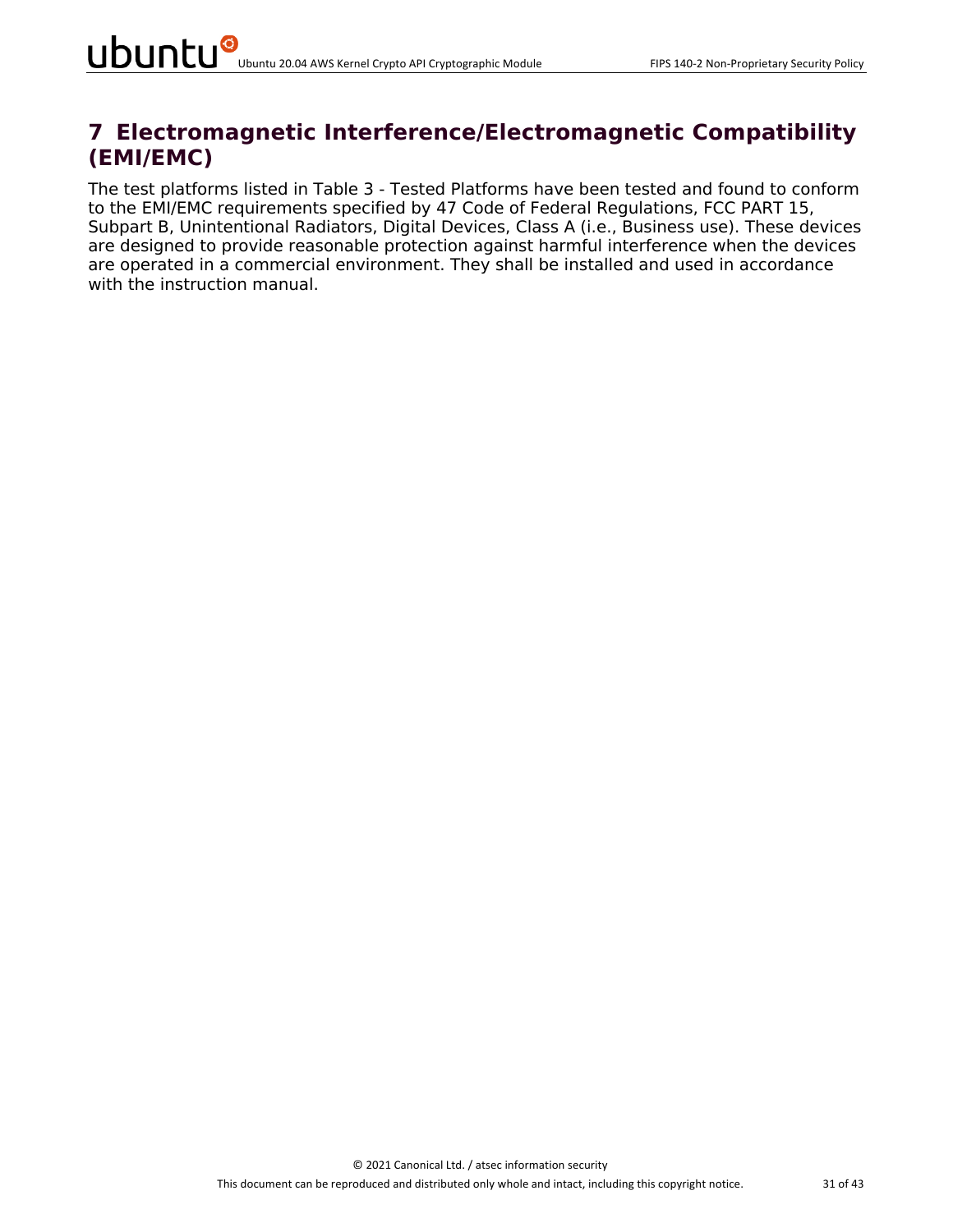### **7 Electromagnetic Interference/Electromagnetic Compatibility (EMI/EMC)**

The test platforms listed in Table 3 - Tested Platforms have been tested and found to conform to the EMI/EMC requirements specified by 47 Code of Federal Regulations, FCC PART 15, Subpart B, Unintentional Radiators, Digital Devices, Class A (i.e., Business use). These devices are designed to provide reasonable protection against harmful interference when the devices are operated in a commercial environment. They shall be installed and used in accordance with the instruction manual.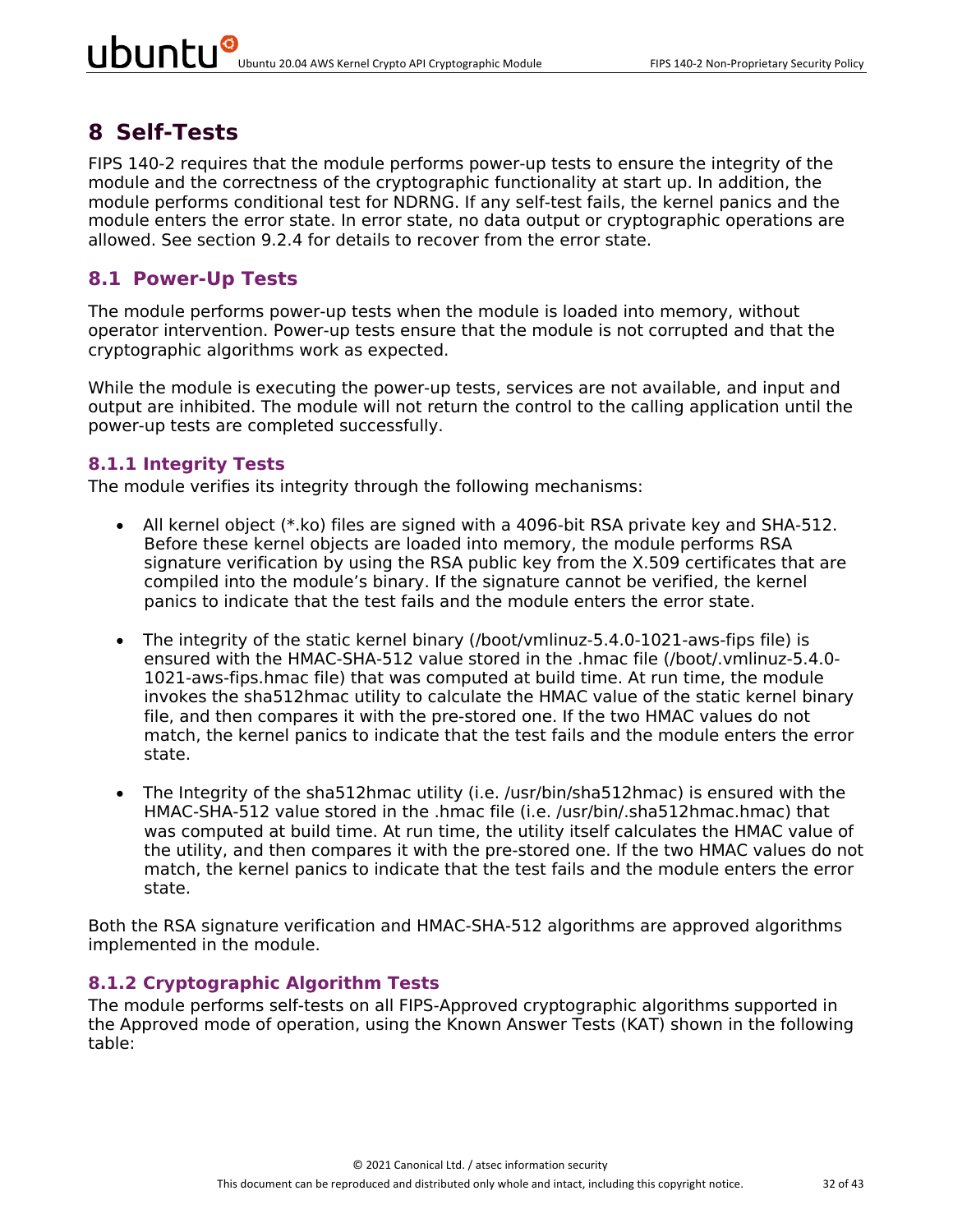### **8 Self-Tests**

FIPS 140-2 requires that the module performs power-up tests to ensure the integrity of the module and the correctness of the cryptographic functionality at start up. In addition, the module performs conditional test for NDRNG. If any self-test fails, the kernel panics and the module enters the error state. In error state, no data output or cryptographic operations are allowed. See section 9.2.4 for details to recover from the error state.

#### **8.1 Power-Up Tests**

The module performs power-up tests when the module is loaded into memory, without operator intervention. Power-up tests ensure that the module is not corrupted and that the cryptographic algorithms work as expected.

While the module is executing the power-up tests, services are not available, and input and output are inhibited. The module will not return the control to the calling application until the power-up tests are completed successfully.

#### **8.1.1 Integrity Tests**

The module verifies its integrity through the following mechanisms:

- All kernel object (\*.ko) files are signed with a 4096-bit RSA private key and SHA-512. Before these kernel objects are loaded into memory, the module performs RSA signature verification by using the RSA public key from the X.509 certificates that are compiled into the module's binary. If the signature cannot be verified, the kernel panics to indicate that the test fails and the module enters the error state.
- The integrity of the static kernel binary (/boot/vmlinuz-5.4.0-1021-aws-fips file) is ensured with the HMAC-SHA-512 value stored in the .hmac file (/boot/.vmlinuz-5.4.0- 1021-aws-fips.hmac file) that was computed at build time. At run time, the module invokes the sha512hmac utility to calculate the HMAC value of the static kernel binary file, and then compares it with the pre-stored one. If the two HMAC values do not match, the kernel panics to indicate that the test fails and the module enters the error state.
- The Integrity of the sha512hmac utility (i.e. /usr/bin/sha512hmac) is ensured with the HMAC-SHA-512 value stored in the .hmac file (i.e. /usr/bin/.sha512hmac.hmac) that was computed at build time. At run time, the utility itself calculates the HMAC value of the utility, and then compares it with the pre-stored one. If the two HMAC values do not match, the kernel panics to indicate that the test fails and the module enters the error state.

Both the RSA signature verification and HMAC-SHA-512 algorithms are approved algorithms implemented in the module.

#### **8.1.2 Cryptographic Algorithm Tests**

The module performs self-tests on all FIPS-Approved cryptographic algorithms supported in the Approved mode of operation, using the Known Answer Tests (KAT) shown in the following table: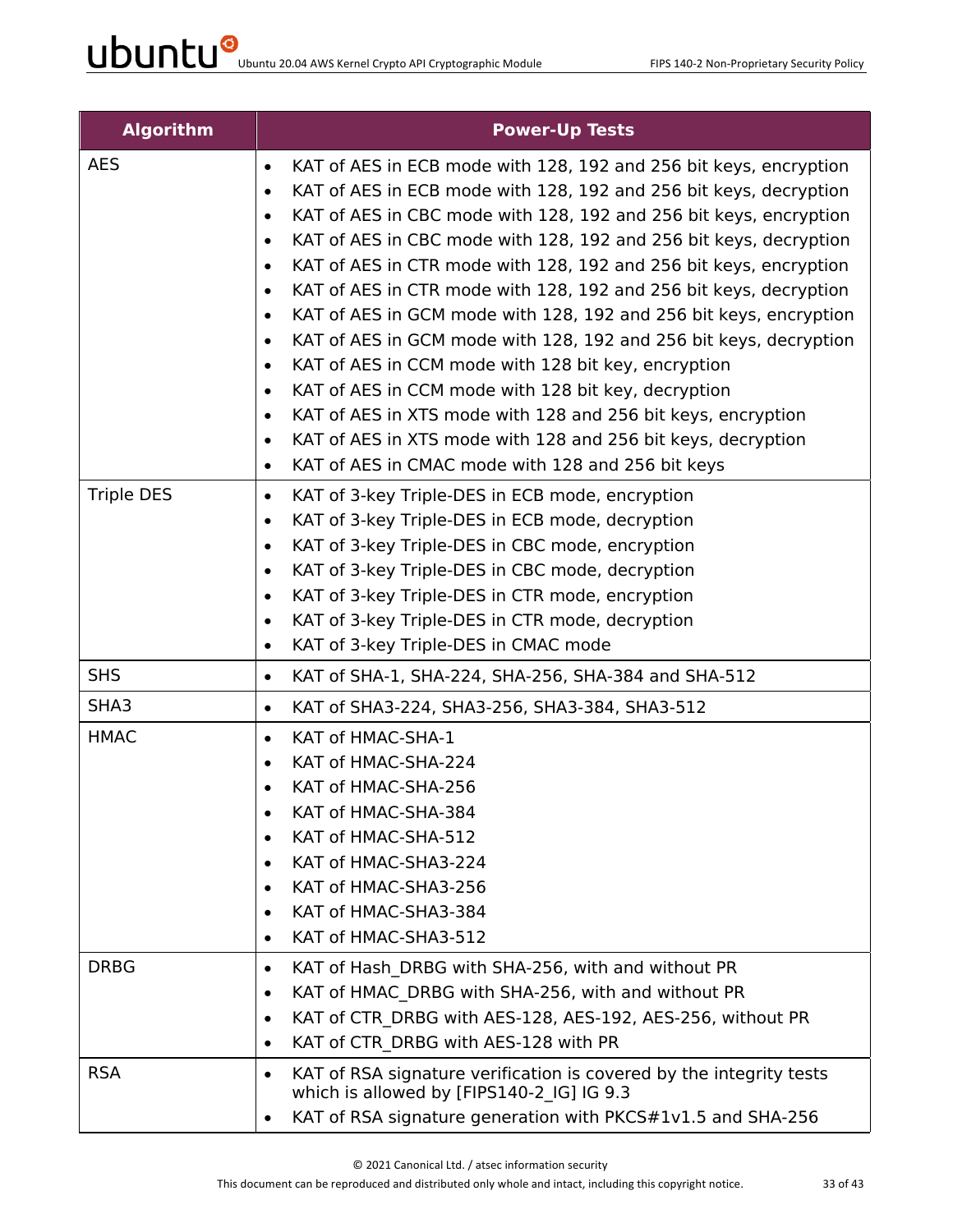| <b>Algorithm</b>  | <b>Power-Up Tests</b>                                                                                                         |
|-------------------|-------------------------------------------------------------------------------------------------------------------------------|
| <b>AES</b>        | KAT of AES in ECB mode with 128, 192 and 256 bit keys, encryption<br>$\bullet$                                                |
|                   | KAT of AES in ECB mode with 128, 192 and 256 bit keys, decryption<br>$\bullet$                                                |
|                   | KAT of AES in CBC mode with 128, 192 and 256 bit keys, encryption<br>$\bullet$                                                |
|                   | KAT of AES in CBC mode with 128, 192 and 256 bit keys, decryption<br>$\bullet$                                                |
|                   | KAT of AES in CTR mode with 128, 192 and 256 bit keys, encryption<br>$\bullet$                                                |
|                   | KAT of AES in CTR mode with 128, 192 and 256 bit keys, decryption<br>$\bullet$                                                |
|                   | KAT of AES in GCM mode with 128, 192 and 256 bit keys, encryption<br>$\bullet$                                                |
|                   | KAT of AES in GCM mode with 128, 192 and 256 bit keys, decryption<br>$\bullet$                                                |
|                   | KAT of AES in CCM mode with 128 bit key, encryption<br>$\bullet$                                                              |
|                   | KAT of AES in CCM mode with 128 bit key, decryption<br>$\bullet$                                                              |
|                   | KAT of AES in XTS mode with 128 and 256 bit keys, encryption<br>$\bullet$                                                     |
|                   | KAT of AES in XTS mode with 128 and 256 bit keys, decryption<br>$\bullet$                                                     |
|                   | KAT of AES in CMAC mode with 128 and 256 bit keys<br>$\bullet$                                                                |
| <b>Triple DES</b> | KAT of 3-key Triple-DES in ECB mode, encryption<br>$\bullet$                                                                  |
|                   | KAT of 3-key Triple-DES in ECB mode, decryption<br>$\bullet$                                                                  |
|                   | KAT of 3-key Triple-DES in CBC mode, encryption<br>$\bullet$                                                                  |
|                   | KAT of 3-key Triple-DES in CBC mode, decryption<br>$\bullet$                                                                  |
|                   | KAT of 3-key Triple-DES in CTR mode, encryption<br>$\bullet$<br>KAT of 3-key Triple-DES in CTR mode, decryption<br>$\bullet$  |
|                   | KAT of 3-key Triple-DES in CMAC mode<br>$\bullet$                                                                             |
| <b>SHS</b>        | KAT of SHA-1, SHA-224, SHA-256, SHA-384 and SHA-512<br>$\bullet$                                                              |
| SHA3              | KAT of SHA3-224, SHA3-256, SHA3-384, SHA3-512<br>$\bullet$                                                                    |
| <b>HMAC</b>       | KAT of HMAC-SHA-1<br>$\bullet$                                                                                                |
|                   | KAT of HMAC-SHA-224<br>$\bullet$                                                                                              |
|                   | KAT of HMAC-SHA-256                                                                                                           |
|                   | KAT of HMAC-SHA-384<br>٠                                                                                                      |
|                   | KAT of HMAC-SHA-512                                                                                                           |
|                   | KAT of HMAC-SHA3-224<br>$\bullet$                                                                                             |
|                   | KAT of HMAC-SHA3-256<br>$\bullet$                                                                                             |
|                   | KAT of HMAC-SHA3-384<br>٠                                                                                                     |
|                   | KAT of HMAC-SHA3-512<br>$\bullet$                                                                                             |
| <b>DRBG</b>       | KAT of Hash DRBG with SHA-256, with and without PR<br>$\bullet$                                                               |
|                   | KAT of HMAC DRBG with SHA-256, with and without PR<br>$\bullet$                                                               |
|                   | KAT of CTR DRBG with AES-128, AES-192, AES-256, without PR<br>$\bullet$                                                       |
|                   | KAT of CTR DRBG with AES-128 with PR<br>$\bullet$                                                                             |
| <b>RSA</b>        | KAT of RSA signature verification is covered by the integrity tests<br>$\bullet$<br>which is allowed by [FIPS140-2 IG] IG 9.3 |
|                   | KAT of RSA signature generation with PKCS#1v1.5 and SHA-256                                                                   |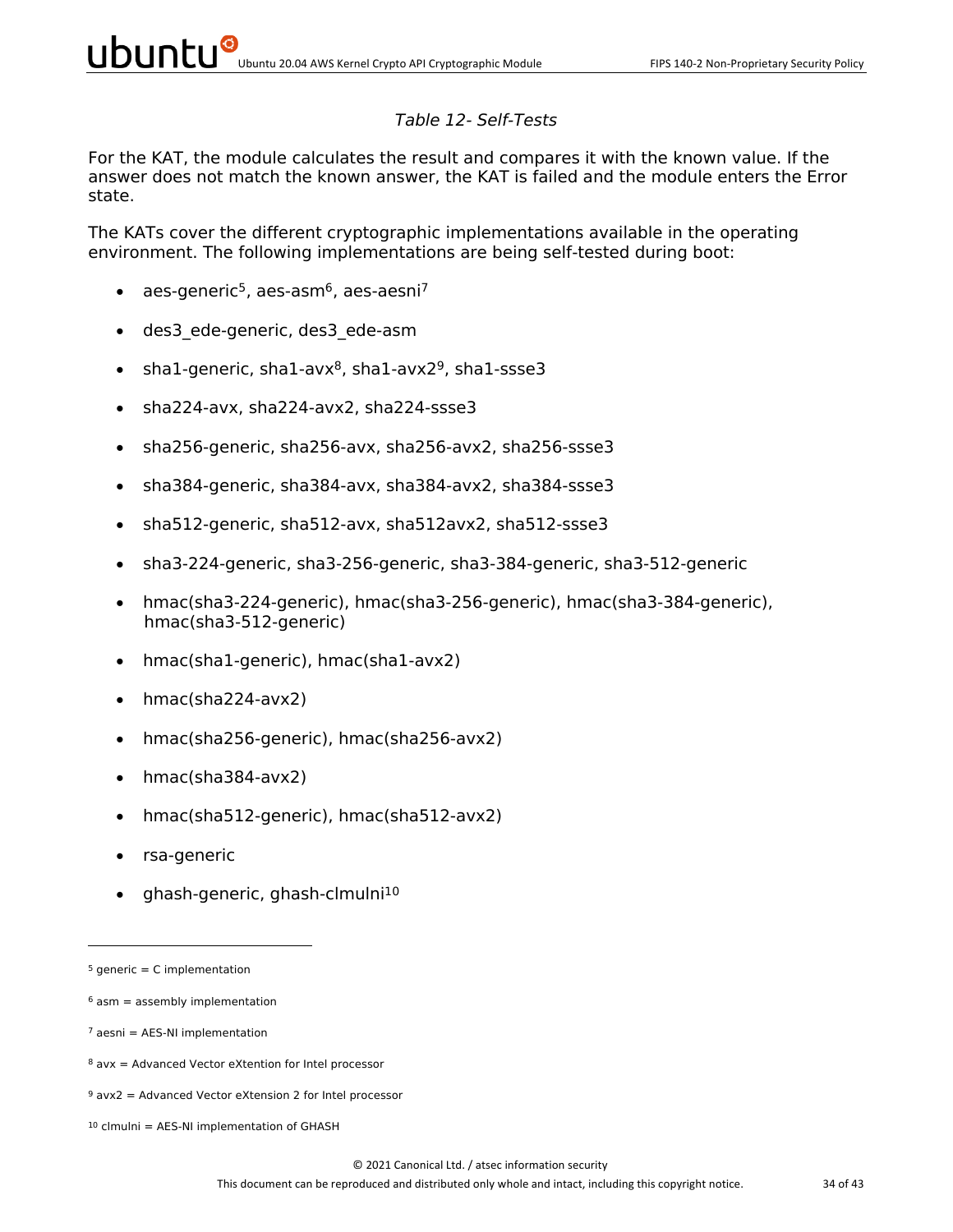#### *Table 12- Self-Tests*

For the KAT, the module calculates the result and compares it with the known value. If the answer does not match the known answer, the KAT is failed and the module enters the Error state.

The KATs cover the different cryptographic implementations available in the operating environment. The following implementations are being self-tested during boot:

- aes-generic<sup>5</sup>, aes-asm<sup>6</sup>, aes-aesni<sup>7</sup>
- des3\_ede-generic, des3\_ede-asm
- sha1-generic, sha1-avx $8$ , sha1-avx $2^9$ , sha1-ssse3
- sha224-avx, sha224-avx2, sha224-ssse3
- sha256-generic, sha256-avx, sha256-avx2, sha256-ssse3
- sha384-generic, sha384-avx, sha384-avx2, sha384-ssse3
- sha512-generic, sha512-avx, sha512avx2, sha512-ssse3
- sha3-224-generic, sha3-256-generic, sha3-384-generic, sha3-512-generic
- hmac(sha3-224-generic), hmac(sha3-256-generic), hmac(sha3-384-generic), hmac(sha3-512-generic)
- hmac(sha1-generic), hmac(sha1-avx2)
- hmac(sha224-avx2)
- hmac(sha256-generic), hmac(sha256-avx2)
- hmac(sha384-avx2)
- hmac(sha512-generic), hmac(sha512-avx2)
- rsa-generic
- ghash-generic, ghash-clmulni10

 $5$  generic = C implementation

 $6$  asm = assembly implementation

 $7$  aesni = AES-NI implementation

 $8$  avx = Advanced Vector eXtention for Intel processor

 $9$  avx2 = Advanced Vector eXtension 2 for Intel processor

 $10$  clmulni = AES-NI implementation of GHASH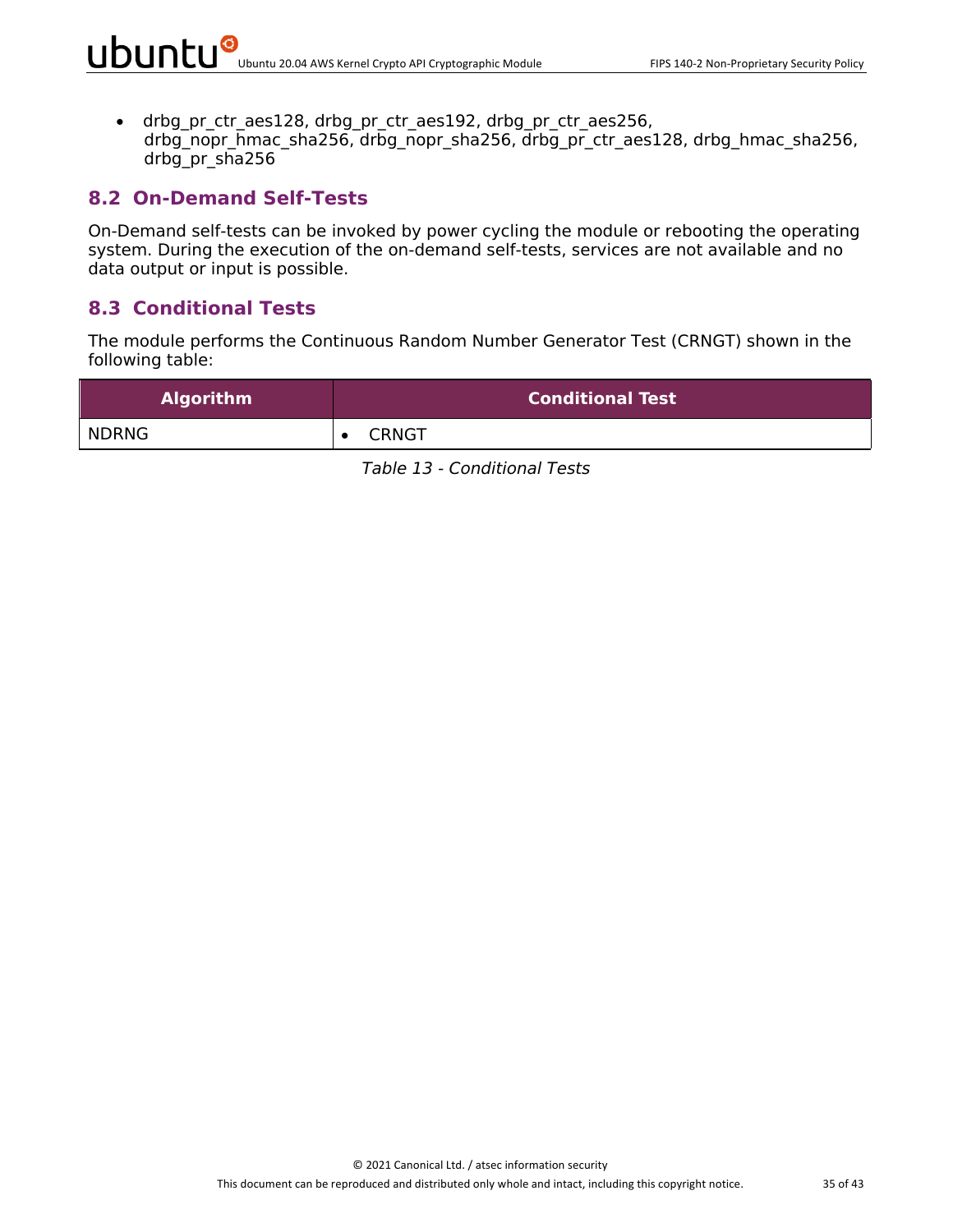• drbg pr\_ctr\_aes128, drbg\_pr\_ctr\_aes192, drbg\_pr\_ctr\_aes256, drbg\_nopr\_hmac\_sha256, drbg\_nopr\_sha256, drbg\_pr\_ctr\_aes128, drbg\_hmac\_sha256, drbg\_pr\_sha256

#### **8.2 On-Demand Self-Tests**

On-Demand self-tests can be invoked by power cycling the module or rebooting the operating system. During the execution of the on-demand self-tests, services are not available and no data output or input is possible.

#### **8.3 Conditional Tests**

The module performs the Continuous Random Number Generator Test (CRNGT) shown in the following table:

| <b>Algorithm</b> | <b>Conditional Test</b> |
|------------------|-------------------------|
| NDRNG            | <b>CRNGT</b>            |

*Table 13 - Conditional Tests*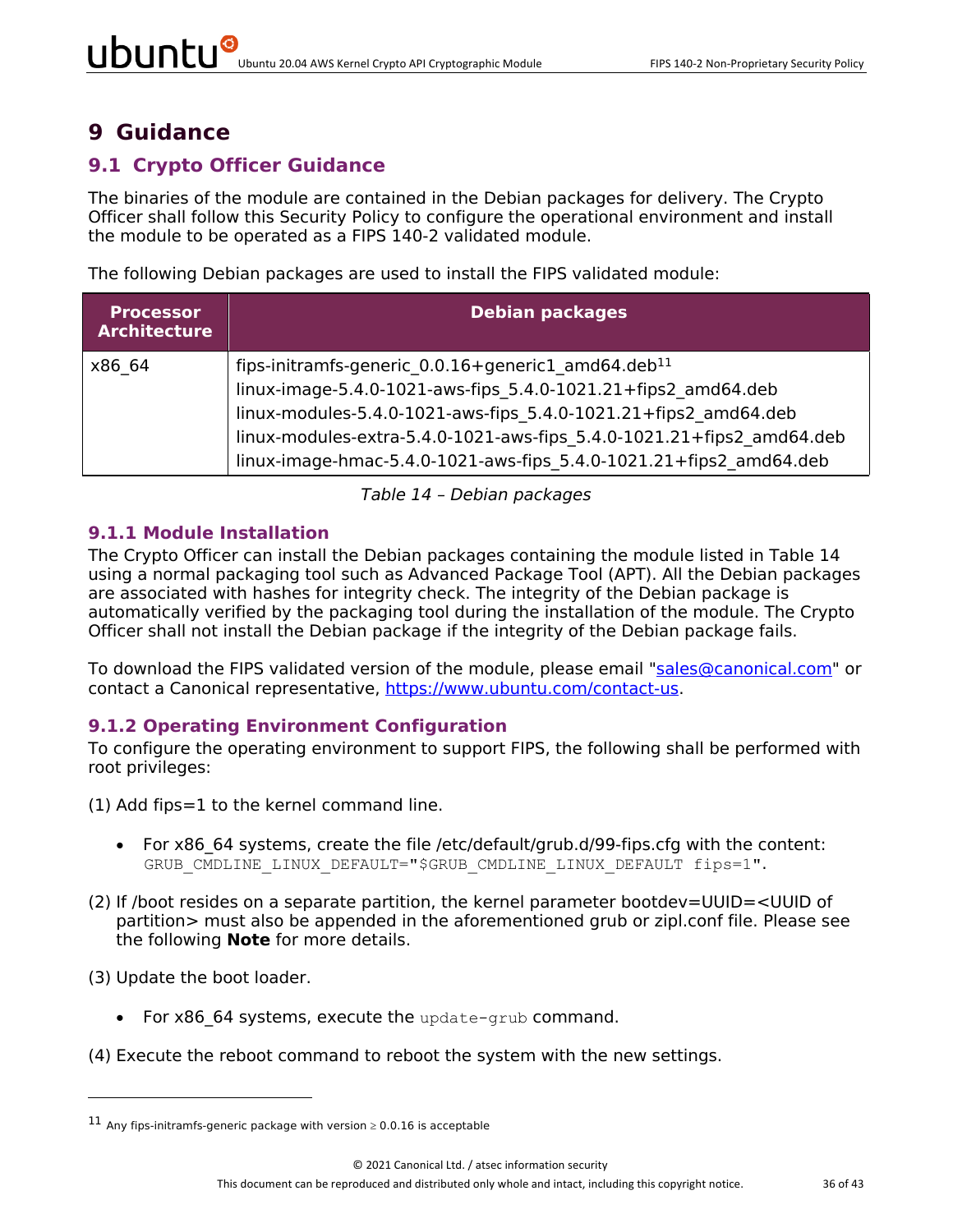# **9 Guidance**

### **9.1 Crypto Officer Guidance**

The binaries of the module are contained in the Debian packages for delivery. The Crypto Officer shall follow this Security Policy to configure the operational environment and install the module to be operated as a FIPS 140-2 validated module.

The following Debian packages are used to install the FIPS validated module:

| <b>Processor</b><br><b>Architecture</b> | <b>Debian packages</b>                                                                                                                                                                                                                                                                                                                            |
|-----------------------------------------|---------------------------------------------------------------------------------------------------------------------------------------------------------------------------------------------------------------------------------------------------------------------------------------------------------------------------------------------------|
| x86 64                                  | fips-initramfs-generic 0.0.16+generic1 amd64.deb <sup>11</sup><br>linux-image-5.4.0-1021-aws-fips 5.4.0-1021.21+fips2 amd64.deb<br>linux-modules-5.4.0-1021-aws-fips 5.4.0-1021.21+fips2 amd64.deb<br>linux-modules-extra-5.4.0-1021-aws-fips 5.4.0-1021.21+fips2 amd64.deb<br>linux-image-hmac-5.4.0-1021-aws-fips_5.4.0-1021.21+fips2 amd64.deb |

*Table 14 – Debian packages*

#### **9.1.1 Module Installation**

The Crypto Officer can install the Debian packages containing the module listed in Table 14 using a normal packaging tool such as Advanced Package Tool (APT). All the Debian packages are associated with hashes for integrity check. The integrity of the Debian package is automatically verified by the packaging tool during the installation of the module. The Crypto Officer shall not install the Debian package if the integrity of the Debian package fails.

To download the FIPS validated version of the module, please email "sales@canonical.com" or contact a Canonical representative, https://www.ubuntu.com/contact-us.

#### **9.1.2 Operating Environment Configuration**

To configure the operating environment to support FIPS, the following shall be performed with root privileges:

- (1) Add fips=1 to the kernel command line.
	- For x86 64 systems, create the file /etc/default/grub.d/99-fips.cfg with the content: GRUB CMDLINE LINUX DEFAULT="\$GRUB CMDLINE LINUX DEFAULT fips=1".
- (2) If /boot resides on a separate partition, the kernel parameter bootdev=UUID=<UUID of partition> must also be appended in the aforementioned grub or zipl.conf file. Please see the following **Note** for more details.

(3) Update the boot loader.

- For x86 64 systems, execute the update-grub command.
- (4) Execute the reboot command to reboot the system with the new settings.

<sup>&</sup>lt;sup>11</sup> Any fips-initramfs-generic package with version  $\geq 0.0.16$  is acceptable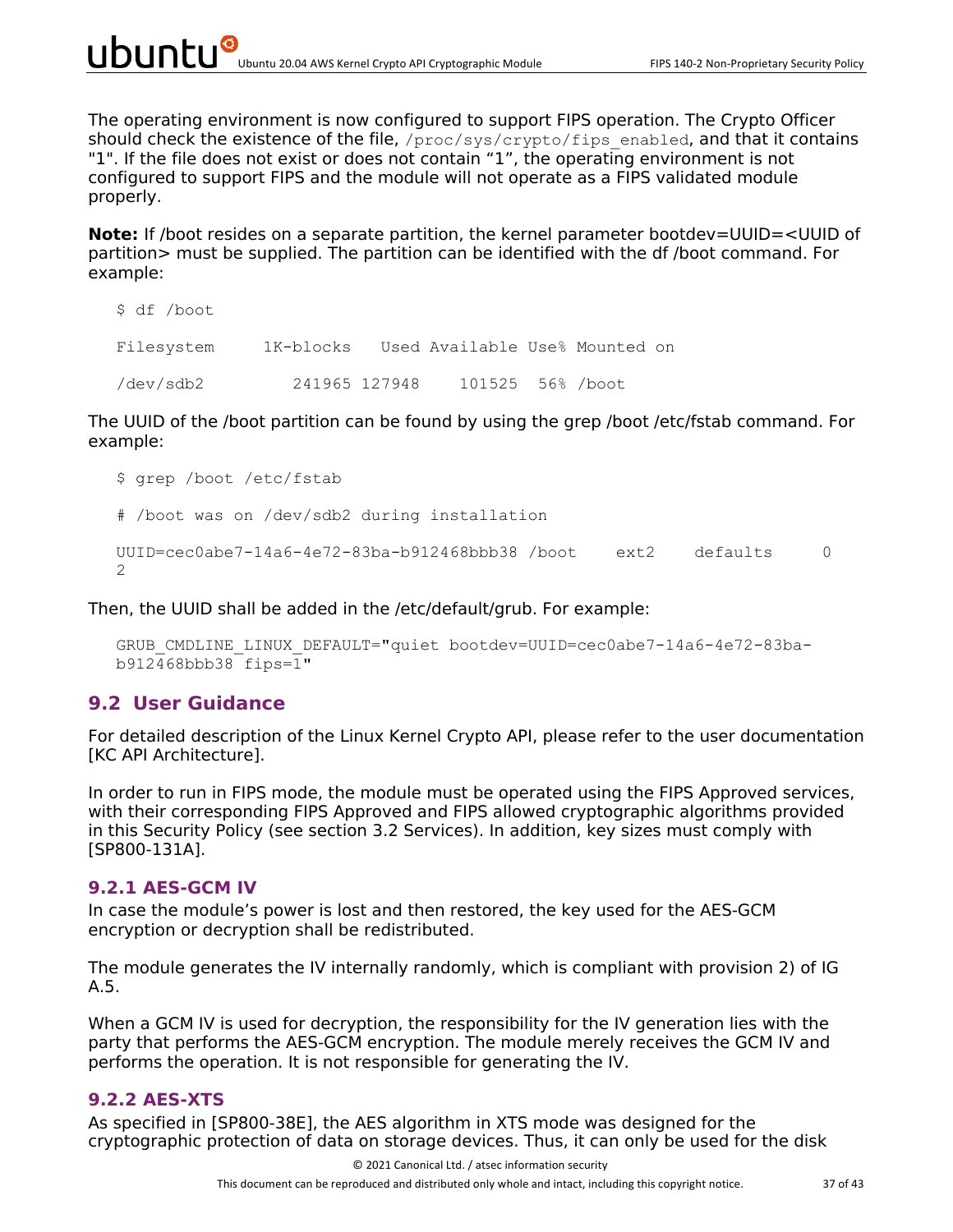The operating environment is now configured to support FIPS operation. The Crypto Officer should check the existence of the file,  $/$ proc $/$ sys $/$ crypto $/$ fips\_enabled, and that it contains "1". If the file does not exist or does not contain "1", the operating environment is not configured to support FIPS and the module will not operate as a FIPS validated module properly.

**Note:** If /boot resides on a separate partition, the kernel parameter bootdev=UUID=<UUID of partition> must be supplied. The partition can be identified with the df /boot command. For example:

```
$ df /boot
Filesystem 1K-blocks Used Available Use% Mounted on
/dev/sdb2 241965 127948 101525 56% /boot
```
The UUID of the /boot partition can be found by using the grep /boot /etc/fstab command. For example:

```
$ grep /boot /etc/fstab
# /boot was on /dev/sdb2 during installation
UUID = cec0abe7-14a6-4e72-83ba-b912468bbb38 /boot ext2 defaults 0
\mathcal{P}
```
Then, the UUID shall be added in the /etc/default/grub. For example:

```
GRUB_CMDLINE_LINUX_DEFAULT="quiet bootdev=UUID=cec0abe7-14a6-4e72-83ba-
b912468bbb38 fips=1"
```
#### **9.2 User Guidance**

For detailed description of the Linux Kernel Crypto API, please refer to the user documentation [KC API Architecture].

In order to run in FIPS mode, the module must be operated using the FIPS Approved services, with their corresponding FIPS Approved and FIPS allowed cryptographic algorithms provided in this Security Policy (see section 3.2 Services). In addition, key sizes must comply with [SP800-131A].

#### **9.2.1 AES-GCM IV**

In case the module's power is lost and then restored, the key used for the AES-GCM encryption or decryption shall be redistributed.

The module generates the IV internally randomly, which is compliant with provision 2) of IG A.5.

When a GCM IV is used for decryption, the responsibility for the IV generation lies with the party that performs the AES-GCM encryption. The module merely receives the GCM IV and performs the operation. It is not responsible for generating the IV.

#### **9.2.2 AES-XTS**

As specified in [SP800-38E], the AES algorithm in XTS mode was designed for the cryptographic protection of data on storage devices. Thus, it can only be used for the disk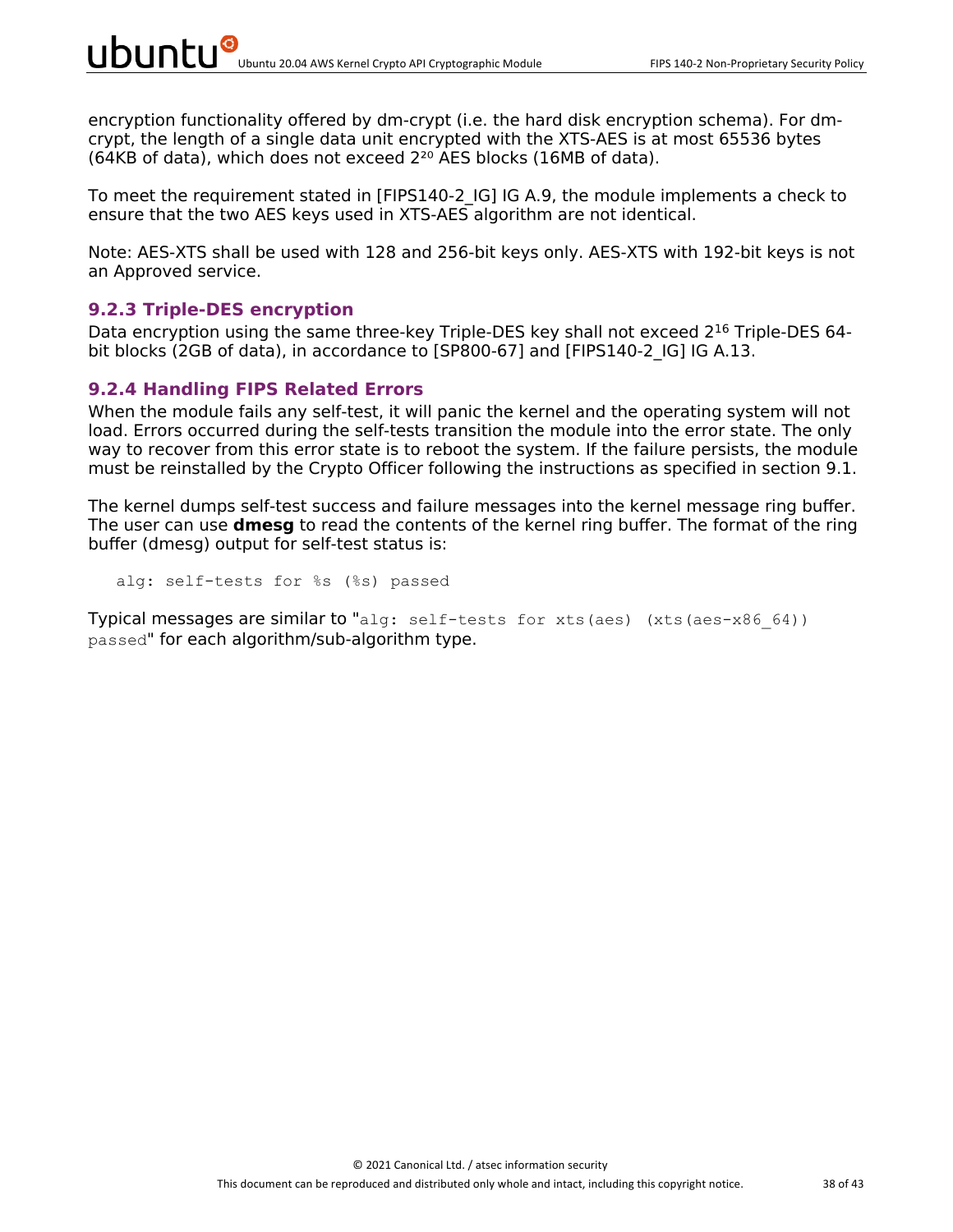encryption functionality offered by dm-crypt (i.e. the hard disk encryption schema). For dmcrypt, the length of a single data unit encrypted with the XTS-AES is at most 65536 bytes (64KB of data), which does not exceed  $2^{20}$  AES blocks (16MB of data).

To meet the requirement stated in [FIPS140-2\_IG] IG A.9, the module implements a check to ensure that the two AES keys used in XTS-AES algorithm are not identical.

Note: AES-XTS shall be used with 128 and 256-bit keys only. AES-XTS with 192-bit keys is not an Approved service.

#### **9.2.3 Triple-DES encryption**

Data encryption using the same three-key Triple-DES key shall not exceed 2<sup>16</sup> Triple-DES 64bit blocks (2GB of data), in accordance to [SP800-67] and [FIPS140-2 IG] IG A.13.

#### **9.2.4 Handling FIPS Related Errors**

When the module fails any self-test, it will panic the kernel and the operating system will not load. Errors occurred during the self-tests transition the module into the error state. The only way to recover from this error state is to reboot the system. If the failure persists, the module must be reinstalled by the Crypto Officer following the instructions as specified in section 9.1.

The kernel dumps self-test success and failure messages into the kernel message ring buffer. The user can use **dmesg** to read the contents of the kernel ring buffer. The format of the ring buffer (dmesg) output for self-test status is:

alg: self-tests for %s (%s) passed

Typical messages are similar to "alg: self-tests for xts(aes) (xts(aes-x86 64)) passed" for each algorithm/sub-algorithm type.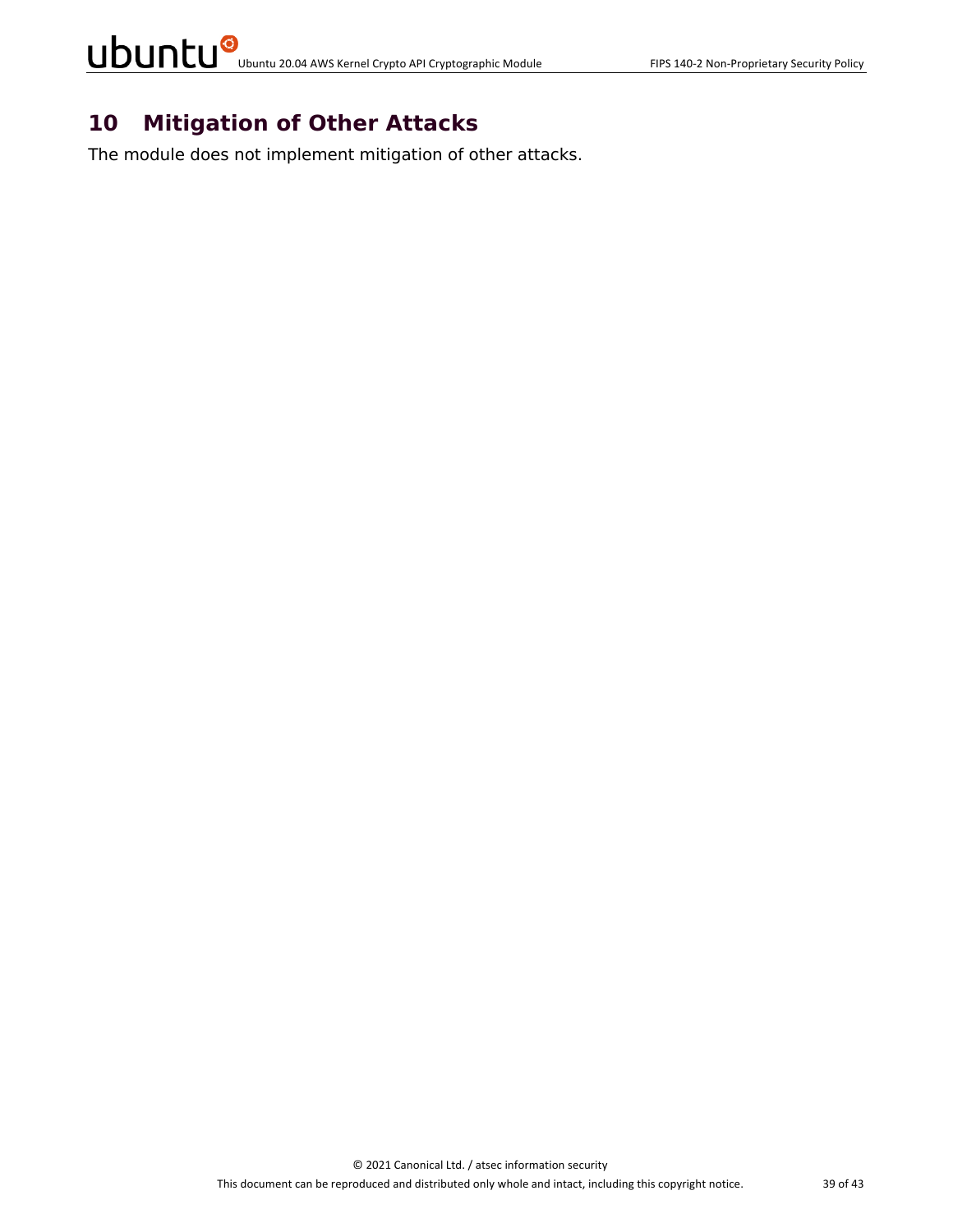### **10 Mitigation of Other Attacks**

The module does not implement mitigation of other attacks.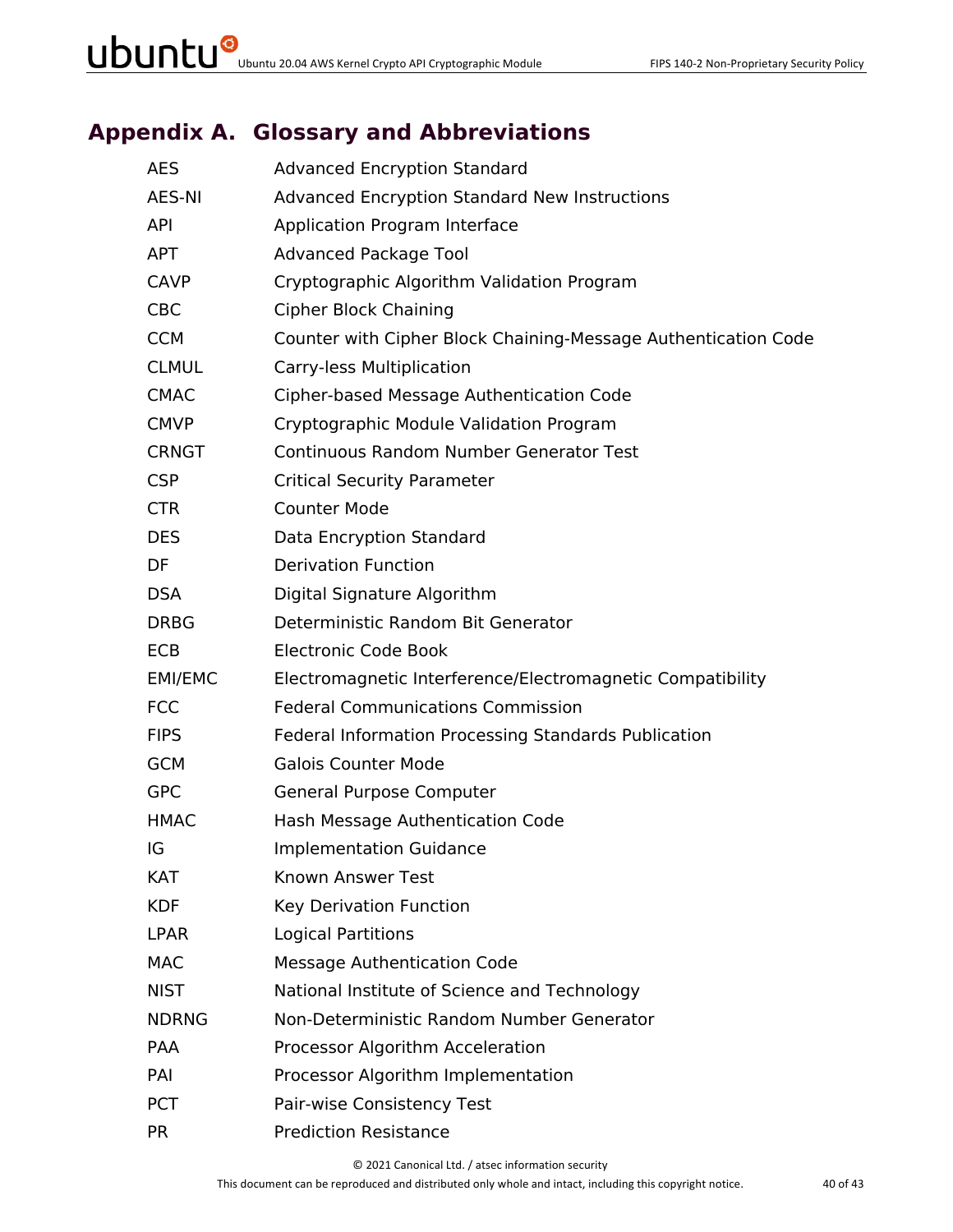## **Appendix A. Glossary and Abbreviations**

| <b>AES</b>   | <b>Advanced Encryption Standard</b>                            |
|--------------|----------------------------------------------------------------|
| AES-NI       | <b>Advanced Encryption Standard New Instructions</b>           |
| <b>API</b>   | Application Program Interface                                  |
| <b>APT</b>   | <b>Advanced Package Tool</b>                                   |
| <b>CAVP</b>  | Cryptographic Algorithm Validation Program                     |
| <b>CBC</b>   | <b>Cipher Block Chaining</b>                                   |
| <b>CCM</b>   | Counter with Cipher Block Chaining-Message Authentication Code |
| <b>CLMUL</b> | Carry-less Multiplication                                      |
| <b>CMAC</b>  | Cipher-based Message Authentication Code                       |
| <b>CMVP</b>  | Cryptographic Module Validation Program                        |
| <b>CRNGT</b> | <b>Continuous Random Number Generator Test</b>                 |
| <b>CSP</b>   | <b>Critical Security Parameter</b>                             |
| <b>CTR</b>   | <b>Counter Mode</b>                                            |
| <b>DES</b>   | Data Encryption Standard                                       |
| DF           | <b>Derivation Function</b>                                     |
| <b>DSA</b>   | Digital Signature Algorithm                                    |
| <b>DRBG</b>  | Deterministic Random Bit Generator                             |
| <b>ECB</b>   | <b>Electronic Code Book</b>                                    |
| EMI/EMC      | Electromagnetic Interference/Electromagnetic Compatibility     |
| <b>FCC</b>   | <b>Federal Communications Commission</b>                       |
| <b>FIPS</b>  | Federal Information Processing Standards Publication           |
| <b>GCM</b>   | <b>Galois Counter Mode</b>                                     |
| <b>GPC</b>   | General Purpose Computer                                       |
| <b>HMAC</b>  | Hash Message Authentication Code                               |
| IG           | <b>Implementation Guidance</b>                                 |
| KAT          | Known Answer Test                                              |
| <b>KDF</b>   | Key Derivation Function                                        |
| <b>LPAR</b>  | <b>Logical Partitions</b>                                      |
| <b>MAC</b>   | <b>Message Authentication Code</b>                             |
| <b>NIST</b>  | National Institute of Science and Technology                   |
| <b>NDRNG</b> | Non-Deterministic Random Number Generator                      |
| PAA          | Processor Algorithm Acceleration                               |
| PAI          | Processor Algorithm Implementation                             |
| <b>PCT</b>   | Pair-wise Consistency Test                                     |
| <b>PR</b>    | <b>Prediction Resistance</b>                                   |

© 2021 Canonical Ltd. / atsec information security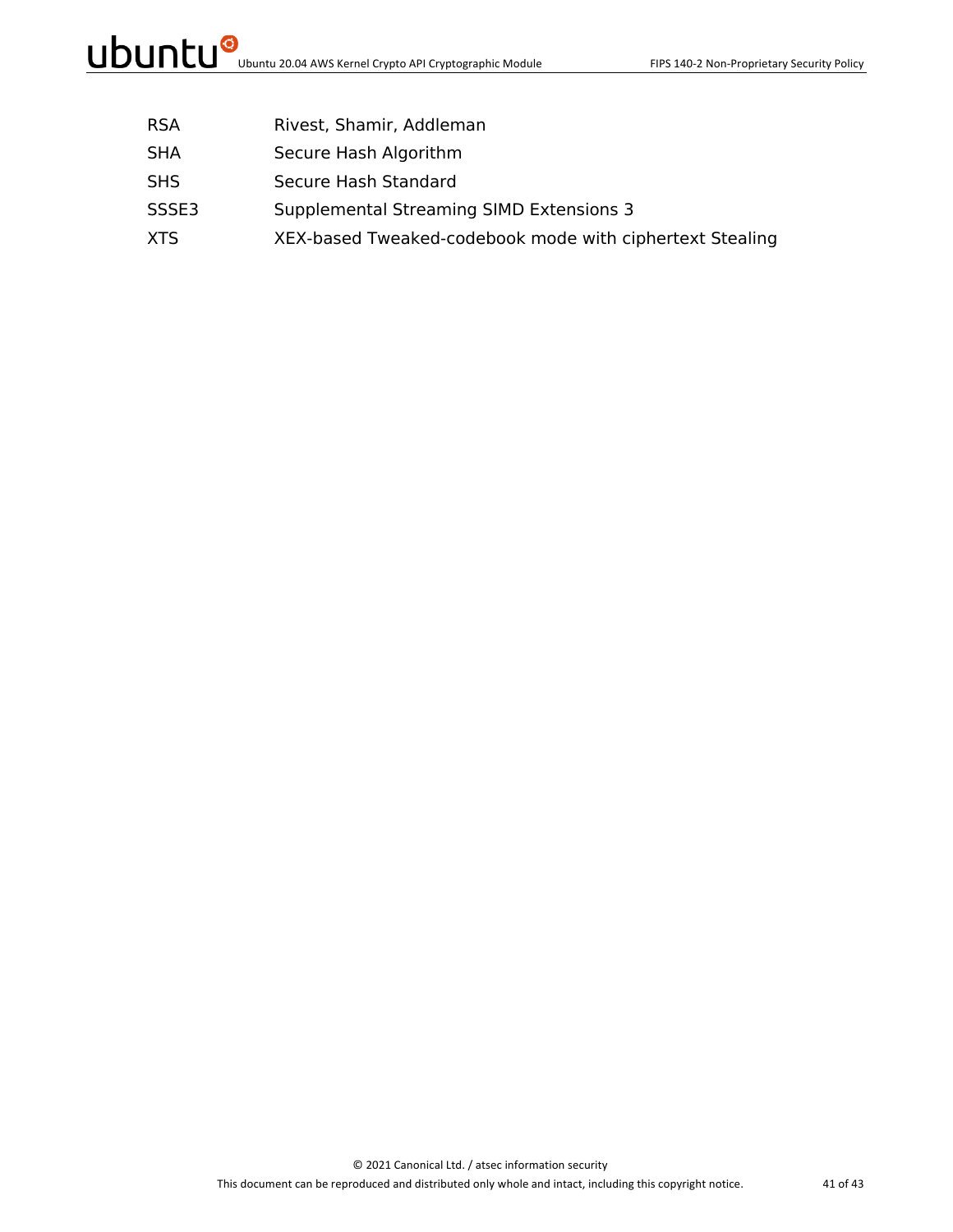- RSA Rivest, Shamir, Addleman
- SHA Secure Hash Algorithm
- SHS Secure Hash Standard
- SSSE3 Supplemental Streaming SIMD Extensions 3
- XTS XEX-based Tweaked-codebook mode with ciphertext Stealing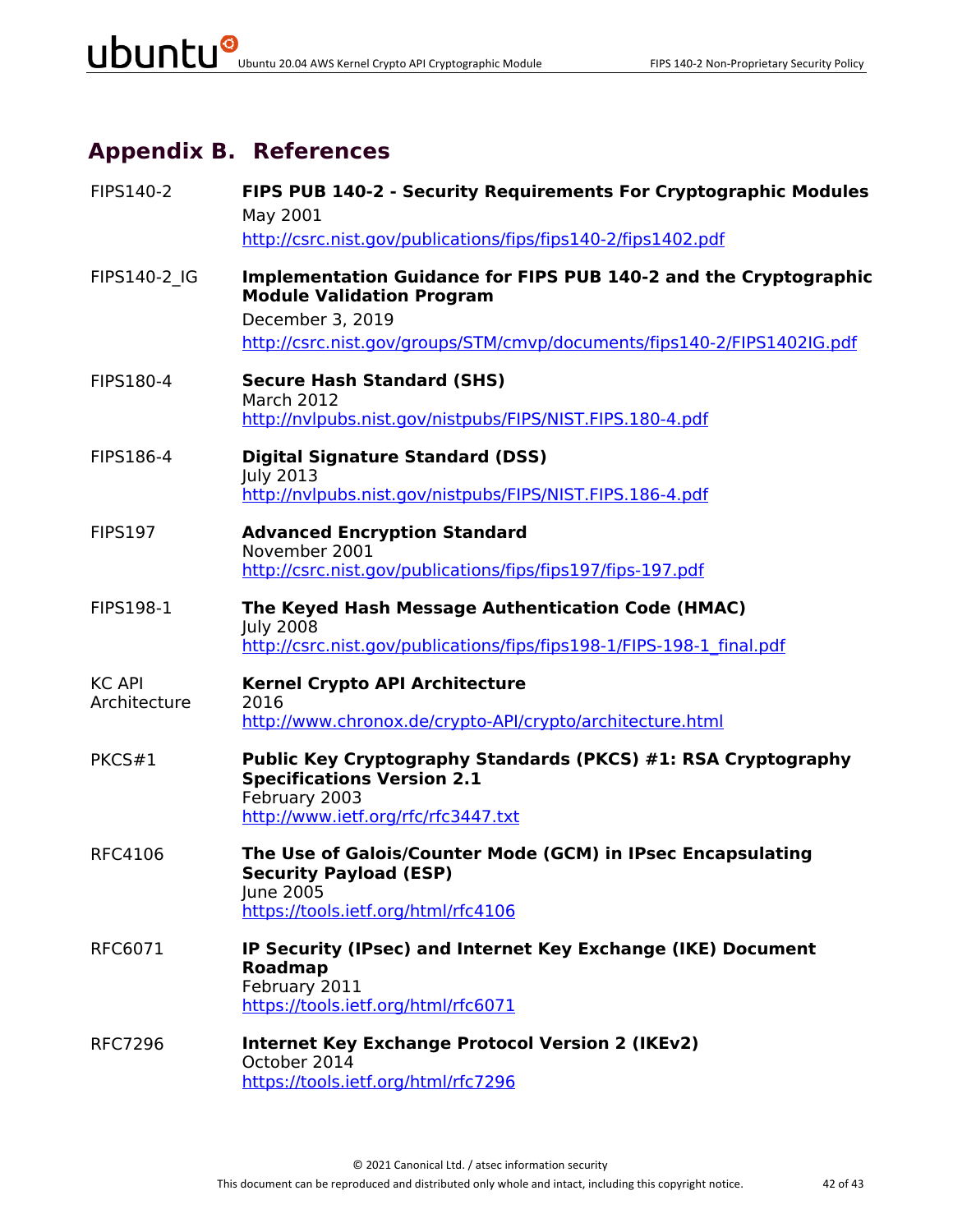## **Appendix B. References**

| FIPS140-2                     | FIPS PUB 140-2 - Security Requirements For Cryptographic Modules<br>May 2001<br>http://csrc.nist.gov/publications/fips/fips140-2/fips1402.pdf                                                       |
|-------------------------------|-----------------------------------------------------------------------------------------------------------------------------------------------------------------------------------------------------|
| FIPS140-2 IG                  | Implementation Guidance for FIPS PUB 140-2 and the Cryptographic<br><b>Module Validation Program</b><br>December 3, 2019<br>http://csrc.nist.gov/groups/STM/cmvp/documents/fips140-2/FIPS1402IG.pdf |
| FIPS180-4                     | <b>Secure Hash Standard (SHS)</b><br><b>March 2012</b><br>http://nvlpubs.nist.gov/nistpubs/FIPS/NIST.FIPS.180-4.pdf                                                                                 |
| FIPS186-4                     | <b>Digital Signature Standard (DSS)</b><br><b>July 2013</b><br>http://nvlpubs.nist.gov/nistpubs/FIPS/NIST.FIPS.186-4.pdf                                                                            |
| <b>FIPS197</b>                | <b>Advanced Encryption Standard</b><br>November 2001<br>http://csrc.nist.gov/publications/fips/fips197/fips-197.pdf                                                                                 |
| <b>FIPS198-1</b>              | The Keyed Hash Message Authentication Code (HMAC)<br><b>July 2008</b><br>http://csrc.nist.gov/publications/fips/fips198-1/FIPS-198-1 final.pdf                                                      |
| <b>KC API</b><br>Architecture | <b>Kernel Crypto API Architecture</b><br>2016<br>http://www.chronox.de/crypto-API/crypto/architecture.html                                                                                          |
| PKCS#1                        | Public Key Cryptography Standards (PKCS) #1: RSA Cryptography<br><b>Specifications Version 2.1</b><br>February 2003<br>http://www.ietf.org/rfc/rfc3447.txt                                          |
| <b>RFC4106</b>                | The Use of Galois/Counter Mode (GCM) in IPsec Encapsulating<br><b>Security Payload (ESP)</b><br>June 2005<br>https://tools.ietf.org/html/rfc4106                                                    |
| RFC6071                       | IP Security (IPsec) and Internet Key Exchange (IKE) Document<br><b>Roadmap</b><br>February 2011<br>https://tools.ietf.org/html/rfc6071                                                              |
| <b>RFC7296</b>                | <b>Internet Key Exchange Protocol Version 2 (IKEv2)</b><br>October 2014<br>https://tools.ietf.org/html/rfc7296                                                                                      |